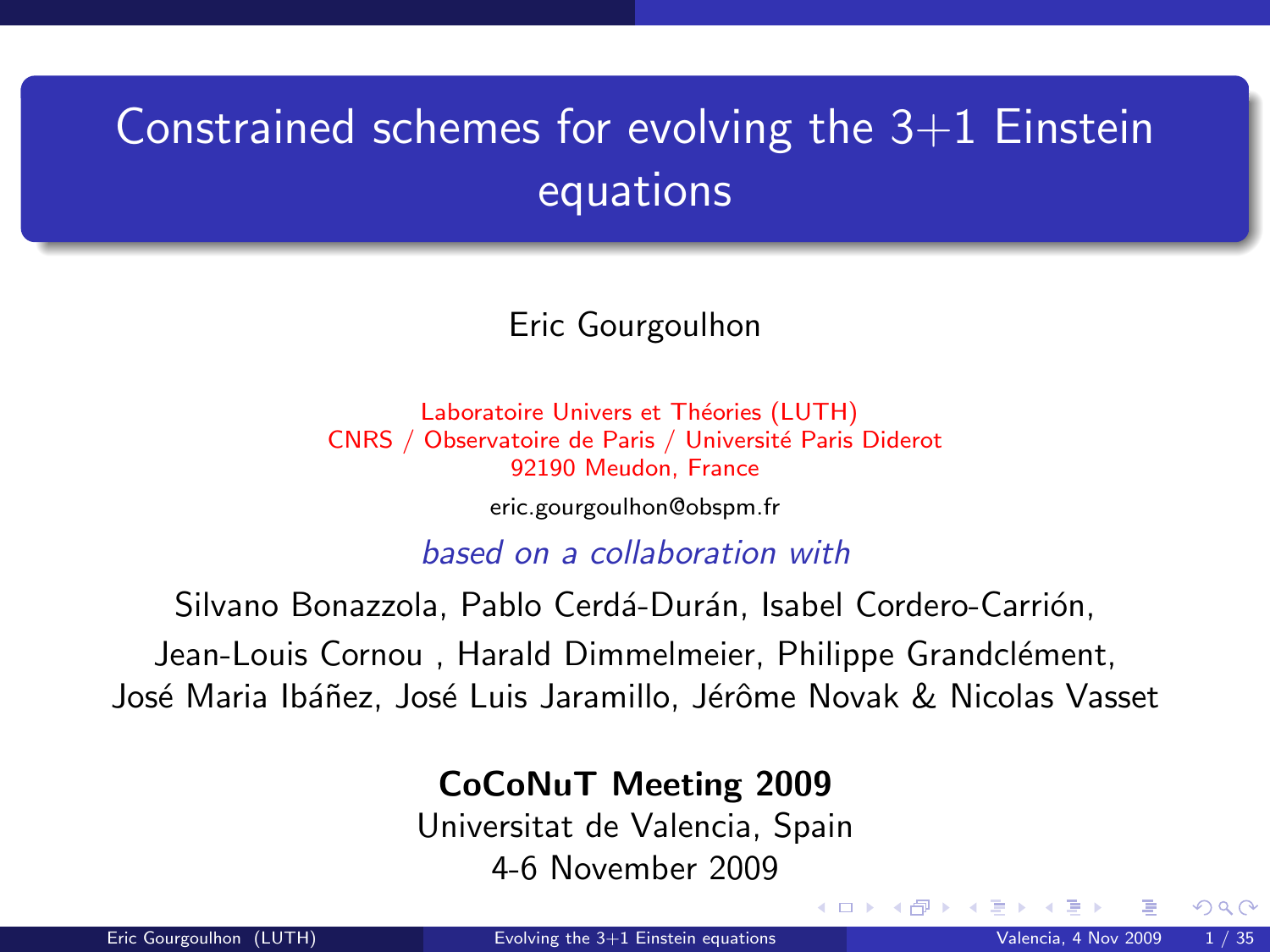# <span id="page-0-1"></span>Constrained schemes for evolving the  $3+1$  Einstein equations

Eric Gourgoulhon

Laboratoire Univers et Théories (LUTH) CNRS / Observatoire de Paris / Université Paris Diderot 92190 Meudon, France

[eric.gourgoulhon@obspm.fr](mailto:eric.gourgoulhon@obspm.fr)

based on a collaboration with

Silvano Bonazzola, Pablo Cerdá-Durán, Isabel Cordero-Carrión,

Jean-Louis Cornou, Harald Dimmelmeier, Philippe Grandclément,

José Maria Ibáñez, José Luis Jaramillo, Jérôme Novak & Nicolas Vasset

#### CoCoNuT Meeting 2009

Universitat de Valencia, Spain 4-6 November 2009

<span id="page-0-0"></span> $\Omega$ 

**K ロ ▶ K 何 ▶ K 手**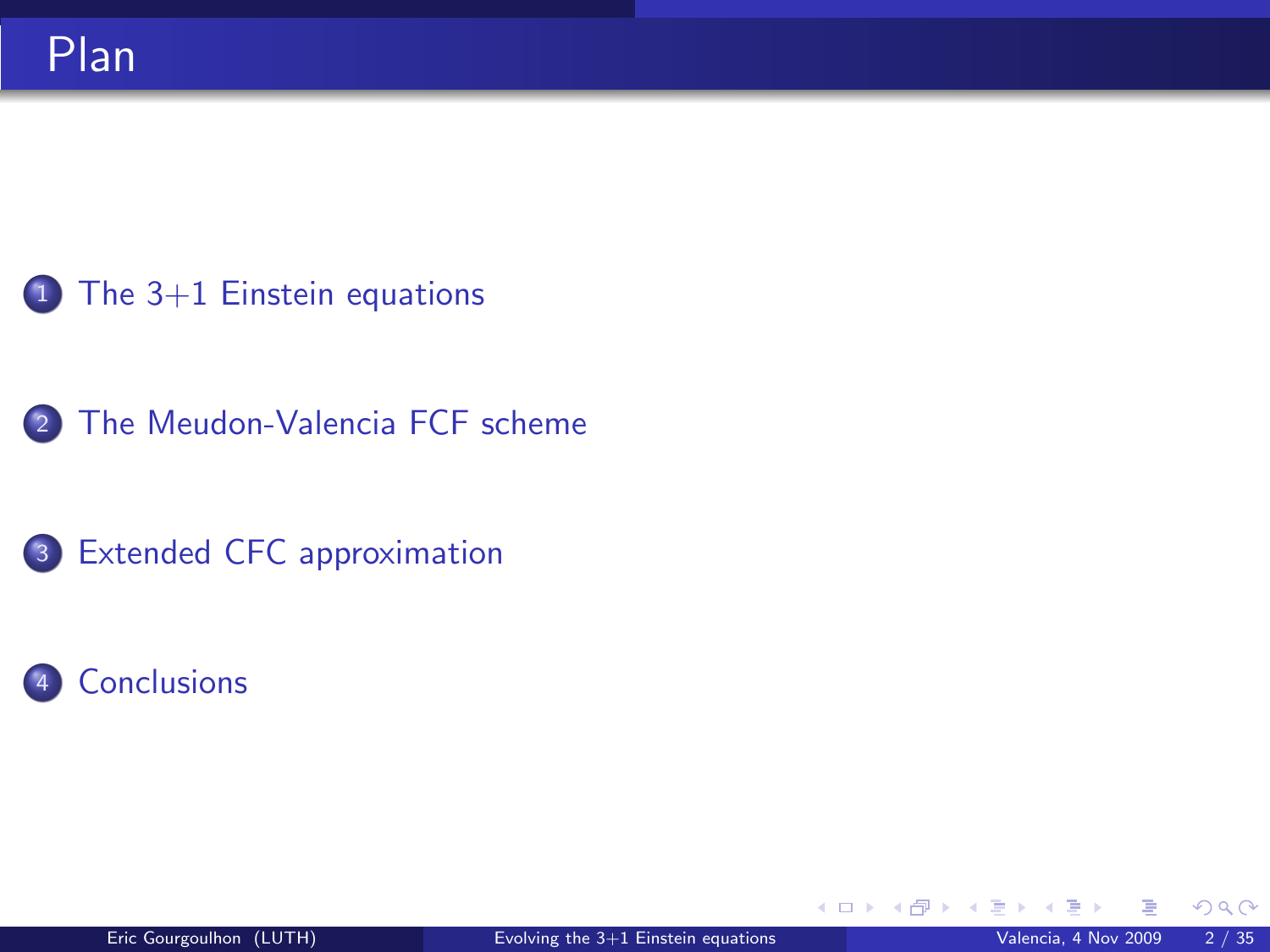- <sup>1</sup> [The 3+1 Einstein equations](#page-2-0)
- 2 [The Meudon-Valencia FCF scheme](#page-15-0)
- <sup>3</sup> [Extended CFC approximation](#page-29-0)
- **[Conclusions](#page-44-0)**

**K ロ ト K 伊 ト K** 

<span id="page-1-0"></span> $299$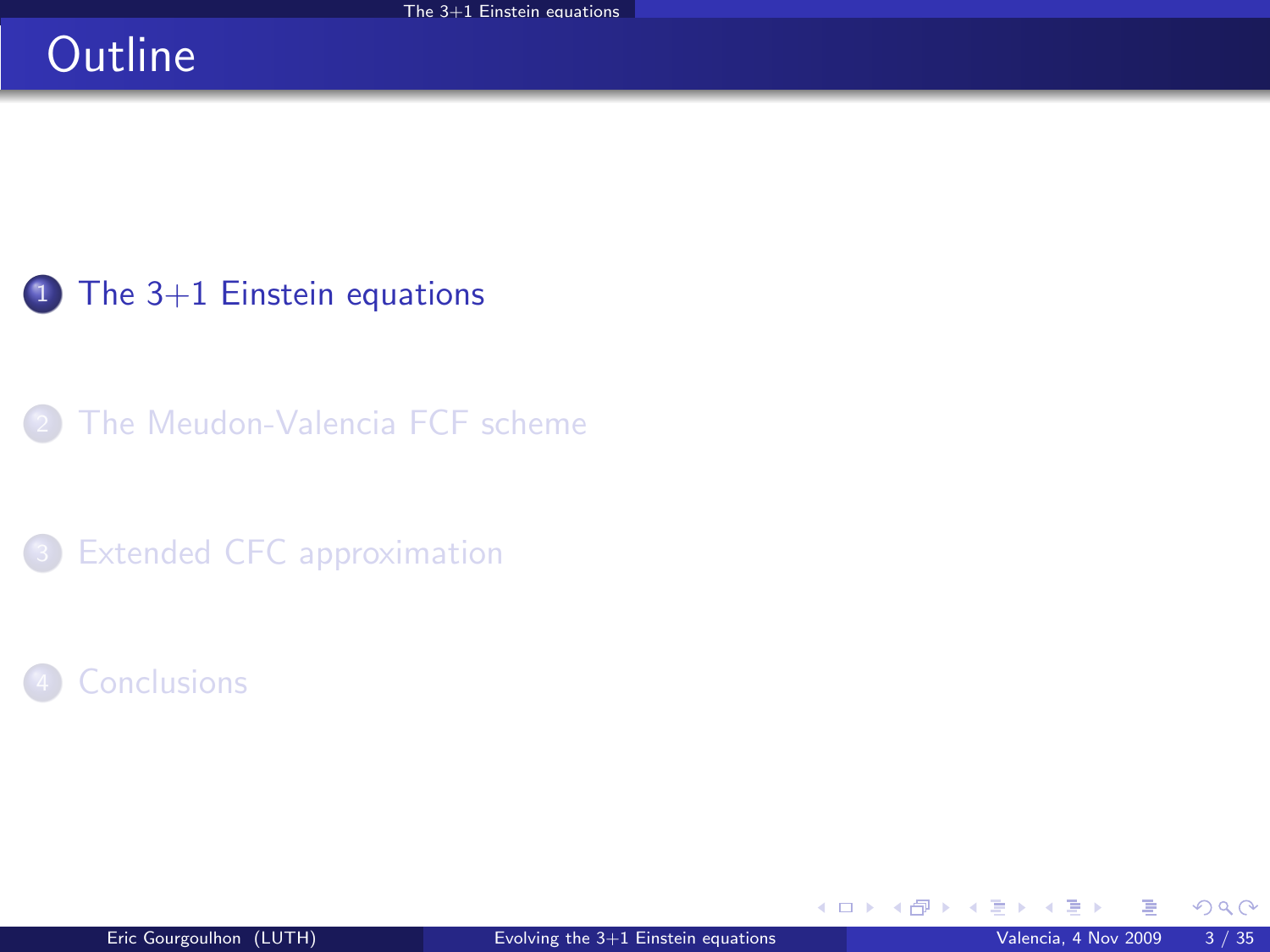# **Outline**

<sup>1</sup> [The 3+1 Einstein equations](#page-2-0)

[The Meudon-Valencia FCF scheme](#page-15-0)

<sup>3</sup> [Extended CFC approximation](#page-29-0)

**[Conclusions](#page-44-0)** 

**K ロ ▶ K 御 ▶ K 舌** 

×

<span id="page-2-0"></span> $299$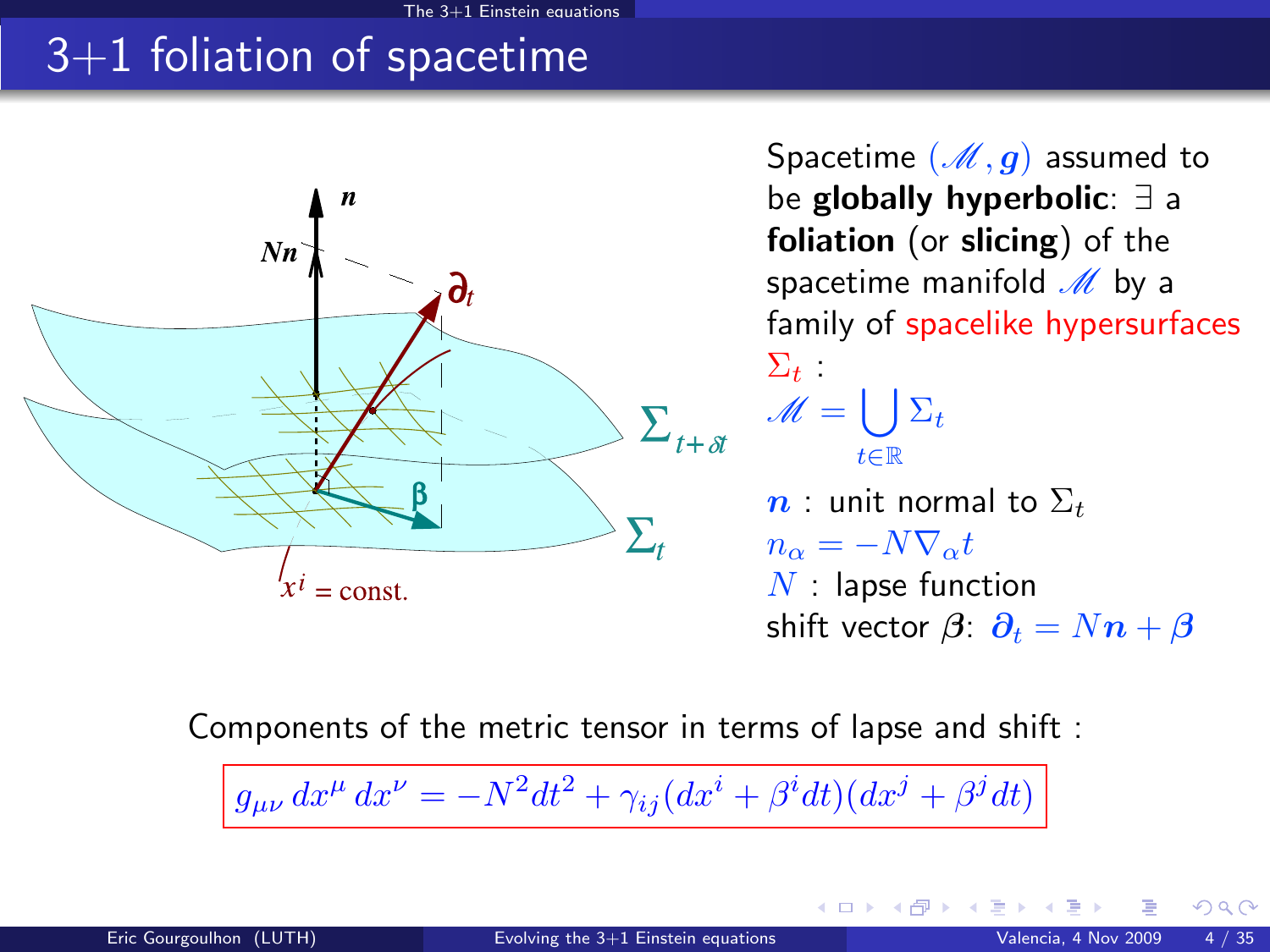# 3+1 foliation of spacetime



Spacetime  $(M, g)$  assumed to be globally hyperbolic: ∃ a foliation (or slicing) of the spacetime manifold  $M$  by a family of spacelike hypersurfaces  $\Sigma_t$  :  $\mathscr{M} = \bigcup \Sigma_t$ t∈R  $n$  : unit normal to  $\Sigma_t$  $n_{\alpha} = -N \nabla_{\alpha} t$  $N$  : lapse function shift vector  $\beta$ :  $\partial_t = Nn + \beta$ 

**K ロ ト K 何 ト K ヨ ト K** 

Components of the metric tensor in terms of lapse and shift :

 $g_{\mu\nu} dx^{\mu} dx^{\nu} = -N^2 dt^2 + \gamma_{ij} (dx^i + \beta^i dt) (dx^j + \beta^j dt)$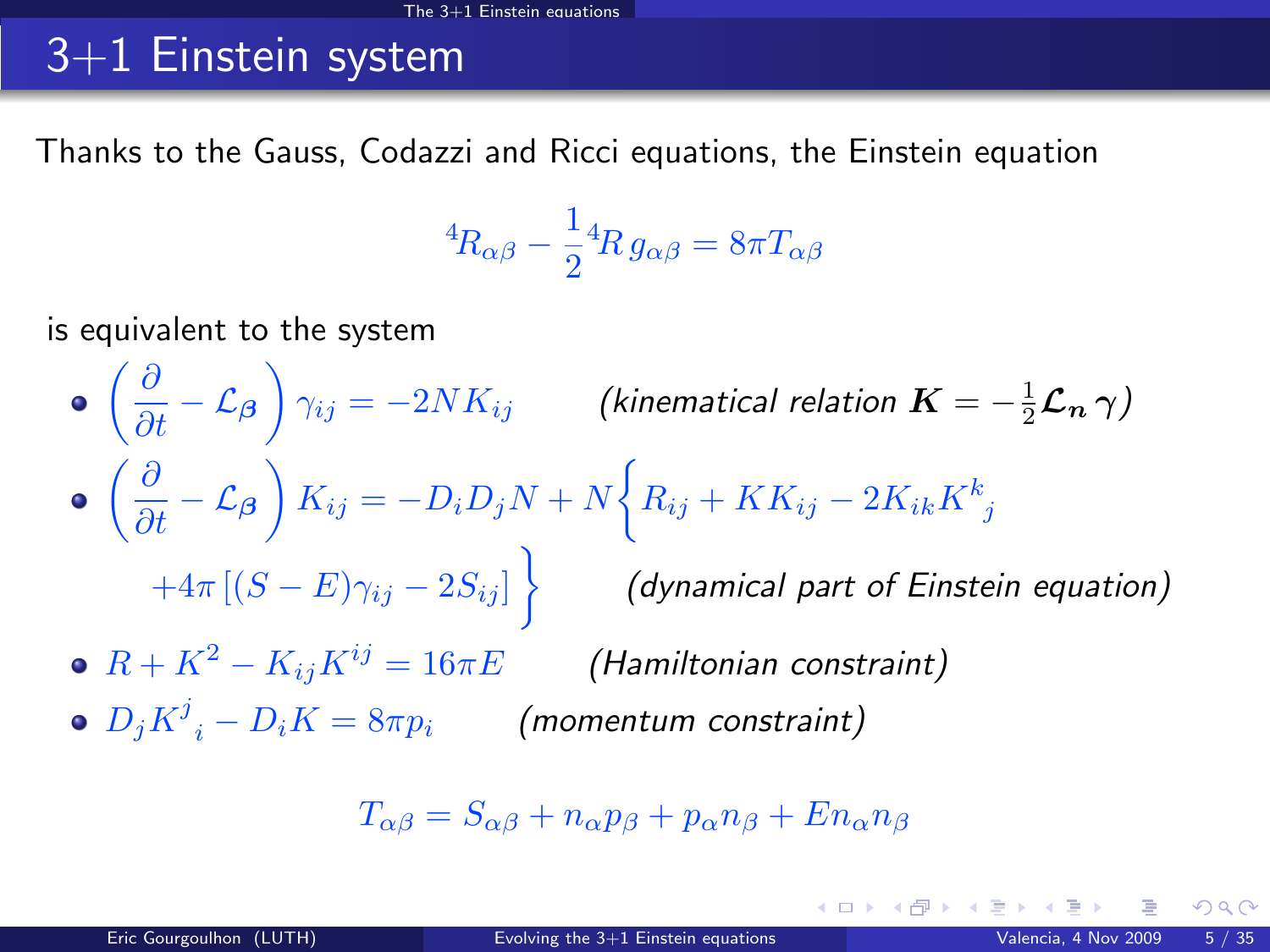# 3+1 Einstein system

Thanks to the Gauss, Codazzi and Ricci equations, the Einstein equation

$$
{}^4R_{\alpha\beta} - \frac{1}{2} {}^4R \, g_{\alpha\beta} = 8\pi T_{\alpha\beta}
$$

is equivalent to the system

 $\left(\frac{\partial}{\partial t}-\mathcal{L}_{\boldsymbol{\beta}}\right)\gamma_{ij}=-2 N K_{ij}$  (kinematical relation  $\boldsymbol{K}=-\frac{1}{2}\boldsymbol{\mathcal{L}_{n}}\,\boldsymbol{\gamma})$  $\left(\frac{\partial}{\partial t} - \mathcal{L}_{\beta}\right) K_{ij} = -D_i D_j N + N \bigg\{ R_{ij} + KK_{ij} - 2K_{ik}K_{\ j}^k \bigg\}$  $+4\pi\left[(S-E)\gamma_{ij}-2S_{ij}\right] \Big\} \qquad \textbf{(dynamical part of Einstein equation)}$ •  $R + K^2 - K_{ij}K^{ij} = 16\pi E$  (Hamiltonian constraint)  $D_j{K^j}_i - D_i K = 8\pi p_i$  (momentum constraint)

$$
T_{\alpha\beta} = S_{\alpha\beta} + n_{\alpha}p_{\beta} + p_{\alpha}n_{\beta} + En_{\alpha}n_{\beta}
$$

K ロンス 御 > ス ヨ > ス ヨ > 一 ヨ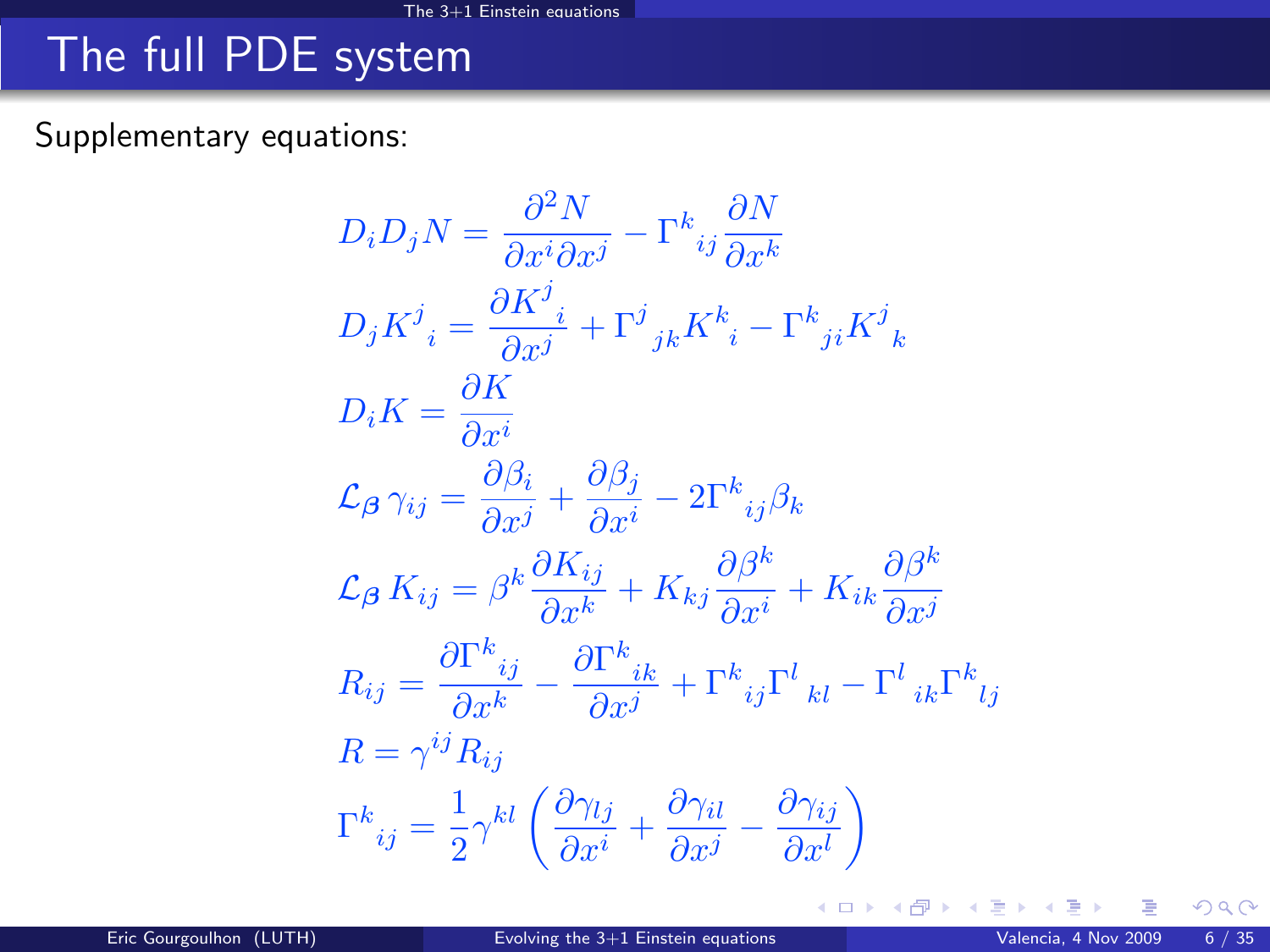# The full PDE system

Supplementary equations:

$$
D_i D_j N = \frac{\partial^2 N}{\partial x^i \partial x^j} - \Gamma^k{}_{ij} \frac{\partial N}{\partial x^k}
$$
  
\n
$$
D_j K^j{}_i = \frac{\partial K^j{}_{i}}{\partial x^j} + \Gamma^j{}_{jk} K^k{}_i - \Gamma^k{}_{ji} K^j{}_k
$$
  
\n
$$
D_i K = \frac{\partial K}{\partial x^i}
$$
  
\n
$$
\mathcal{L}_{\beta} \gamma_{ij} = \frac{\partial \beta_i}{\partial x^j} + \frac{\partial \beta_j}{\partial x^i} - 2\Gamma^k{}_{ij} \beta_k
$$
  
\n
$$
\mathcal{L}_{\beta} K_{ij} = \beta^k \frac{\partial K_{ij}}{\partial x^k} + K_{kj} \frac{\partial \beta^k}{\partial x^i} + K_{ik} \frac{\partial \beta^k}{\partial x^j}
$$
  
\n
$$
R_{ij} = \frac{\partial \Gamma^k{}_{ij}}{\partial x^k} - \frac{\partial \Gamma^k{}_{ik}}{\partial x^j} + \Gamma^k{}_{ij} \Gamma^l{}_{kl} - \Gamma^l{}_{ik} \Gamma^k{}_{lj}
$$
  
\n
$$
R = \gamma^{ij} R_{ij}
$$
  
\n
$$
\Gamma^k{}_{ij} = \frac{1}{2} \gamma^{kl} \left( \frac{\partial \gamma_{lj}}{\partial x^i} + \frac{\partial \gamma_{il}}{\partial x^j} - \frac{\partial \gamma_{ij}}{\partial x^l} \right)
$$

 $299$ 

メロメ メタメ メミメ メ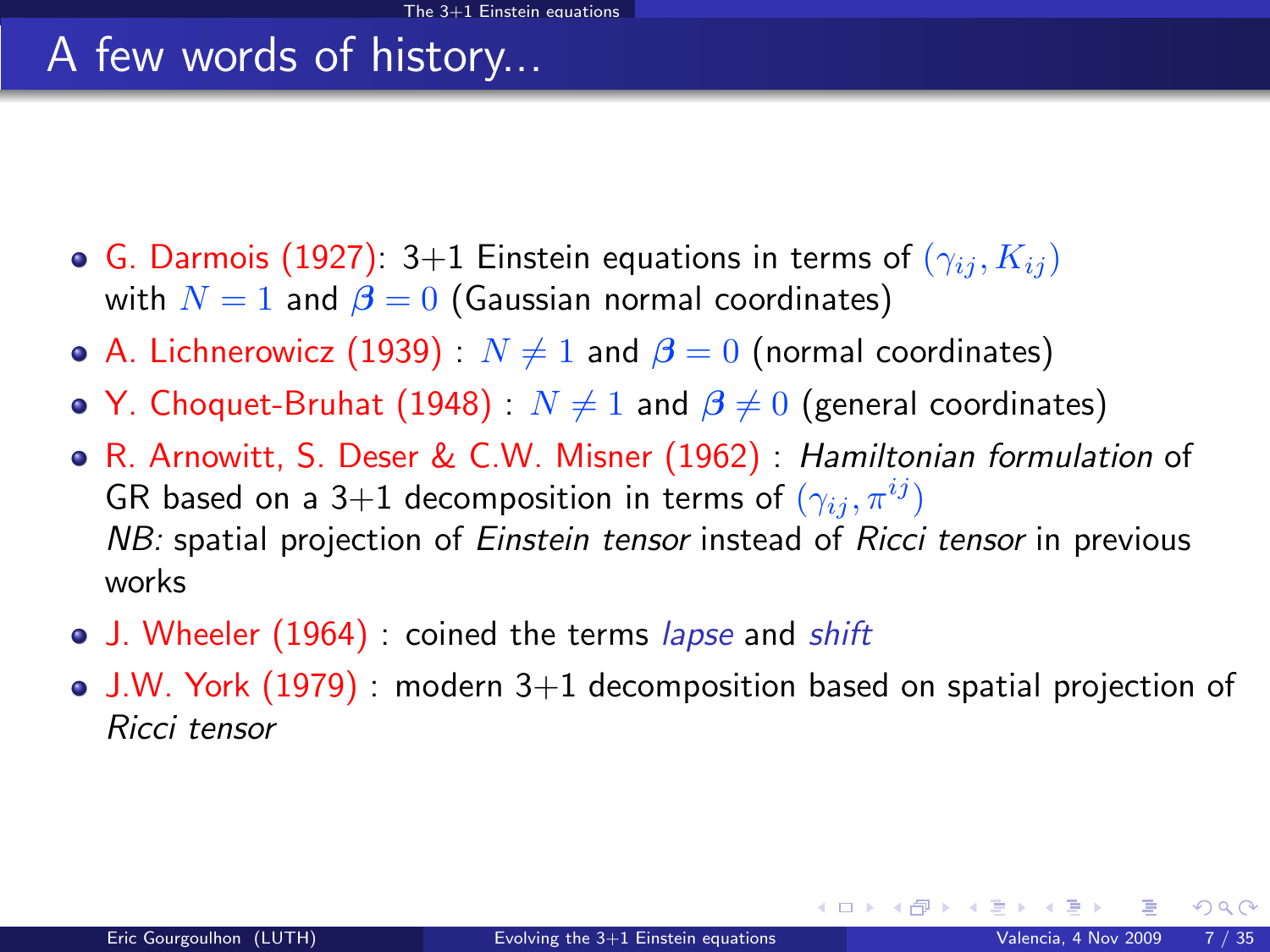# A few words of history...

- **G.** Darmois (1927): 3+1 Einstein equations in terms of  $(\gamma_{ij}, K_{ij})$ with  $N = 1$  and  $\beta = 0$  (Gaussian normal coordinates)
- A. Lichnerowicz (1939) :  $N \neq 1$  and  $\beta = 0$  (normal coordinates)
- Y. Choquet-Bruhat (1948) :  $N \neq 1$  and  $\beta \neq 0$  (general coordinates)
- R. Arnowitt, S. Deser & C.W. Misner (1962) : Hamiltonian formulation of GR based on a 3+1 decomposition in terms of  $(\gamma_{ij}, \pi^{ij})$ NB: spatial projection of Einstein tensor instead of Ricci tensor in previous works
- J. Wheeler (1964) : coined the terms lapse and shift
- J.W. York (1979) : modern 3+1 decomposition based on spatial projection of Ricci tensor

 $\Omega$ 

K ロ ▶ K 御 ▶ K 경 ▶ K 경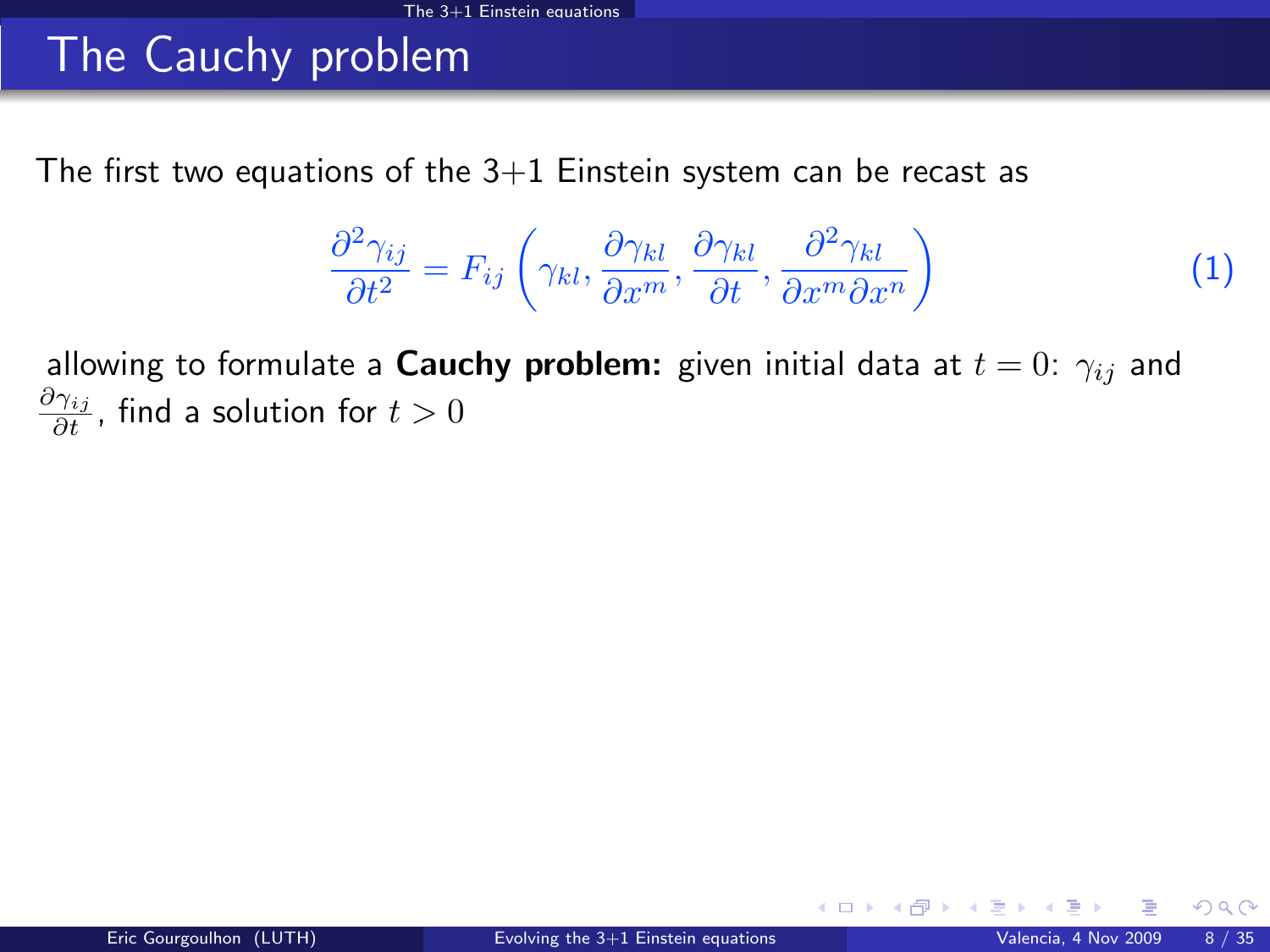# The Cauchy problem

The first two equations of the  $3+1$  Einstein system can be recast as

<span id="page-7-0"></span>
$$
\frac{\partial^2 \gamma_{ij}}{\partial t^2} = F_{ij} \left( \gamma_{kl}, \frac{\partial \gamma_{kl}}{\partial x^m}, \frac{\partial \gamma_{kl}}{\partial t}, \frac{\partial^2 \gamma_{kl}}{\partial x^m \partial x^n} \right)
$$
(1)

allowing to formulate a **Cauchy problem:** given initial data at  $t = 0$ :  $\gamma_{ij}$  and  $\frac{\partial \gamma_{ij}}{\partial t}$ , find a solution for  $t>0$ 

つへへ

**K ロ ▶ K 御 ▶ K 舌**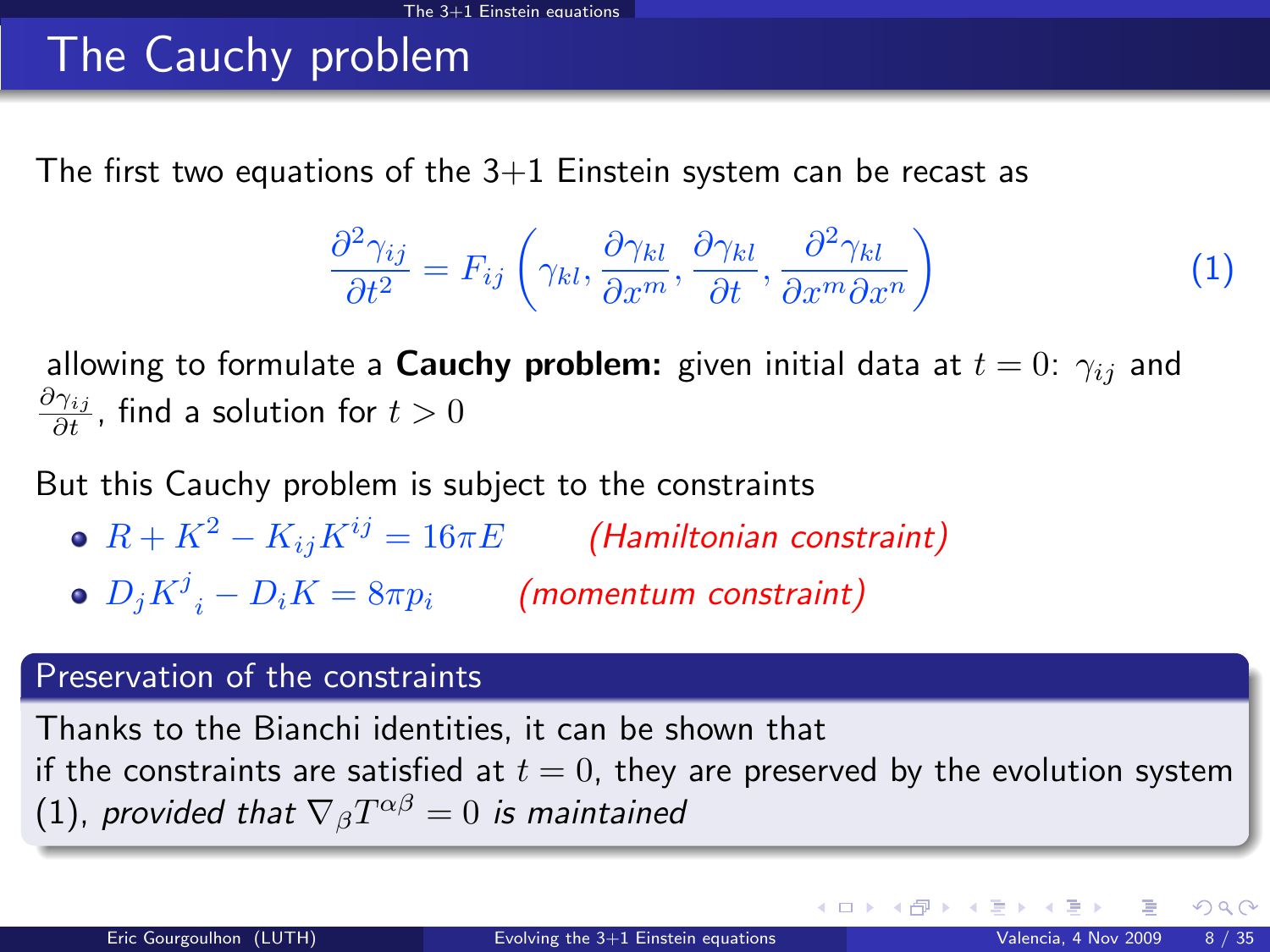# The Cauchy problem

The first two equations of the  $3+1$  Einstein system can be recast as

$$
\frac{\partial^2 \gamma_{ij}}{\partial t^2} = F_{ij} \left( \gamma_{kl}, \frac{\partial \gamma_{kl}}{\partial x^m}, \frac{\partial \gamma_{kl}}{\partial t}, \frac{\partial^2 \gamma_{kl}}{\partial x^m \partial x^n} \right)
$$
(1)

allowing to formulate a **Cauchy problem:** given initial data at  $t = 0$ :  $\gamma_{ij}$  and  $\frac{\partial \gamma_{ij}}{\partial t}$ , find a solution for  $t>0$ 

But this Cauchy problem is subject to the constraints

- $R + K^2 K_{ij}K^{ij} = 16\pi E$  (Hamiltonian constraint)
- $D_j{K^j}_i D_i K = 8\pi p_i$  (momentum constraint)

#### Preservation of the constraints

Thanks to the Bianchi identities, it can be shown that if the constraints are satisfied at  $t = 0$ , they are preserved by the evolution system  $(1)$ , provided that  $\nabla_{\beta} T^{\alpha \beta} = 0$  is maintained

 $\Omega$ 

イロト イ押 トイヨ トイヨ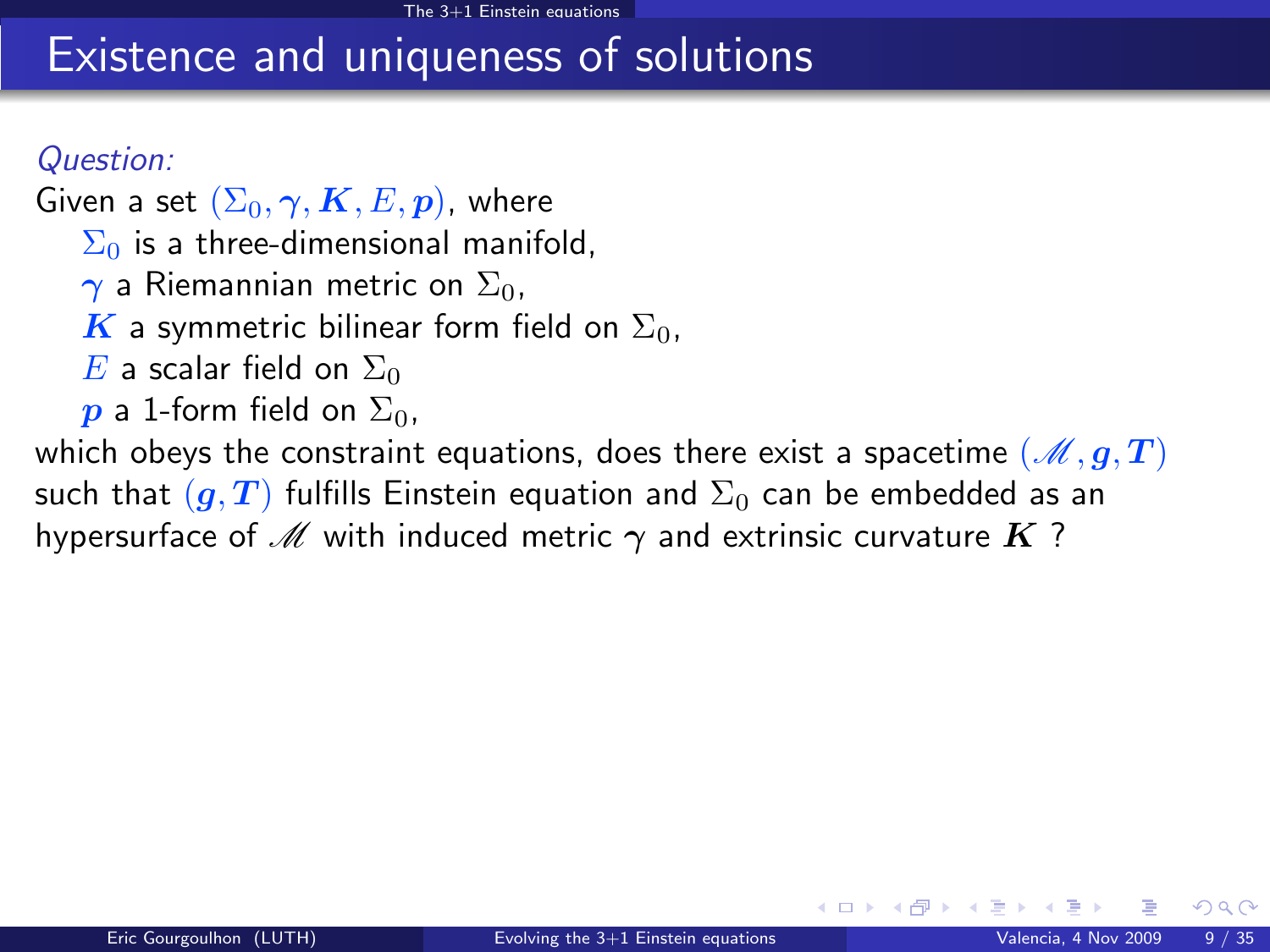### Existence and uniqueness of solutions

### Question:

Given a set  $(\Sigma_0, \gamma, K, E, p)$ , where  $\Sigma_0$  is a three-dimensional manifold,  $\gamma$  a Riemannian metric on  $\Sigma_0$ , K a symmetric bilinear form field on  $\Sigma_0$ , E a scalar field on  $\Sigma_0$  $\boldsymbol{p}$  a 1-form field on  $\Sigma_0$ , which obeys the constraint equations, does there exist a spacetime  $(\mathscr{M}, g, T)$ such that  $(g, T)$  fulfills Einstein equation and  $\Sigma_0$  can be embedded as an

hypersurface of M with induced metric  $\gamma$  and extrinsic curvature K?

 $\Omega$ 

**K ロ ト K 何 ト K ヨ ト**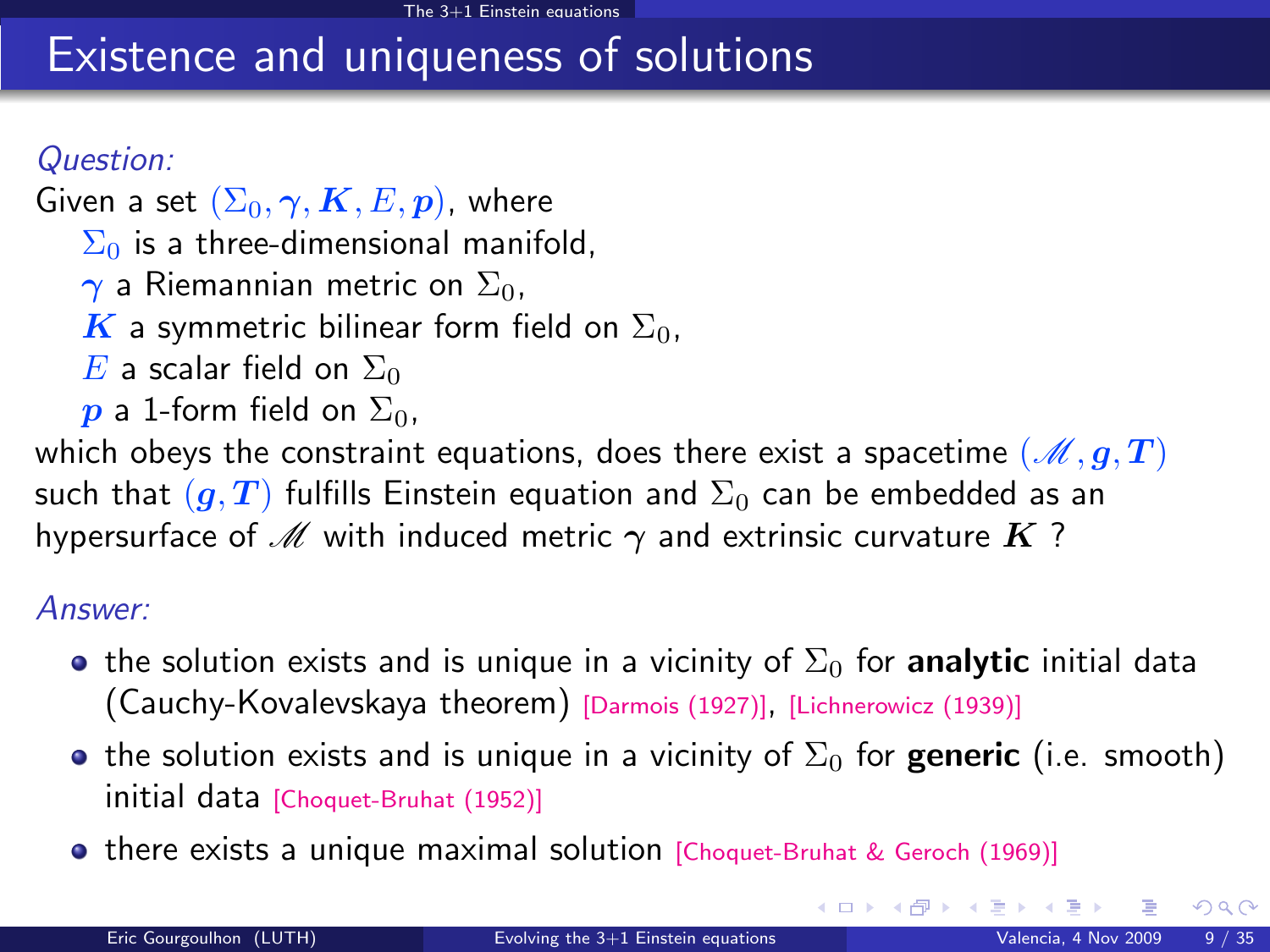# Existence and uniqueness of solutions

### Question:

Given a set  $(\Sigma_0, \gamma, K, E, p)$ , where  $\Sigma_0$  is a three-dimensional manifold,  $\gamma$  a Riemannian metric on  $\Sigma_0$ , K a symmetric bilinear form field on  $\Sigma_0$ , E a scalar field on  $\Sigma_0$  $\boldsymbol{p}$  a 1-form field on  $\Sigma_0$ ,

which obeys the constraint equations, does there exist a spacetime  $(\mathcal{M}, g, T)$ such that  $(g, T)$  fulfills Einstein equation and  $\Sigma_0$  can be embedded as an hypersurface of M with induced metric  $\gamma$  and extrinsic curvature K?

#### Answer:

- **•** the solution exists and is unique in a vicinity of  $\Sigma_0$  for **analytic** initial data (Cauchy-Kovalevskaya theorem) [\[Darmois \(1927\)\]](#page-0-1), [\[Lichnerowicz \(1939\)\]](#page-0-1)
- **•** the solution exists and is unique in a vicinity of  $\Sigma_0$  for **generic** (i.e. smooth) initial data [\[Choquet-Bruhat \(1952\)\]](#page-0-1)
- **•** there exists a unique maximal solution [\[Choquet-Bruhat & Geroch \(1969\)\]](#page-0-1)

<span id="page-10-0"></span> $\Omega$ 

メロメ メ御 メメ きょうぼき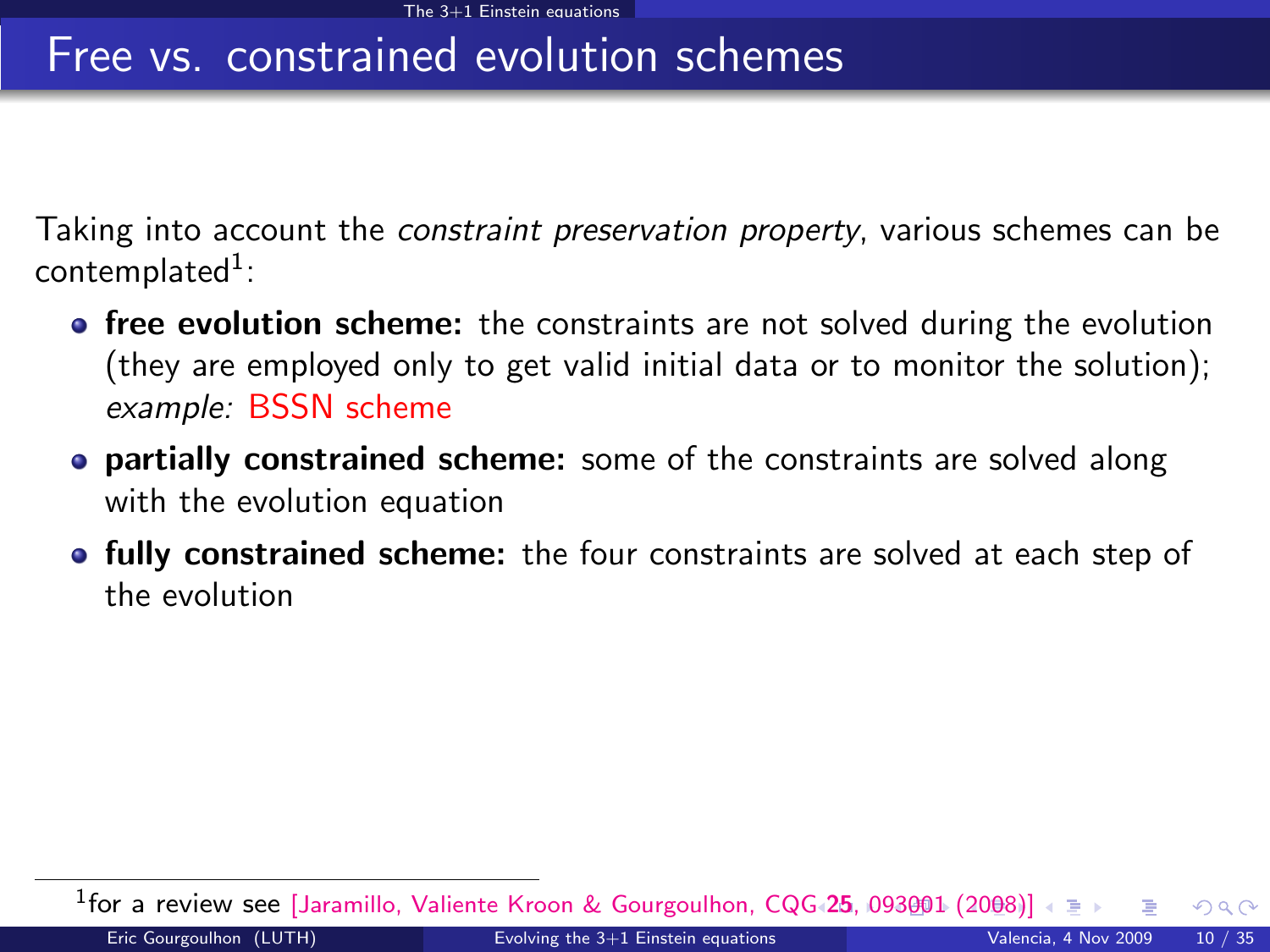### Free vs. constrained evolution schemes

Taking into account the *constraint preservation property*, various schemes can be  $\mathsf{content}^1$ :

- **free evolution scheme:** the constraints are not solved during the evolution (they are employed only to get valid initial data or to monitor the solution); example: BSSN scheme
- **partially constrained scheme:** some of the constraints are solved along with the evolution equation
- fully constrained scheme: the four constraints are solved at each step of the evolution

<span id="page-11-0"></span><sup>1</sup>for a review see [\[Jaramillo, Valiente Kroon & Gourgoulhon, CQG](htpp://stacks.iop.org/CQG/25/093001)+[2](#page-10-0)5[, 0](#page-12-0)[93](#page-10-0)[0](#page-2-0)0[1](#page-13-0) [\(2](#page-1-0)0[08](#page-14-0)[\)\]](#page-15-0)  $\Omega$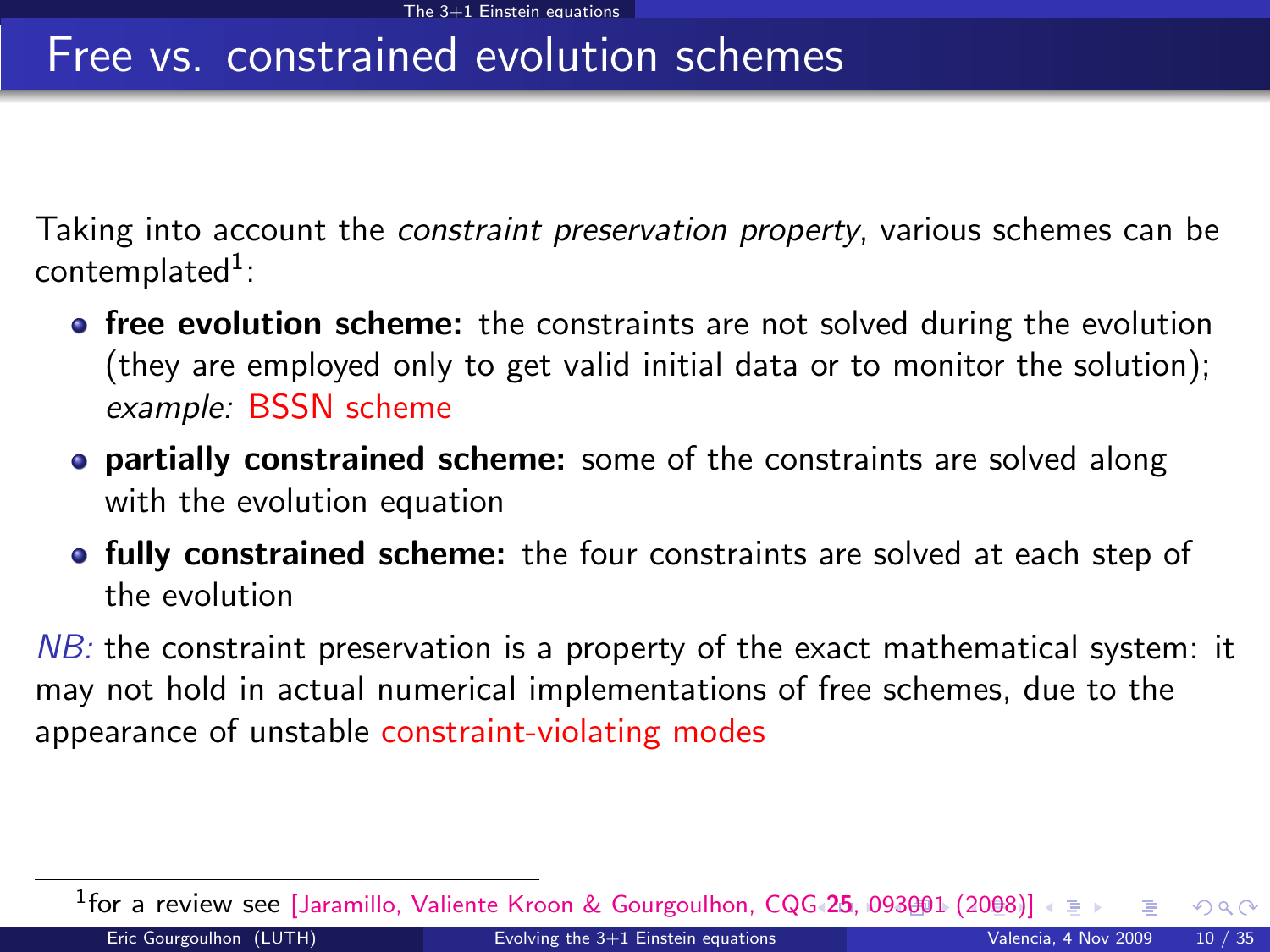### Free vs. constrained evolution schemes

Taking into account the *constraint preservation property*, various schemes can be  $\mathsf{content}^1$ :

- **free evolution scheme:** the constraints are not solved during the evolution (they are employed only to get valid initial data or to monitor the solution); example: BSSN scheme
- **partially constrained scheme:** some of the constraints are solved along with the evolution equation
- **fully constrained scheme:** the four constraints are solved at each step of the evolution

 $NB$ : the constraint preservation is a property of the exact mathematical system: it may not hold in actual numerical implementations of free schemes, due to the appearance of unstable constraint-violating modes

<span id="page-12-0"></span><sup>1</sup>for a review see [\[Jaramillo, Valiente Kroon & Gourgoulhon, CQG](htpp://stacks.iop.org/CQG/25/093001)+[2](#page-11-0)5[, 0](#page-13-0)[93](#page-10-0)[0](#page-2-0)0[1](#page-13-0) [\(2](#page-1-0)0[08](#page-14-0)[\)\]](#page-15-0)  $\Omega$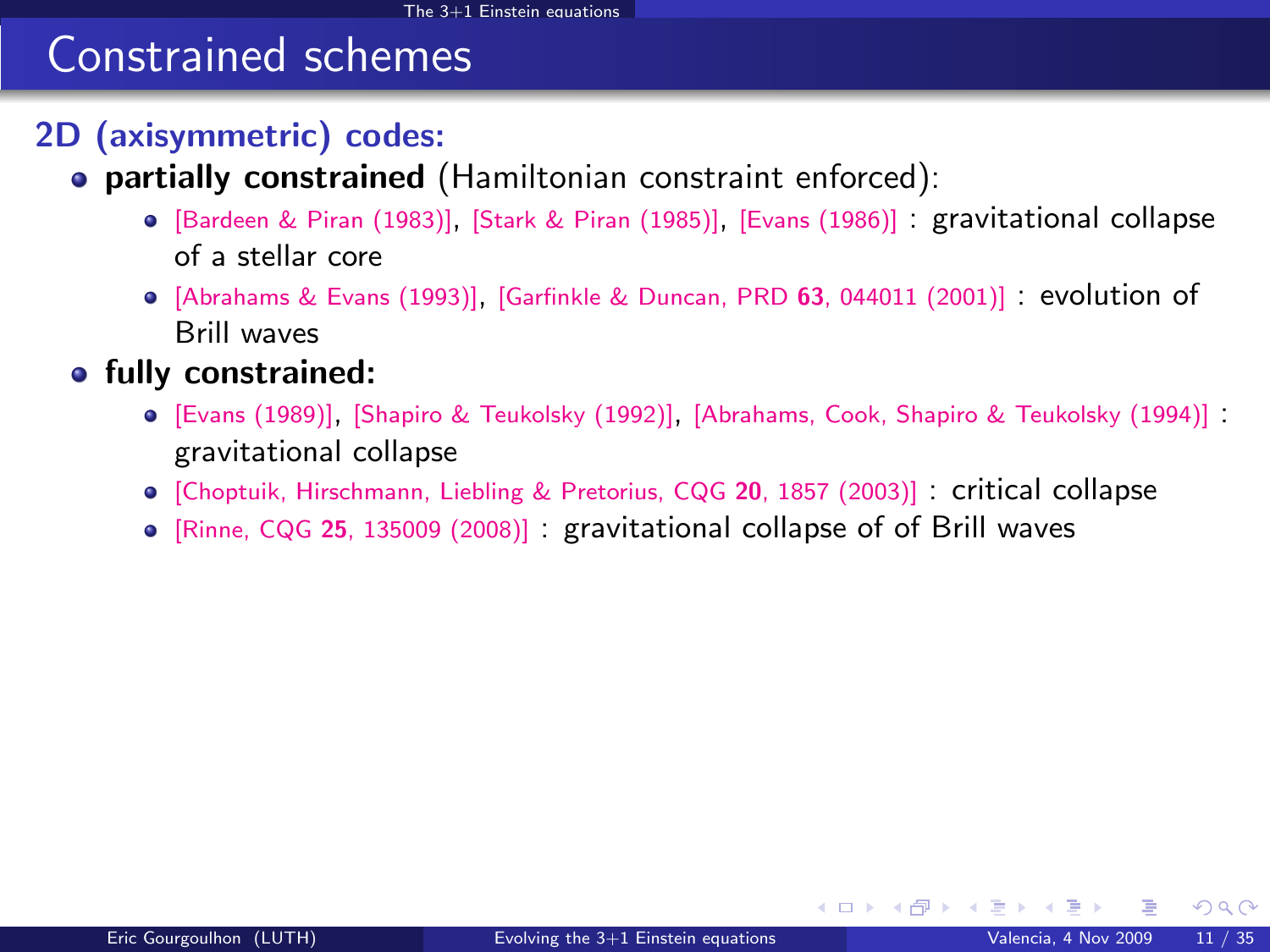# Constrained schemes

### 2D (axisymmetric) codes:

- **partially constrained** (Hamiltonian constraint enforced):
	- [\[Bardeen & Piran \(1983\)\]](#page-0-1), [\[Stark & Piran \(1985\)\]](#page-0-1), [\[Evans \(1986\)\]](#page-0-1) : gravitational collapse of a stellar core
	- $\bullet$  [\[Abrahams & Evans \(1993\)\]](#page-0-1), [\[Garfinkle & Duncan, PRD](http://link.aps.org/abstract/PRD/v63/e044011) 63, 044011 (2001)] : evolution of Brill waves
- **•** fully constrained:
	- [\[Evans \(1989\)\]](#page-0-1), [\[Shapiro & Teukolsky \(1992\)\]](#page-0-1), [\[Abrahams, Cook, Shapiro & Teukolsky \(1994\)\]](#page-0-1) : gravitational collapse
	- [\[Choptuik, Hirschmann, Liebling & Pretorius, CQG](#page-0-1) 20, 1857 (2003)] : critical collapse
	- [Rinne, CQG 25[, 135009 \(2008\)\]](#page-0-1) : gravitational collapse of of Brill waves

<span id="page-13-0"></span> $\Omega$ 

**K ロ ▶ イ 伊 ▶ イ ヨ**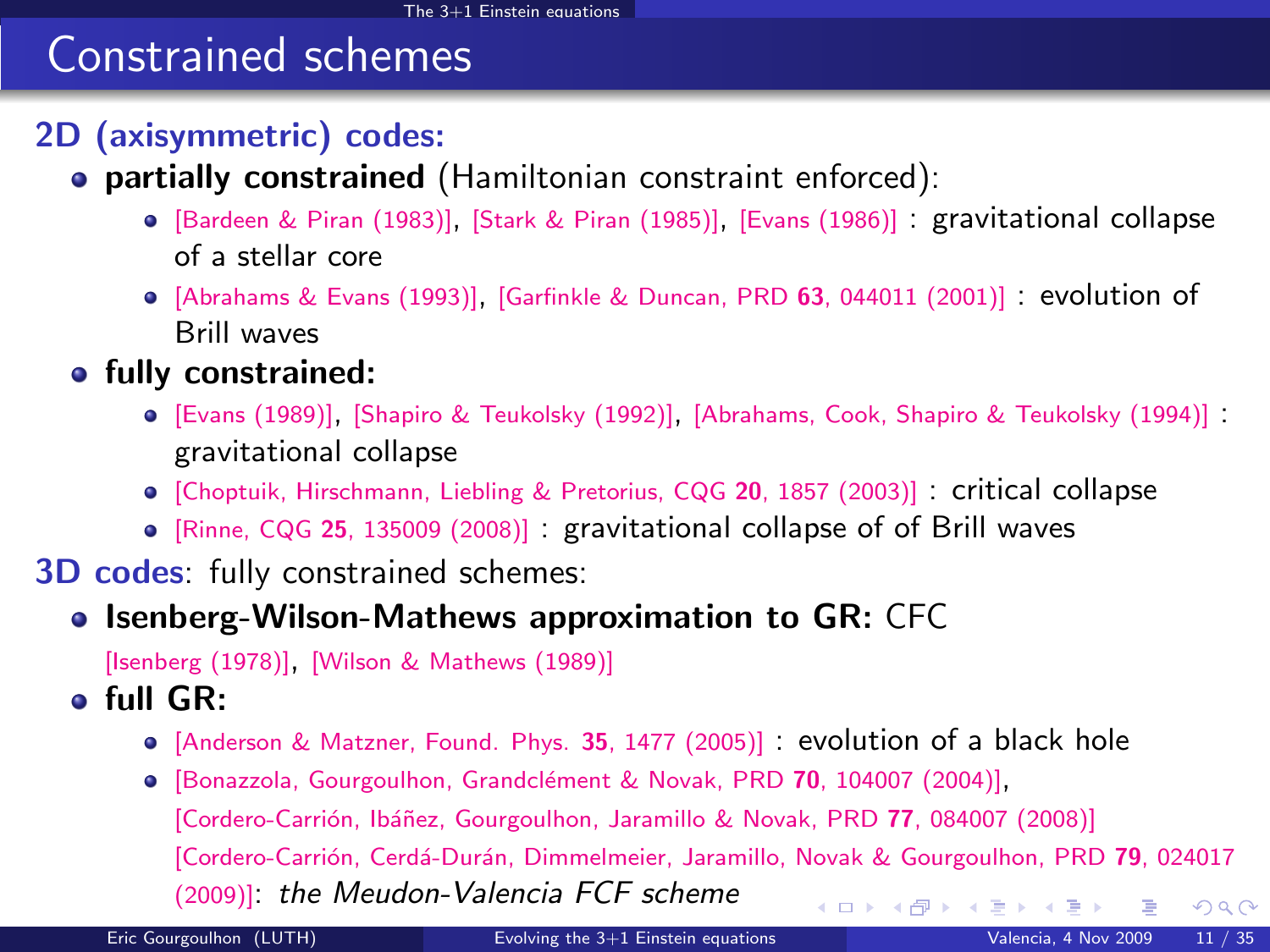# Constrained schemes

### 2D (axisymmetric) codes:

- **partially constrained** (Hamiltonian constraint enforced):
	- [\[Bardeen & Piran \(1983\)\]](#page-0-1), [\[Stark & Piran \(1985\)\]](#page-0-1), [\[Evans \(1986\)\]](#page-0-1) : gravitational collapse of a stellar core
	- $\bullet$  [\[Abrahams & Evans \(1993\)\]](#page-0-1), [\[Garfinkle & Duncan, PRD](http://link.aps.org/abstract/PRD/v63/e044011) 63, 044011 (2001)] : evolution of Brill waves
- **•** fully constrained:
	- [\[Evans \(1989\)\]](#page-0-1), [\[Shapiro & Teukolsky \(1992\)\]](#page-0-1), [\[Abrahams, Cook, Shapiro & Teukolsky \(1994\)\]](#page-0-1) : gravitational collapse
	- [\[Choptuik, Hirschmann, Liebling & Pretorius, CQG](#page-0-1) 20, 1857 (2003)] : critical collapse
	- [Rinne, CQG 25[, 135009 \(2008\)\]](#page-0-1) : gravitational collapse of of Brill waves

#### 3D codes: fully constrained schemes:

#### • Isenberg-Wilson-Mathews approximation to GR: CFC

[\[Isenberg \(1978\)\]](#page-0-1), [\[Wilson & Mathews \(1989\)\]](#page-0-1)

#### full GR:

- [\[Anderson & Matzner, Found. Phys.](#page-0-1) 35, 1477 (2005)] : evolution of a black hole
- <span id="page-14-0"></span>**•** [Bonazzola, Gourgoulhon, Grandclément & Novak, PRD 70, 104007 (2004)], [Cordero-Carrión, Ibáñez, Gourgoulhon, Jaramillo & Novak, PRD 77, 084007 (2008)] [Cordero-Carrión, Cerdá-Durán, Dimmelmeier, Jaramillo, Novak & Gourgoulhon, PRD 79, 024017 [\(2009\)\]](http://link.aps.org/abstract/PRD/v79/e024017): the Meudon-Valencia FCF scheme メロト メ御 トメ きょ メきょ  $299$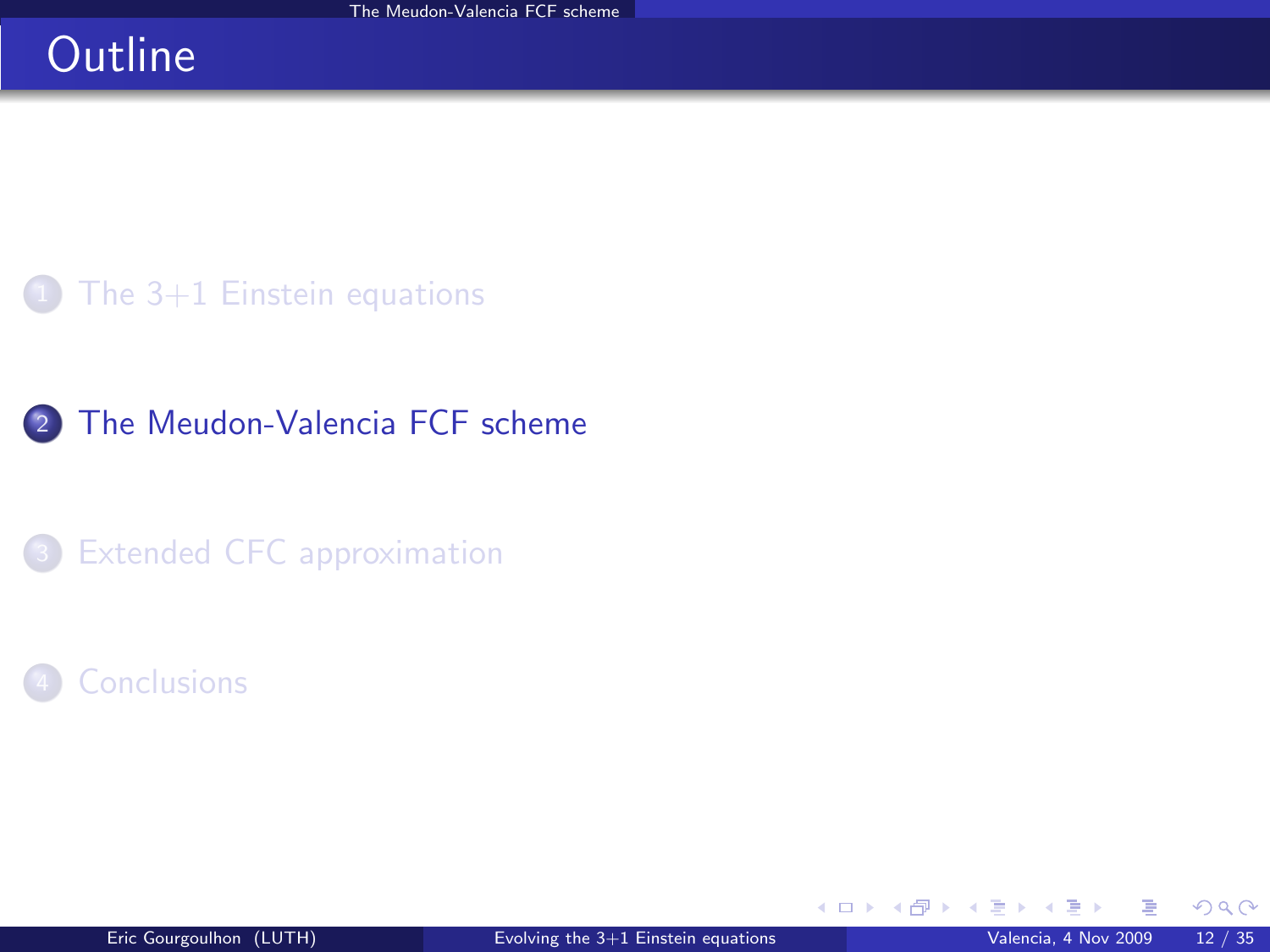# **Outline**

The  $3+1$  Einstein equations

### 2 [The Meudon-Valencia FCF scheme](#page-15-0)

<sup>3</sup> [Extended CFC approximation](#page-29-0)

### **[Conclusions](#page-44-0)**

<span id="page-15-0"></span> $298$ 

**K ロ ▶ K 御 ▶ K 舌**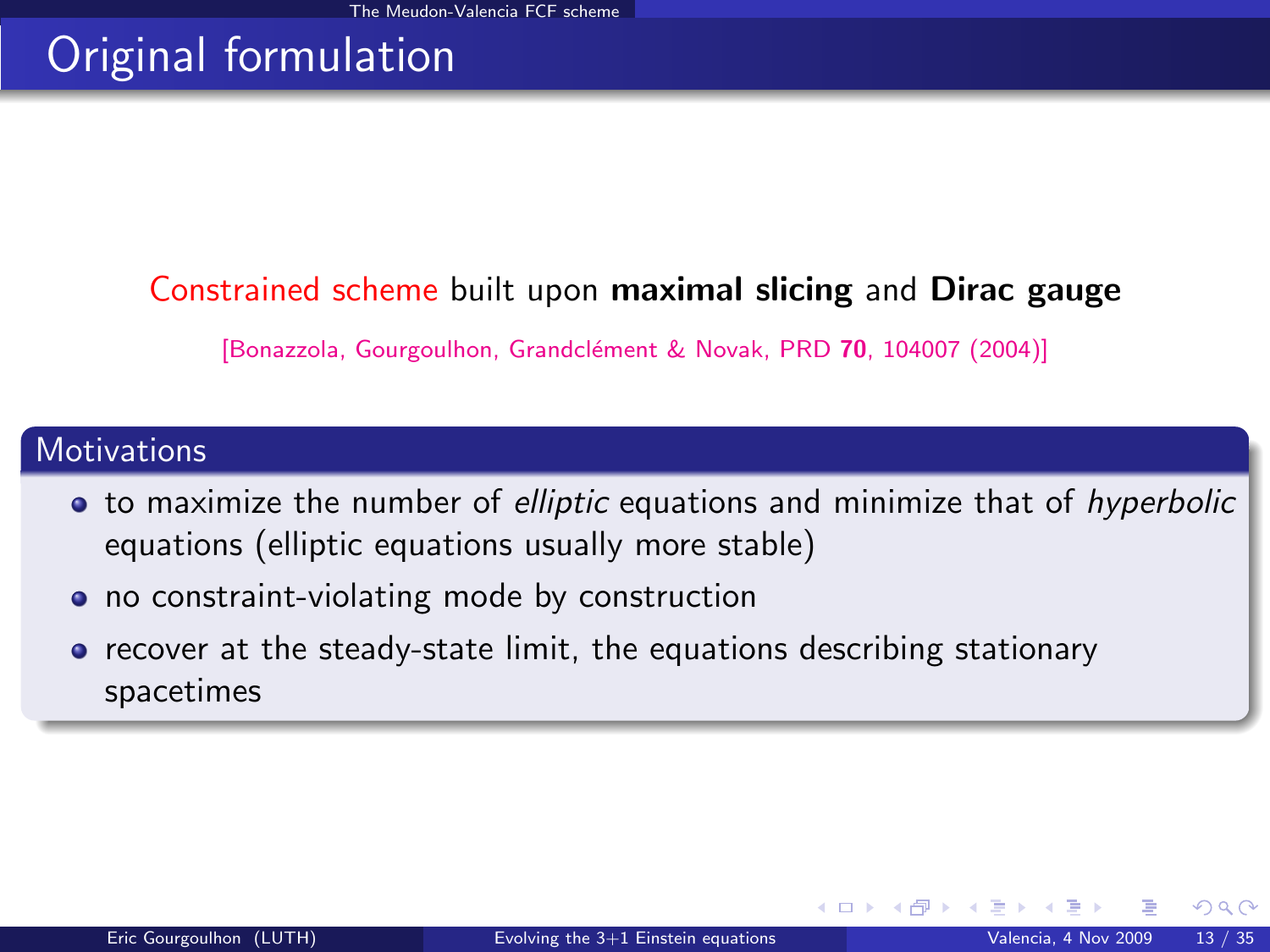# Original formulation

### Constrained scheme built upon maximal slicing and Dirac gauge

[Bonazzola, Gourgoulhon, Grandclément & Novak, PRD 70, 104007 (2004)]

#### **Motivations**

- to maximize the number of *elliptic* equations and minimize that of hyperbolic equations (elliptic equations usually more stable)
- no constraint-violating mode by construction
- recover at the steady-state limit, the equations describing stationary spacetimes

 $\Omega$ 

**K ロ ▶ K 何 ▶ K**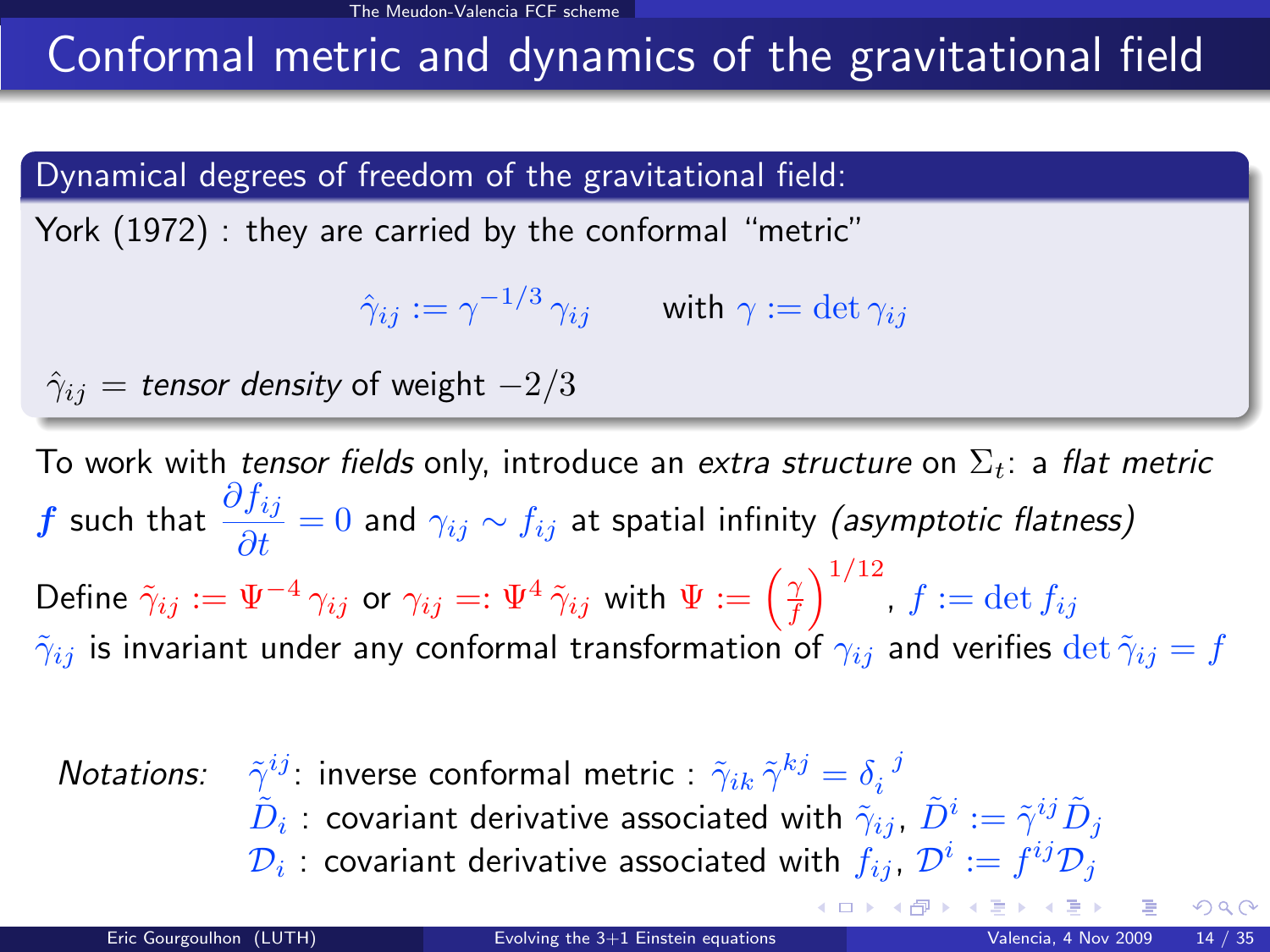# Conformal metric and dynamics of the gravitational field

#### Dynamical degrees of freedom of the gravitational field:

York (1972) : they are carried by the conformal "metric"

$$
\hat{\gamma}_{ij}:=\gamma^{-1/3}\,\gamma_{ij}\qquad\text{with }\gamma:=\det\gamma_{ij}
$$

$$
\hat{\gamma}_{ij} = \text{tensor density of weight } -2/3
$$

To work with tensor fields only, introduce an extra structure on  $\Sigma_t$ : a flat metric  $\bm{f}$  such that  $\displaystyle\frac{\partial f_{ij}}{\partial t}=0$  and  $\gamma_{ij}\sim f_{ij}$  at spatial infinity (*asymptotic flatness*) Define  $\tilde \gamma_{ij}:=\Psi^{-4}\,\gamma_{ij}$  or  $\gamma_{ij}=:\Psi^{4}\,\tilde \gamma_{ij}$  with  $\Psi:=\left(\frac{\gamma}{f}\right)^{1/12}$ ,  $f:=\det f_{ij}$  $\tilde{\gamma}_{ij}$  is invariant under any conformal transformation of  $\gamma_{ij}$  and verifies  $\det \tilde{\gamma}_{ij} = f$ 

| Notations:                                                                                                                   | $\tilde{\gamma}^{ij}$ : inverse conformal metric : $\tilde{\gamma}_{ik}\tilde{\gamma}^{kj} = \delta_i{}^j$ |
|------------------------------------------------------------------------------------------------------------------------------|------------------------------------------------------------------------------------------------------------|
| $\tilde{D}_i$ : covariant derivative associated with $\tilde{\gamma}_{ij}$ , $\tilde{D}^i := \tilde{\gamma}^{ij}\tilde{D}_j$ |                                                                                                            |
| $\mathcal{D}_i$ : covariant derivative associated with $f_{ij}$ , $\mathcal{D}^i := f^{ij}\mathcal{D}_j$                     |                                                                                                            |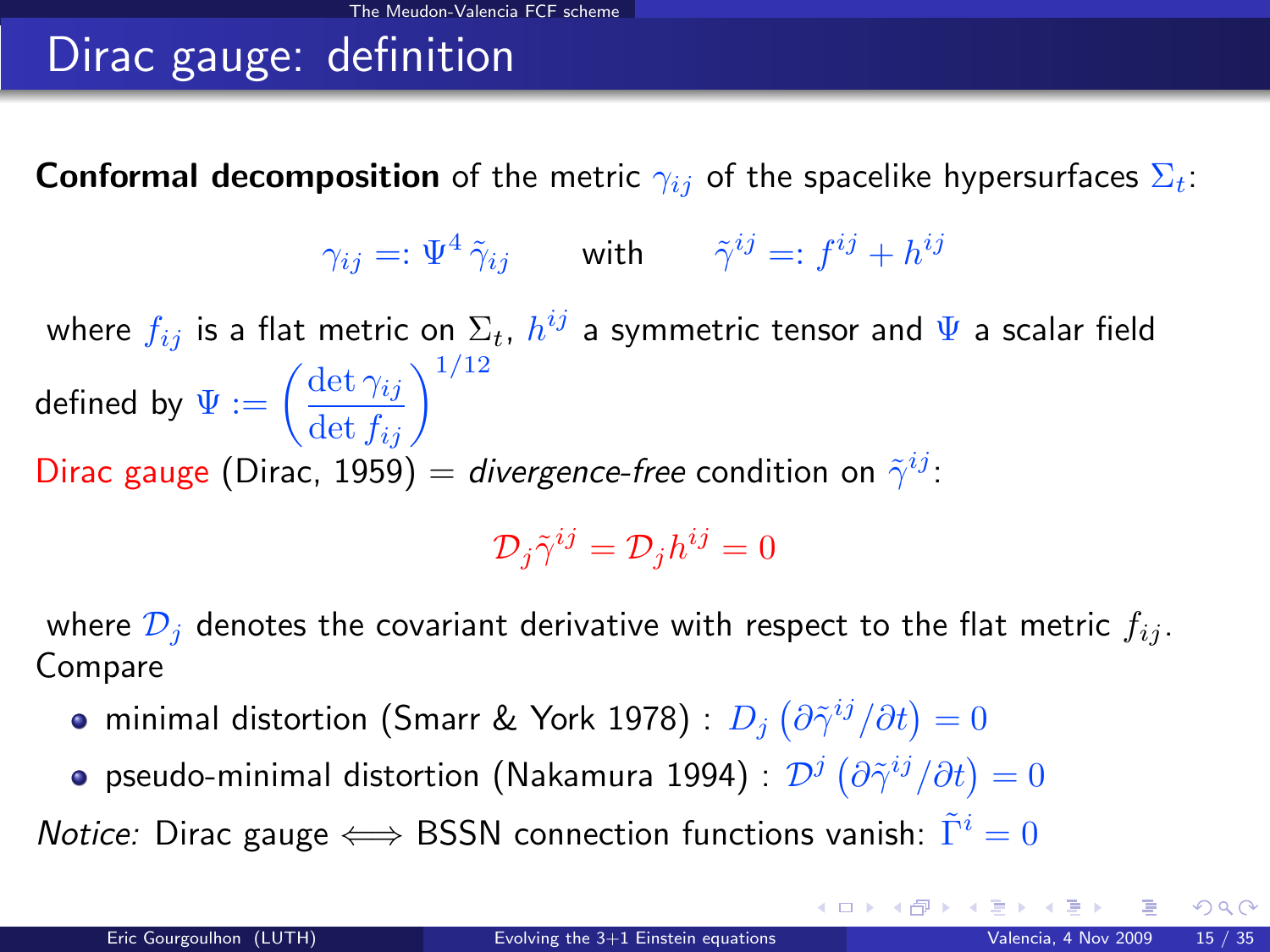# Dirac gauge: definition

**Conformal decomposition** of the metric  $\gamma_{ij}$  of the spacelike hypersurfaces  $\Sigma_t$ :

$$
\gamma_{ij} =: \Psi^4 \, \tilde{\gamma}_{ij} \qquad \text{with} \qquad \tilde{\gamma}^{ij} =: f^{ij} + h^{ij}
$$

where  $f_{ij}$  is a flat metric on  $\Sigma_t$ ,  $h^{ij}$  a symmetric tensor and  $\Psi$  a scalar field defined by  $\Psi:=\left(\frac{\det \gamma_{ij}}{\det f_{ij}}\right)^{1/12}$ Dirac gauge (Dirac, 1959) = divergence-free condition on  $\tilde{\gamma}^{ij}$ :

 $\mathcal{D}_j \tilde{\gamma}^{ij} = \mathcal{D}_j h^{ij} = 0$ 

where  $\mathcal{D}_i$  denotes the covariant derivative with respect to the flat metric  $f_{ij}$ . Compare

- minimal distortion (Smarr & York 1978) :  $D_j\left(\partial\tilde{\gamma}^{ij}/\partial t\right)=0$
- pseudo-minimal distortion (Nakamura 1994) :  $\mathcal{D}^j\left(\partial\tilde{\gamma}^{ij}/\partial t\right)=0$

*Notice:* Dirac gauge  $\Longleftrightarrow$  BSSN connection functions vanish:  $\tilde{\Gamma}^i = 0$ 

 $\Omega$ 

 $\left\{ \begin{array}{ccc} 1 & 0 & 0 \\ 0 & 1 & 0 \end{array} \right\}$  ,  $\left\{ \begin{array}{ccc} 0 & 0 & 0 \\ 0 & 0 & 0 \end{array} \right\}$  ,  $\left\{ \begin{array}{ccc} 0 & 0 & 0 \\ 0 & 0 & 0 \end{array} \right\}$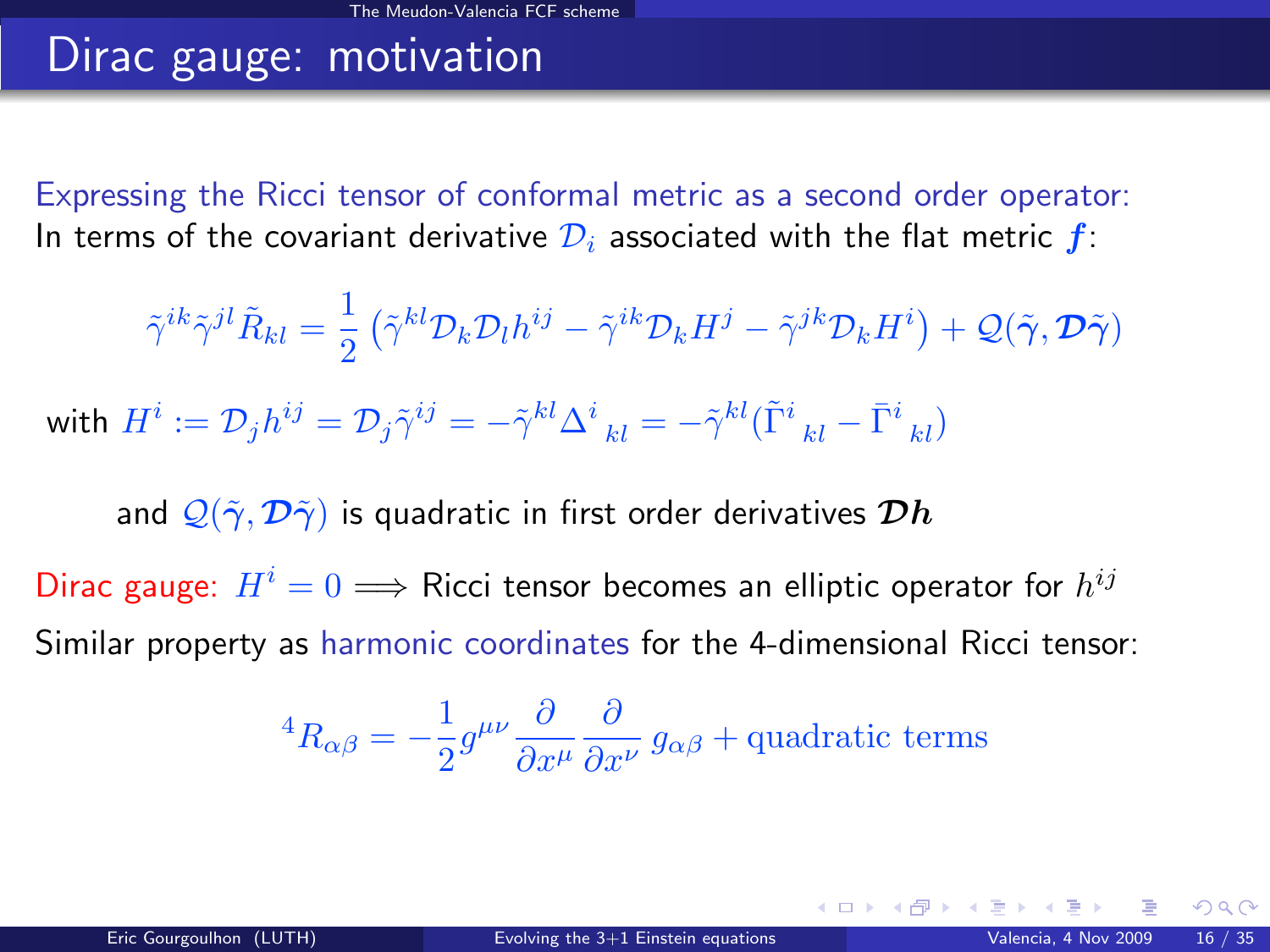# Dirac gauge: motivation

Expressing the Ricci tensor of conformal metric as a second order operator: In terms of the covariant derivative  $\mathcal{D}_i$  associated with the flat metric  $f$ :

$$
\tilde{\gamma}^{ik}\tilde{\gamma}^{jl}\tilde{R}_{kl} = \frac{1}{2} \left( \tilde{\gamma}^{kl} \mathcal{D}_k \mathcal{D}_l h^{ij} - \tilde{\gamma}^{ik} \mathcal{D}_k H^j - \tilde{\gamma}^{jk} \mathcal{D}_k H^i \right) + \mathcal{Q}(\tilde{\gamma}, \mathcal{D}\tilde{\gamma})
$$

with  $H^i:=\mathcal{D}_jh^{ij}=\mathcal{D}_j\tilde{\gamma}^{ij}=-\tilde{\gamma}^{kl}\Delta^i\frac{}{kl}=-\tilde{\gamma}^{kl}(\tilde{\Gamma}^i\frac{}{kl}-\bar{\Gamma}^i\frac{}{kl})$ 

and  $\mathcal{Q}(\tilde{\gamma}, \mathcal{D}\tilde{\gamma})$  is quadratic in first order derivatives  $\mathcal{D}h$ 

Dirac gauge:  $H^i = 0 \Longrightarrow$  Ricci tensor becomes an elliptic operator for  $h^{ij}$ Similar property as harmonic coordinates for the 4-dimensional Ricci tensor:

<sup>4</sup>
$$
R_{\alpha\beta} = -\frac{1}{2}g^{\mu\nu}\frac{\partial}{\partial x^{\mu}}\frac{\partial}{\partial x^{\nu}}g_{\alpha\beta} + \text{quadratic terms}
$$

 $\Omega$ 

**K ロ ト K 何 ト K ヨ ト**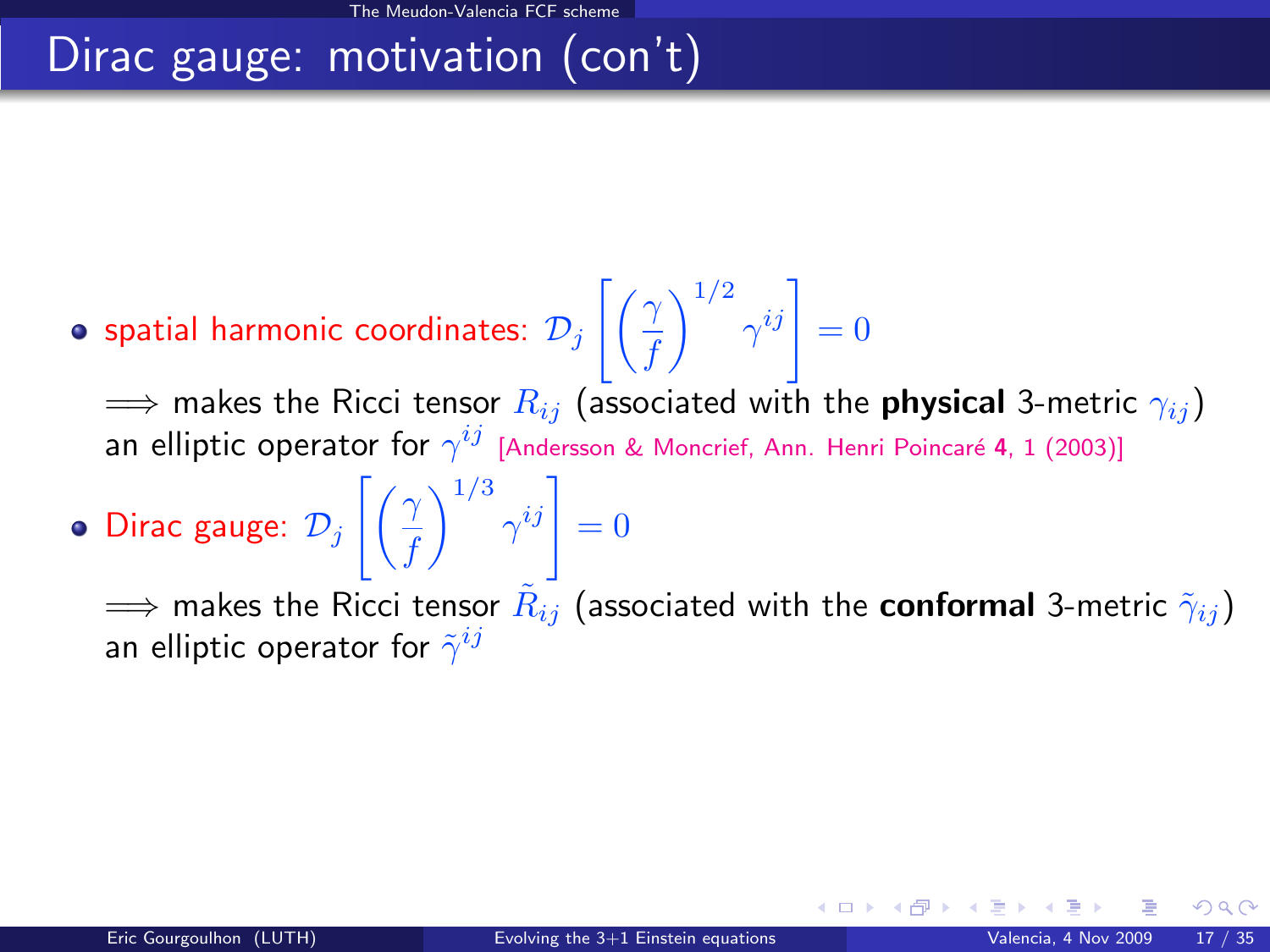# Dirac gauge: motivation (con't)

spatial harmonic coordinates:  $\mathcal{D}_j\left[\left(\frac{\gamma}{f}\right)\right]$ f  $\left.\bigwedge^{1/2} \gamma^{ij}\right|=0$ 

 $\implies$  makes the Ricci tensor  $R_{ij}$  (associated with the **physical** 3-metric  $\gamma_{ij}$ ) an elliptic operator for  $\gamma^{ij}$  [Andersson & Moncrief, Ann. Henri Poincaré 4, 1 (2003)]

Dirac gauge:  $\mathcal{D}_j$   $\Bigl[ \Bigl( \frac{\gamma}{f} \Bigr)$ f  $\left.\bigwedge^{1/3}\gamma^{ij}\right|=0$ 

 $\implies$  makes the Ricci tensor  $\tilde R_{ij}$  (associated with the  ${\sf conformal}$  3-metric  $\tilde \gamma_{ij})$ an elliptic operator for  $\tilde{\gamma}^{ij}$ 

**4 ロ ト 4 何 ト 4**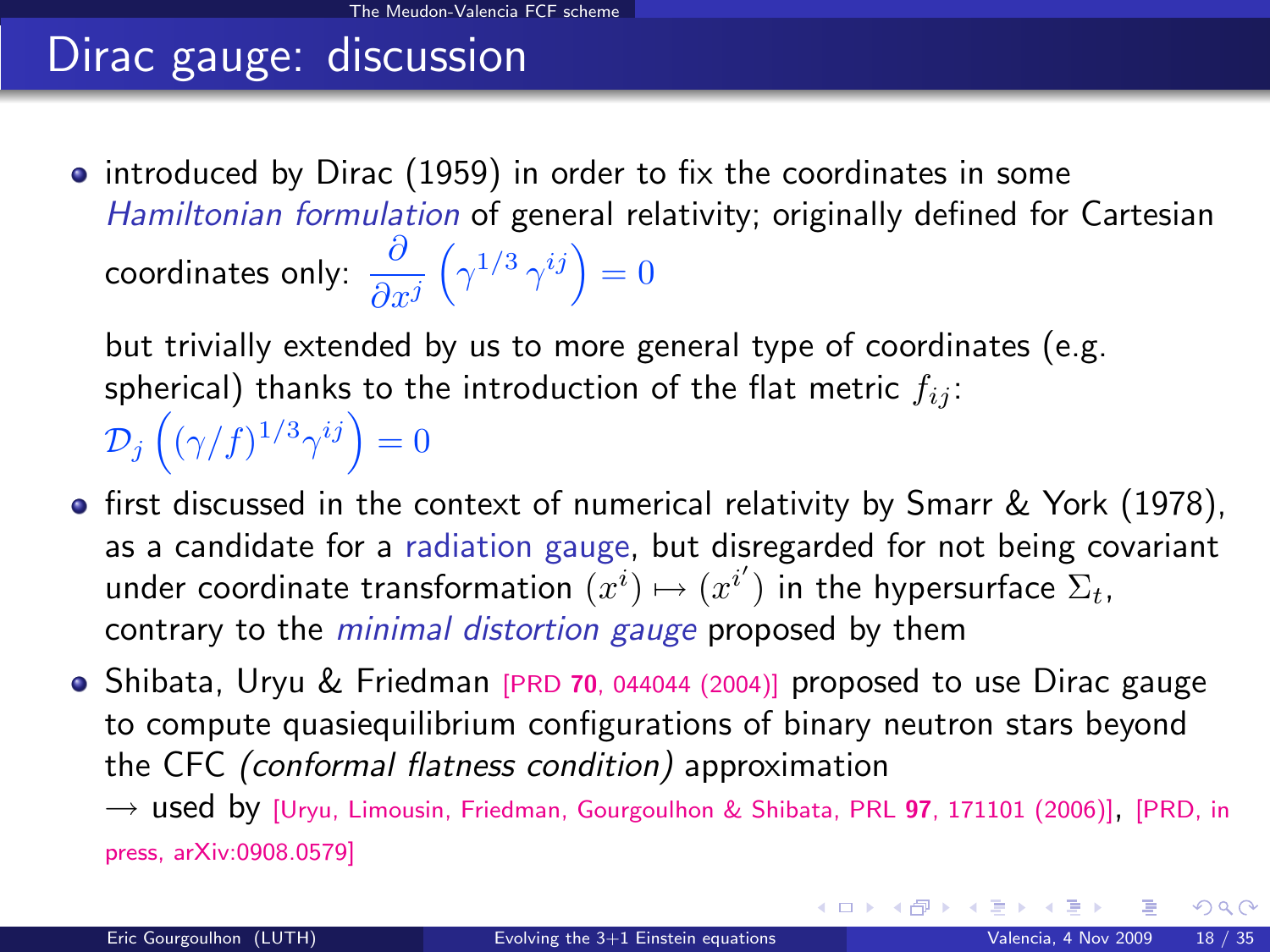# Dirac gauge: discussion

• introduced by Dirac (1959) in order to fix the coordinates in some Hamiltonian formulation of general relativity; originally defined for Cartesian coordinates only:  $\displaystyle{\partial \over \partial x^j}$  $\left(\gamma^{1/3}\,\gamma^{ij}\right)=0$ 

but trivially extended by us to more general type of coordinates (e.g. spherical) thanks to the introduction of the flat metric  $f_{ij}$ :  $\mathcal{D}_j\left((\gamma/f)^{1/3}\gamma^{ij}\right)=0$ 

- **•** first discussed in the context of numerical relativity by Smarr & York (1978), as a candidate for a radiation gauge, but disregarded for not being covariant under coordinate transformation  $\tilde{(x^i)} \mapsto (x^{i'})$  in the hypersurface  $\Sigma_t$ , contrary to the *minimal distortion gauge* proposed by them
- Shibata, Uryu & Friedman [PRD 70[, 044044 \(2004\)\]](http://link.aps.org/abstract/PRD/v70/e044044) proposed to use Dirac gauge to compute quasiequilibrium configurations of binary neutron stars beyond the CFC (conformal flatness condition) approximation

 $\rightarrow$  used by [\[Uryu, Limousin, Friedman, Gourgoulhon & Shibata, PRL](http://link.aps.org/abstract/PRL/v97/e171101) 97, 171101 (2006)], [\[PRD, in](http://arxiv.org/abs/0908.0579) [press, arXiv:0908.0579\]](http://arxiv.org/abs/0908.0579)

 $\Omega$ 

メロト メ都 トメ ヨ トメ ヨト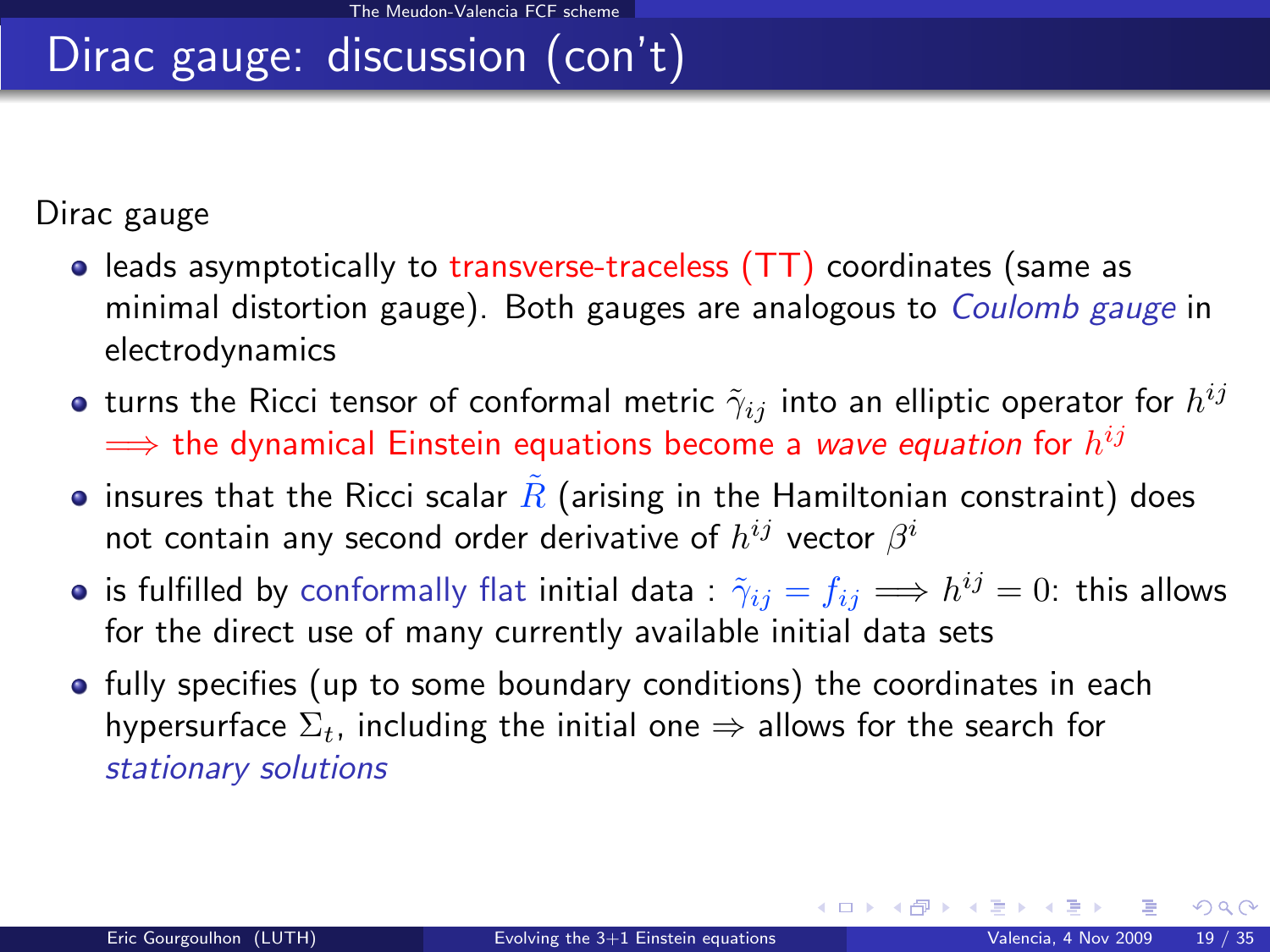# Dirac gauge: discussion (con't)

Dirac gauge

- leads asymptotically to transverse-traceless (TT) coordinates (same as minimal distortion gauge). Both gauges are analogous to Coulomb gauge in electrodynamics
- turns the Ricci tensor of conformal metric  $\tilde{\gamma}_{ij}$  into an elliptic operator for  $h^{ij}$  $\Longrightarrow$  the dynamical Einstein equations become a *wave equation* for  $h^{ij}$
- insures that the Ricci scalar  $\overline{R}$  (arising in the Hamiltonian constraint) does not contain any second order derivative of  $h^{ij}$  vector  $\beta^i$
- is fulfilled by conformally flat initial data :  $\tilde \gamma_{ij} = f_{ij} \Longrightarrow h^{ij} = 0$ : this allows for the direct use of many currently available initial data sets
- fully specifies (up to some boundary conditions) the coordinates in each hypersurface  $\Sigma_t$ , including the initial one  $\Rightarrow$  allows for the search for stationary solutions

 $\Omega$ 

メロメ メ御 メメ きょうぼき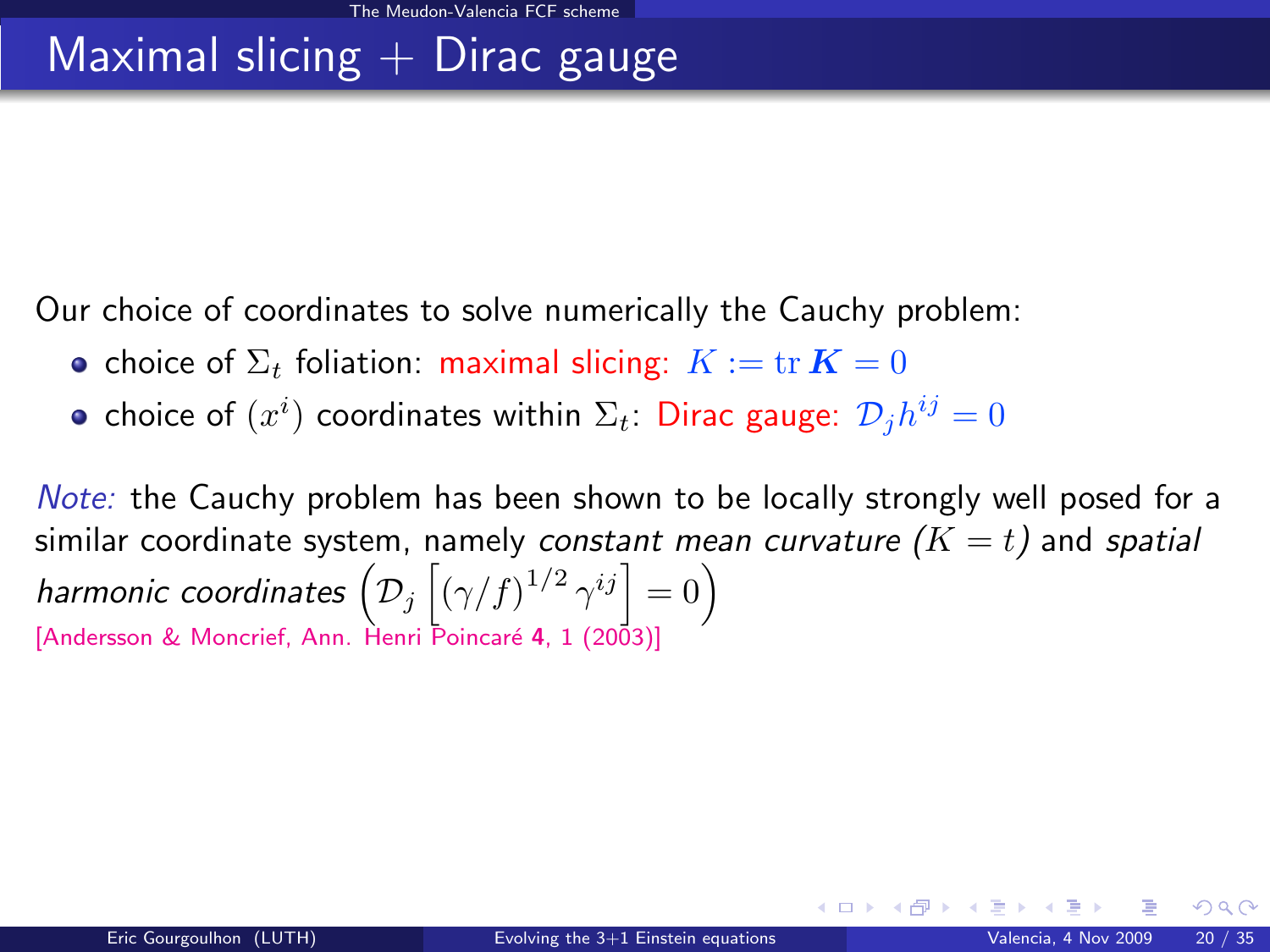# Maximal slicing  $+$  Dirac gauge

Our choice of coordinates to solve numerically the Cauchy problem:

- choice of  $\Sigma_t$  foliation: maximal slicing:  $K := \text{tr } K = 0$
- choice of  $(x^i)$  coordinates within  $\Sigma_t$ : Dirac gauge:  $\mathcal{D}_j h^{ij} = 0$

Note: the Cauchy problem has been shown to be locally strongly well posed for a similar coordinate system, namely constant mean curvature  $(K = t)$  and spatial harmonic coordinates  $\left( \mathcal{D}_j \left[ (\gamma/f)^{1/2} \, \gamma^{ij} \right] = 0 \right)$ [Andersson & Moncrief, Ann. Henri Poincaré 4, 1 (2003)]

**K ロ ▶ K 御 ▶ K 舌**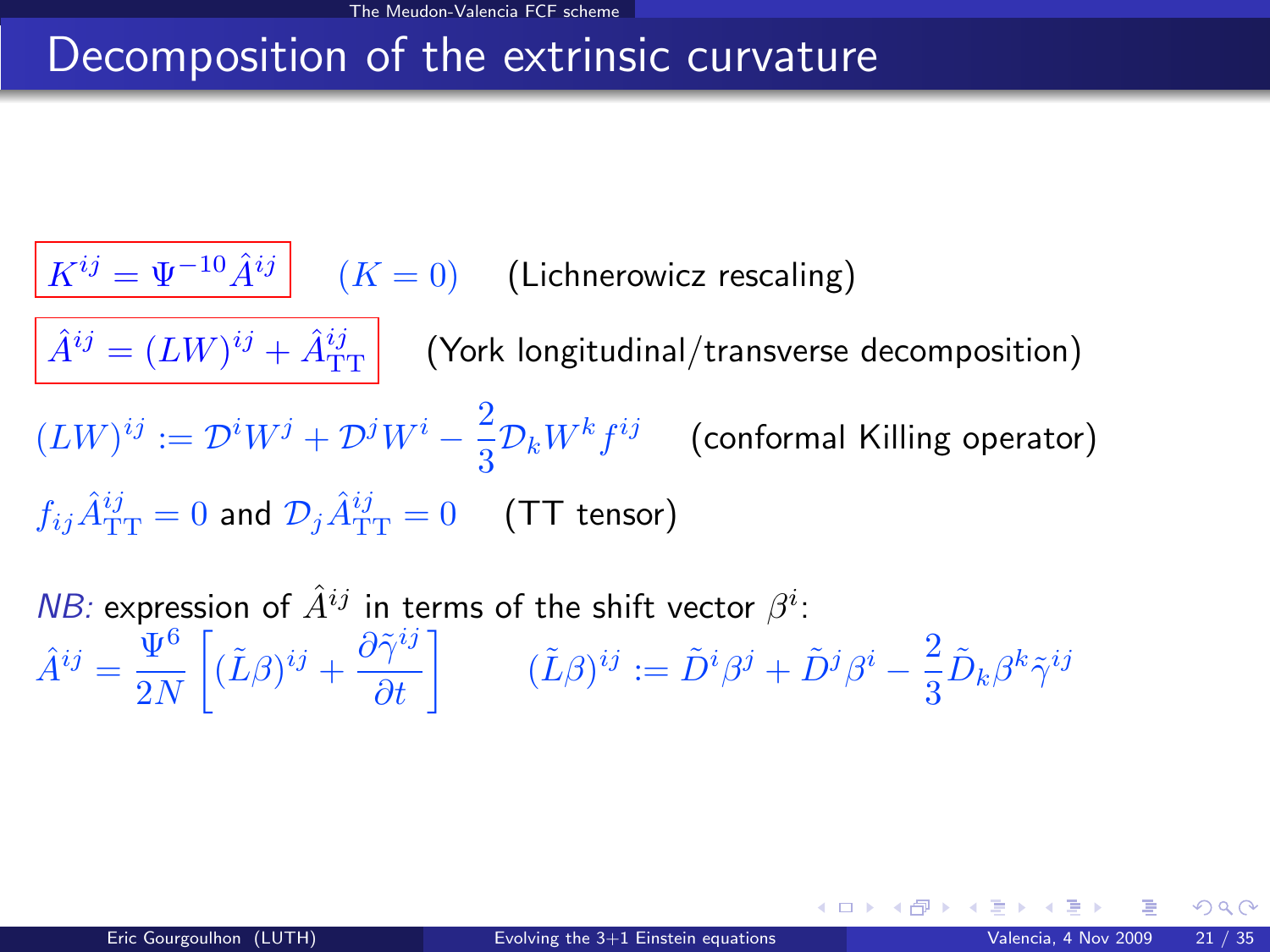## Decomposition of the extrinsic curvature

 $\left| K^{ij} = \Psi^{-10} \hat{A}^{ij} \right|$   $(K = 0)$  (Lichnerowicz rescaling)  $\hat{A}^{ij} = (L W)^{ij} + \hat{A}_{\mathrm{TT}}^{ij} \bigg| \quad \text{(York longitudinal/transverse decomposition)}$  $(LW)^{ij} := \mathcal{D}^i W^j + \mathcal{D}^j W^i - \frac{2}{3}$  $\frac{2}{3}\mathcal{D}_k W^k f^{ij}$  (conformal Killing operator)  $f_{ij}\hat{A}^{ij}_{\rm TT}=0$  and  $\mathcal{D}_{j}\hat{A}^{ij}_{\rm TT}=0$   $\quad$  (TT tensor)

NB: expression of  $\hat{A}^{ij}$  in terms of the shift vector  $\beta^i$ :  $\hat{A}^{ij} = \frac{\Psi^6}{2N}$  $2N$  $\left[ (\tilde{L}\beta)^{ij} + \frac{\partial \tilde{\gamma}^{ij}}{\partial t} \right]$   $(\tilde{L}\beta)^{ij} := \tilde{D}^i \beta^j + \tilde{D}^j \beta^i - \frac{2}{3}$  $\frac{2}{3}\tilde{D}_{k}\beta^{k}\tilde{\gamma}^{ij}$ 

 $\Omega$ 

K ロンス 御 > ス ヨ > ス ヨ > 一 ヨ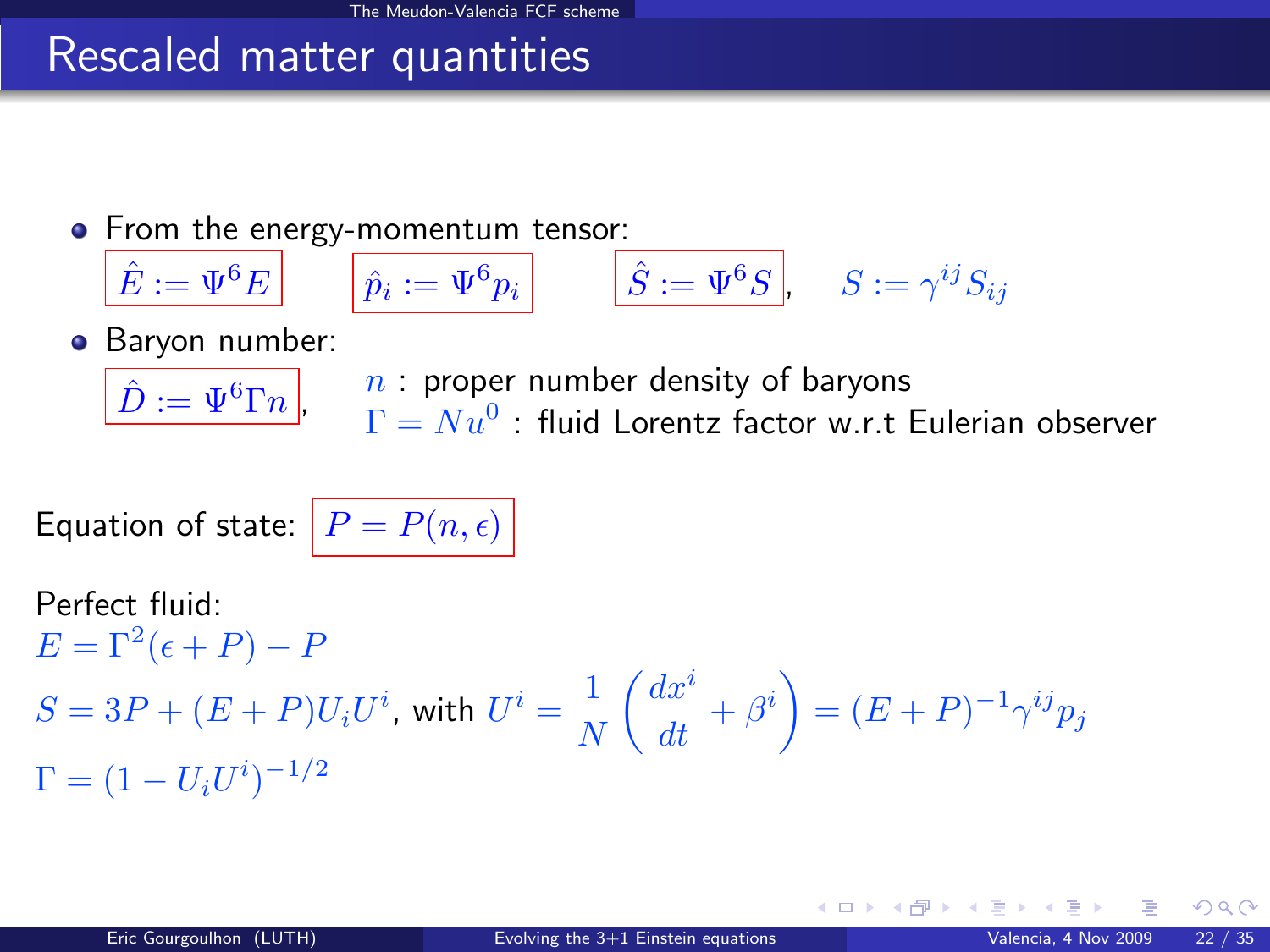# Rescaled matter quantities

From the energy-momentum tensor:

$$
\hat{E} := \Psi^6 E \qquad \qquad \hat{p}_i := \Psi^6 p_i \qquad \qquad \hat{S} := \Psi^6 S \qquad \qquad S := \gamma^{ij} S_{ij}
$$

**•** Baryon number:  $\hat{D} := \Psi^6 \Gamma n \, .$ 

 $n$ : proper number density of baryons

 $\Gamma=Nu^0$  : fluid Lorentz factor w.r.t Eulerian observer

Equation of state:  $|P = P(n, \epsilon)|$ 

Perfect fluid:  $E = \Gamma^2(\epsilon + P) - P$  $S=3P+(E+P)U_iU^i$ , with  $U^i=\frac{1}{N}$ N  $\int dx^i$  $\frac{dx^{i}}{dt}+\beta^{i}\Big)=(E+P)^{-1}\gamma^{ij}p_{j}$  $\Gamma = (1-U_iU^i)^{-1/2}$ 

 $\Omega$ 

イロト イ押 トイヨ トイヨ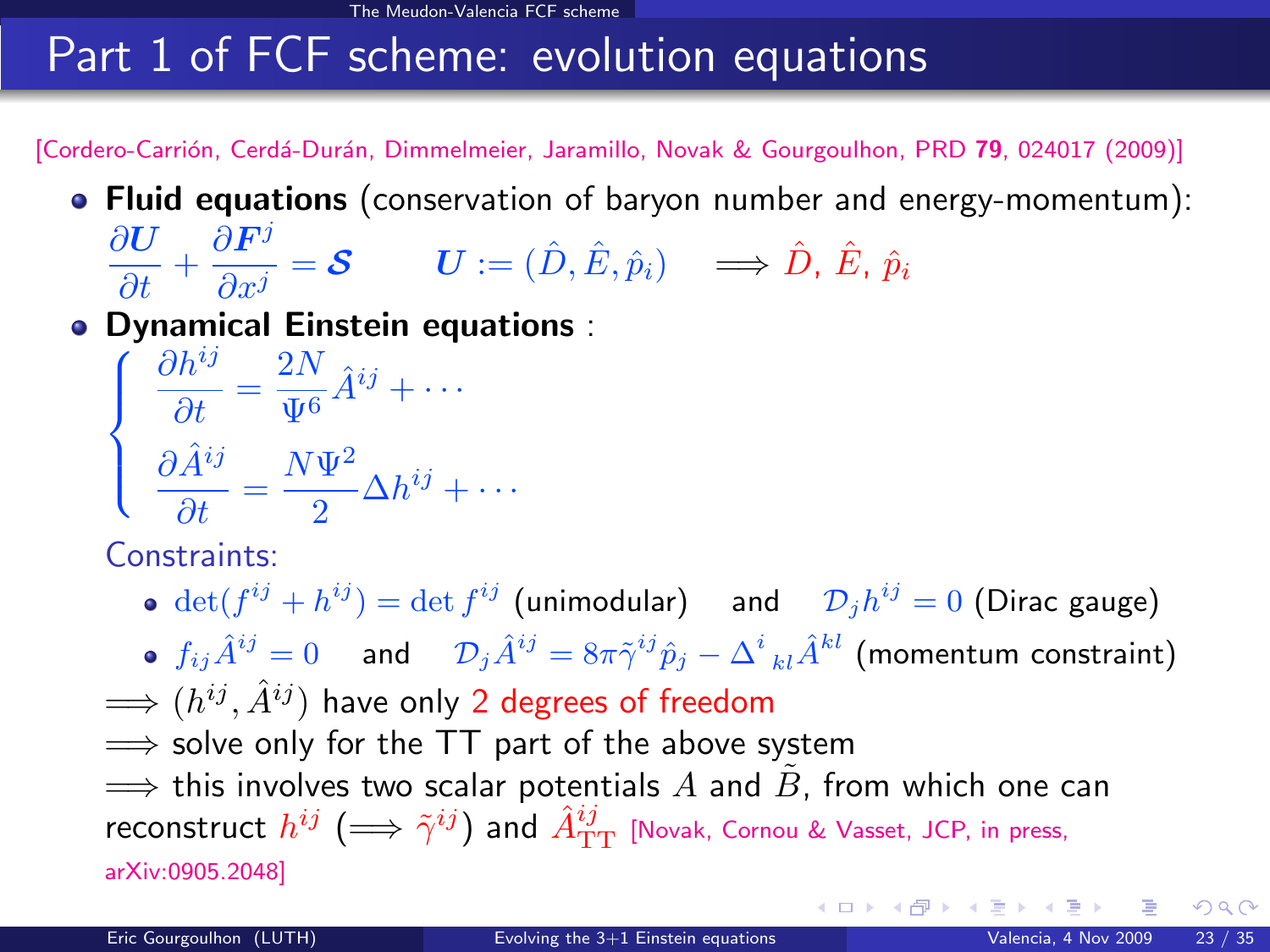# Part 1 of FCF scheme: evolution equations

[Cordero-Carrión, Cerdá-Durán, Dimmelmeier, Jaramillo, Novak & Gourgoulhon, PRD 79, 024017 (2009)]

• Fluid equations (conservation of baryon number and energy-momentum):

$$
\frac{\partial \boldsymbol{U}}{\partial t} + \frac{\partial \boldsymbol{F}^j}{\partial x^j} = \boldsymbol{\mathcal{S}} \qquad \boldsymbol{U} := (\hat{D}, \hat{E}, \hat{p}_i) \quad \Longrightarrow \hat{D}, \ \hat{E}, \ \hat{p}_i
$$

Dynamical Einstein equations :<br>  $\int$   $\frac{\partial h^{ij}}{ }$   $\frac{2N}{\hat{i}^{ij}}$ 

$$
\begin{cases}\n\frac{\partial h^{ij}}{\partial t} = \frac{2N}{\Psi^6} \hat{A}^{ij} + \cdots \\
\frac{\partial \hat{A}^{ij}}{\partial t} = \frac{N\Psi^2}{2} \Delta h^{ij} + \cdots\n\end{cases}
$$

Constraints:

 $\det(f^{ij}+h^{ij})=\det f^{ij}$  (unimodular) and  $\mathcal{D}_jh^{ij}=0$  (Dirac gauge)  $f_{ij}\hat{A}^{ij}=0$  and  ${\cal D}_j\hat{A}^{ij}=8\pi{\tilde{\gamma}}^{ij}\hat{p}_j-{\Delta^i}_{kl}\hat{A}^{kl}$  (momentum constraint)  $\Longrightarrow$   $(h^{ij}, \hat{A}^{ij})$  have only 2 degrees of freedom  $\implies$  solve only for the TT part of the above system  $\implies$  this involves two scalar potentials  $A$  and  $B$ , from which one can reconstruct  $h^{ij}\ (\Longrightarrow\tilde{\gamma}^{ij})$  and  $\hat{A}^{ij}_{\rm TT}$  [\[Novak, Cornou & Vasset, JCP, in press,](http://arxiv.org/abs/0905.2048) [arXiv:0905.2048\]](http://arxiv.org/abs/0905.2048)

<span id="page-26-0"></span> $\left\{ \begin{array}{ccc} 1 & 0 & 0 \\ 0 & 1 & 0 \end{array} \right.$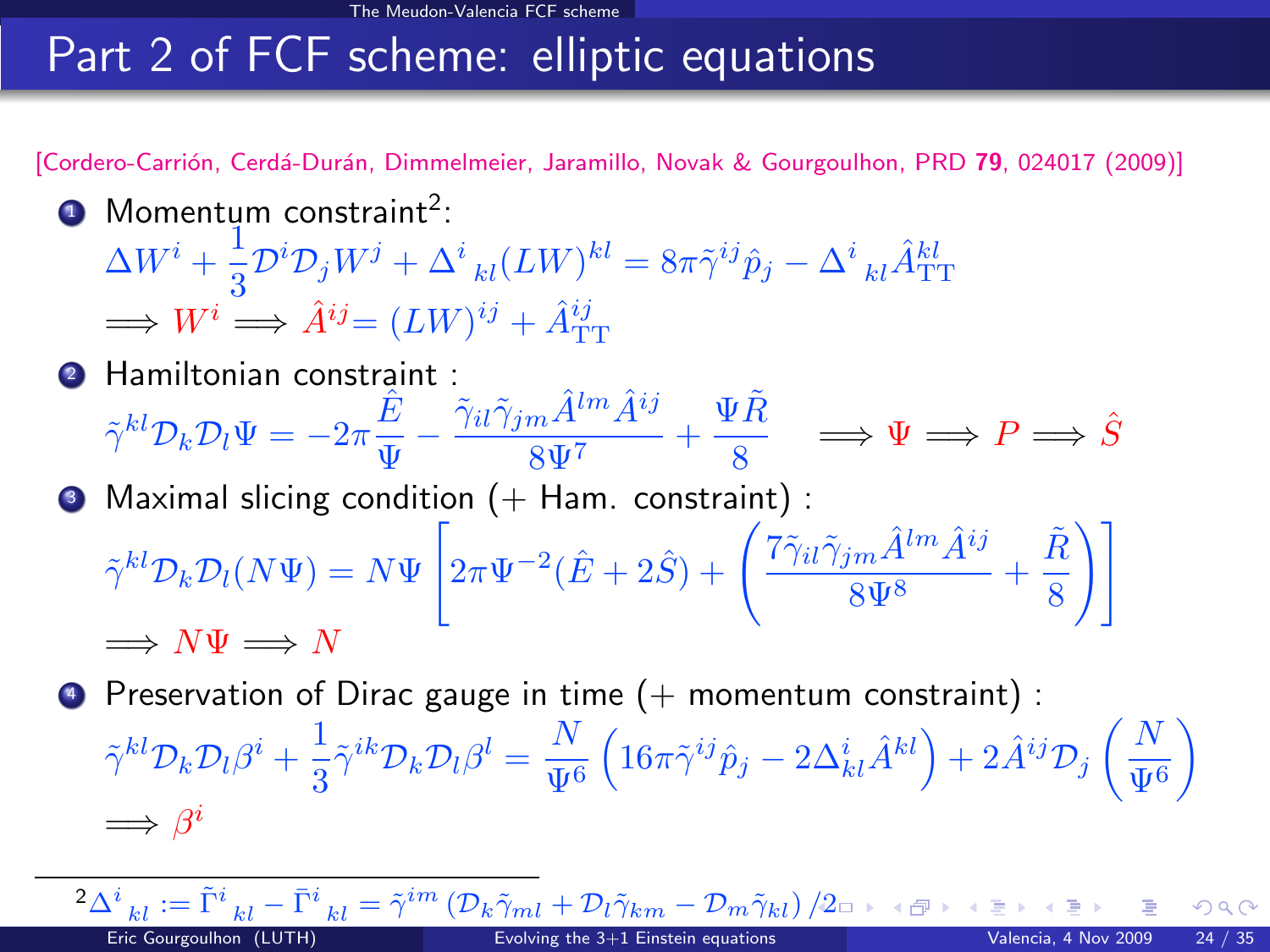# Part 2 of FCF scheme: elliptic equations

[Cordero-Carrión, Cerdá-Durán, Dimmelmeier, Jaramillo, Novak & Gourgoulhon, PRD 79, 024017 (2009)]

- **1** Momentum constraint<sup>2</sup>:  $\Delta W^i+\frac{1}{2}$  $\frac{1}{3}\mathcal{D}^i\mathcal{D}_jW^j+\Delta^i\phantom{i}_{kl}(LW)^{kl}=8\pi\tilde{\gamma}^{ij}\hat{p}_j-\Delta^i\phantom{i}_{kl}\hat{A}^{kl}_{\rm TT}$  $\implies W^i \implies \hat{A}^{ij} = (LW)^{ij} + \hat{A}^{ij}_{TT}$
- **2** Hamiltonian constraint :  $\tilde{\gamma}^{kl} \mathcal{D}_k \mathcal{D}_l \Psi = -2\pi \frac{\hat{E}}{\Psi}$  $\frac{\hat{E}}{\Psi} - \frac{\tilde{\gamma}_{il}\tilde{\gamma}_{jm}\hat{A}^{lm}\hat{A}^{ij}}{8\Psi^7}$  $\frac{m \hat{A}^{lm} \hat{A}^{ij}}{8 \Psi^7} + \frac{\Psi \tilde{R}}{8}$  $\frac{P_{iR}}{8} \Rightarrow \Psi \Longrightarrow P \Longrightarrow \hat{S}$  $\bullet$  Maximal slicing condition (+ Ham. constraint) :  $\tilde{\gamma}^{kl} \mathcal{D}_k \mathcal{D}_l (N \Psi) = N \Psi$  $\Gamma$  $\Big(2\pi\Psi^{-2}(\hat E+2\hat S)+ \Bigg(\frac{7\tilde\gamma_{il}\tilde\gamma_{jm}\hat A^{lm}\hat A^{ij}}{\text{eV}^3}\Bigg)$  $\frac{i m \hat{A}^{lm} \hat{A}^{ij}}{8 \Psi^8} + \frac{\tilde{R}}{8}$ 8  $\setminus$  1  $\implies N\Psi \implies N$
- $\bullet$  Preservation of Dirac gauge in time  $(+)$  momentum constraint) :  $\tilde{\gamma}^{kl} \mathcal{D}_k \mathcal{D}_l \beta^i + \frac{1}{2}$  $\frac{1}{3}\tilde{\gamma}^{ik}\mathcal{D}_k\mathcal{D}_l\beta^l=\frac{N}{\Psi^0}$  $\Psi^6$  $\left(16\pi\tilde{\gamma}^{ij}\hat{p}_j-2\Delta_{kl}^i\hat{A}^{kl}\right)+2\hat{A}^{ij}\mathcal{D}_j\left(\frac{N}{\Psi}\right)$  $\Psi^6$ λ  $\Longrightarrow \beta^i$

 ${}^{2}\Delta^{i}{}_{kl}:=\tilde{\Gamma}^{i}{}_{kl}-\bar{\Gamma}^{i}{}_{kl}=\tilde{\gamma}^{im}\left(\mathcal{D}_{k}\tilde{\gamma}_{ml}+\mathcal{D}_{l}\tilde{\gamma}_{km}-\mathcal{D}_{m}\tilde{\gamma}_{kl}\right)/2$  ${}^{2}\Delta^{i}{}_{kl}:=\tilde{\Gamma}^{i}{}_{kl}-\bar{\Gamma}^{i}{}_{kl}=\tilde{\gamma}^{im}\left(\mathcal{D}_{k}\tilde{\gamma}_{ml}+\mathcal{D}_{l}\tilde{\gamma}_{km}-\mathcal{D}_{m}\tilde{\gamma}_{kl}\right)/2$  ${}^{2}\Delta^{i}{}_{kl}:=\tilde{\Gamma}^{i}{}_{kl}-\bar{\Gamma}^{i}{}_{kl}=\tilde{\gamma}^{im}\left(\mathcal{D}_{k}\tilde{\gamma}_{ml}+\mathcal{D}_{l}\tilde{\gamma}_{km}-\mathcal{D}_{m}\tilde{\gamma}_{kl}\right)/2$ Eric Gourgoulhon (LUTH) [Evolving the 3+1 Einstein equations](#page-0-0) Valencia, 4 Nov 2009 24 / 35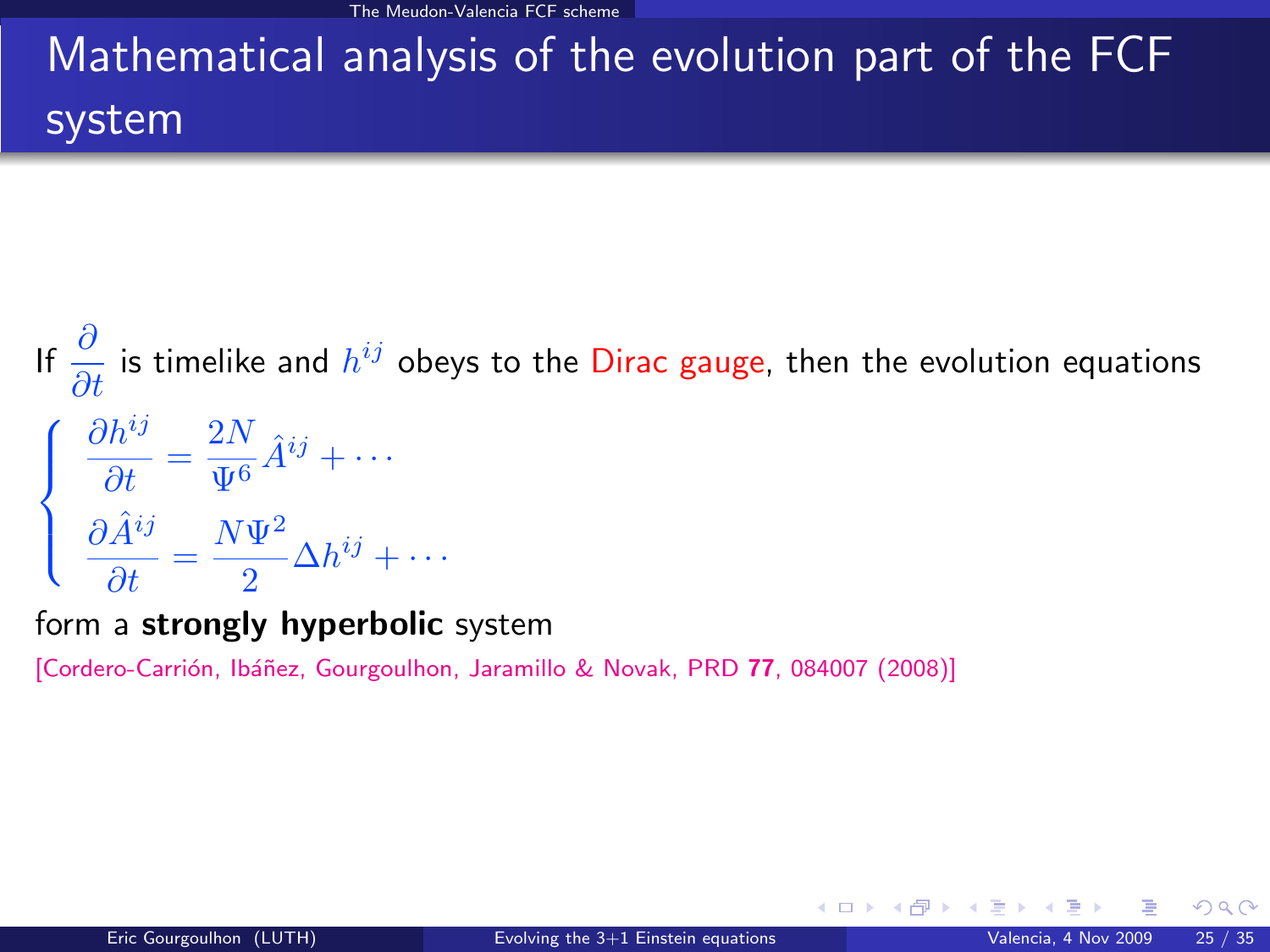The Meudon-Valencia FCF scheme

# Mathematical analysis of the evolution part of the FCF system

If  $\frac{\partial}{\partial t}$  is timelike and  $h^{ij}$  obeys to the Dirac gauge, then the evolution equations  $\sqrt{ }$  $\int$  $\mathcal{L}$  $\partial h^{ij}$  $\frac{\partial h^{ij}}{\partial t} = \frac{2N}{\Psi^6}$  $\frac{2N}{\Psi^6} \hat{A}^{ij} + \cdots$  $\partial \hat{A}^{ij}$  $\frac{dt}{dt}$  =  $N \Psi^2$  $\frac{1}{2} \Delta h^{ij} + \cdots$ 

form a strongly hyperbolic system

[Cordero-Carrión, Ibáñez, Gourgoulhon, Jaramillo & Novak, PRD 77, 084007 (2008)]

**K ロ ト K 何 ト K 目**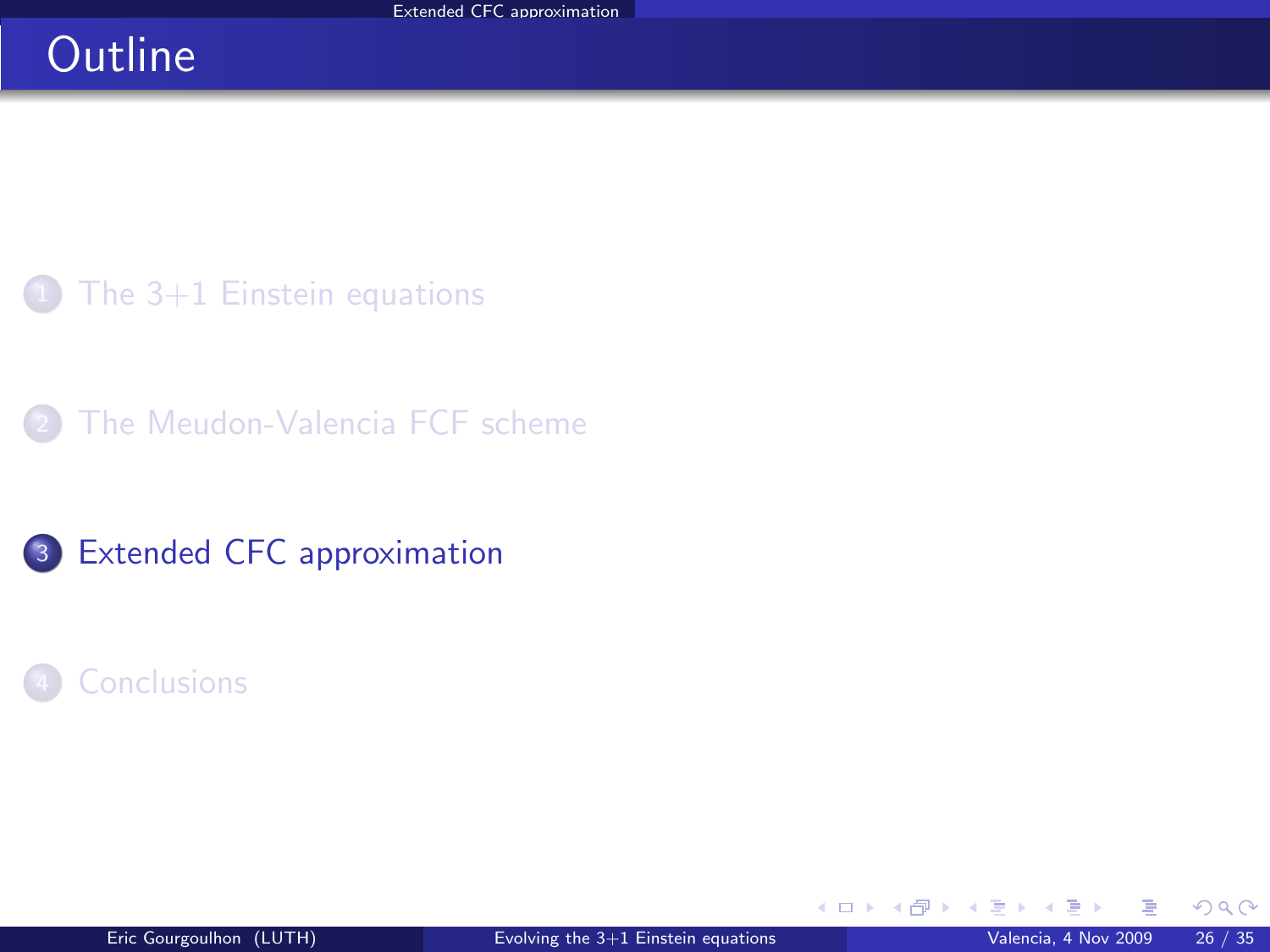# **Outline**

 $1$  [The 3+1 Einstein equations](#page-2-0)

[The Meudon-Valencia FCF scheme](#page-15-0)

<sup>3</sup> [Extended CFC approximation](#page-29-0)

### **[Conclusions](#page-44-0)**

<span id="page-29-0"></span> $298$ 

**K ロ ▶ K 伊 ▶ K** 

э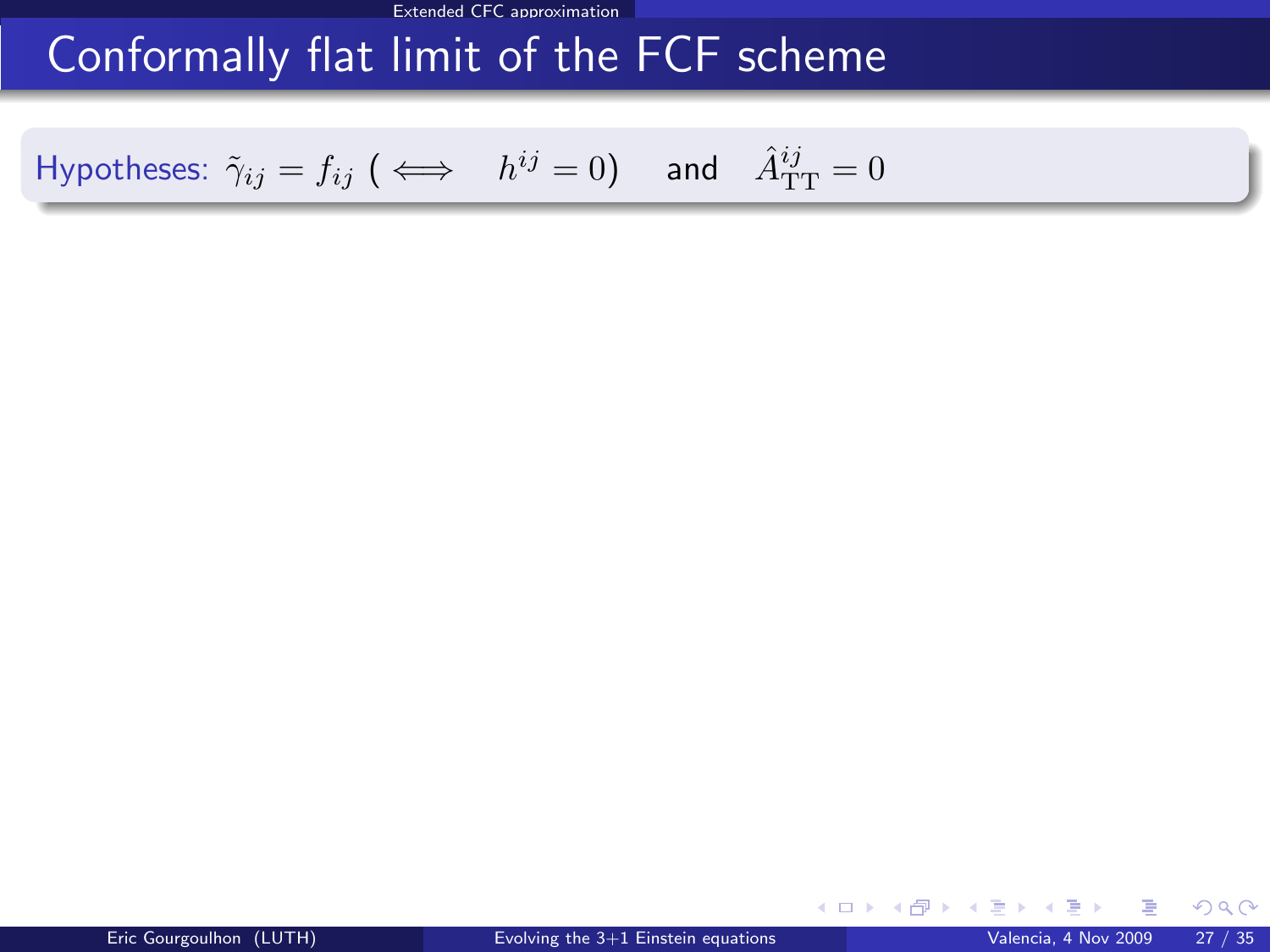# Conformally flat limit of the FCF scheme

Hypotheses:  $\tilde{\gamma}_{ij} = f_{ij}$  ( $\iff$   $h^{ij} = 0$ ) and  $\hat{A}_{\mathrm{TT}}^{ij} = 0$ 

メロト メ都 トメ ミトメ

<span id="page-30-0"></span> $299$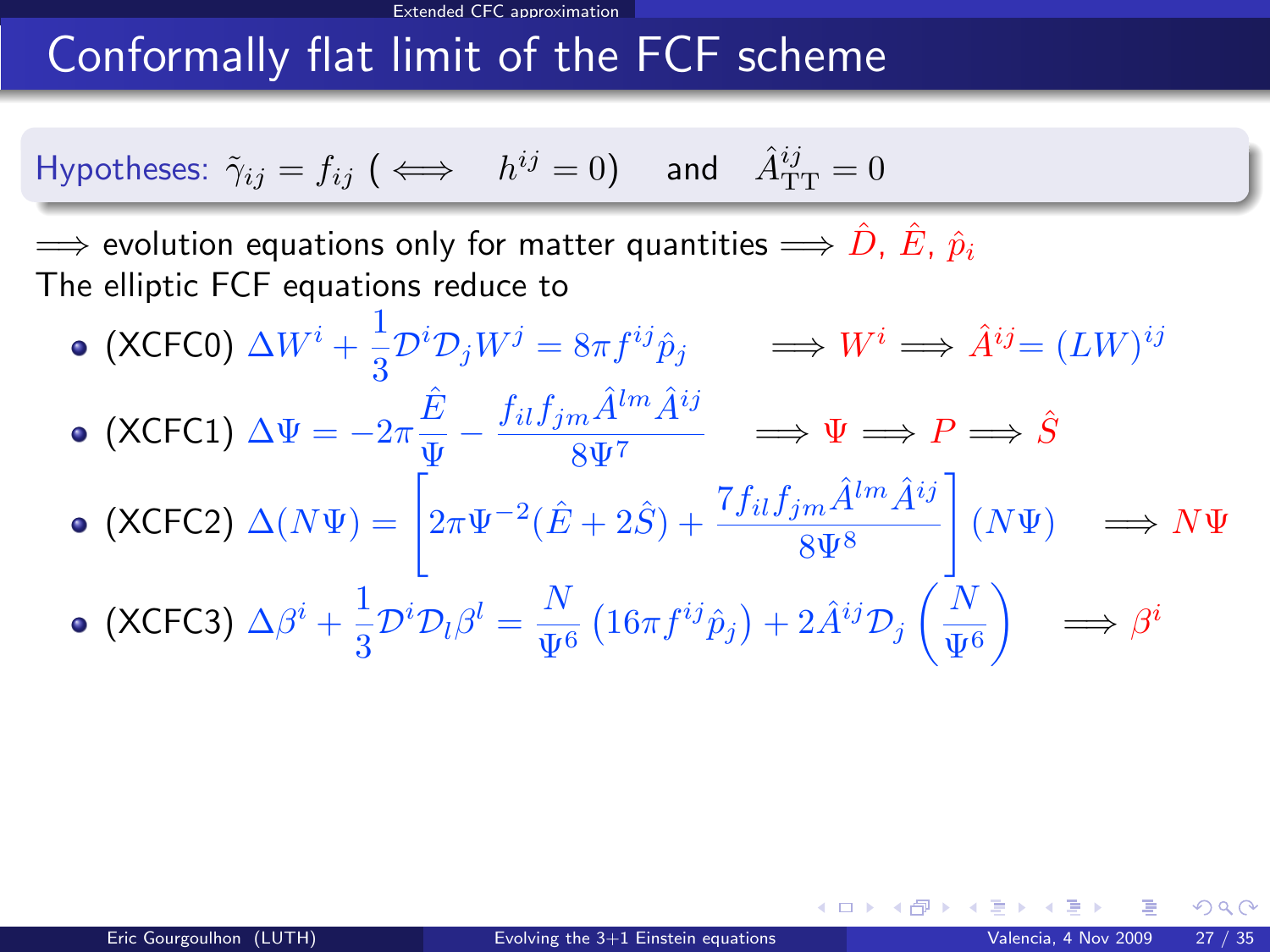#### Extended CFC approximation

# Conformally flat limit of the FCF scheme

Hypotheses: 
$$
\tilde{\gamma}_{ij} = f_{ij}
$$
 ( $\iff$   $h^{ij} = 0$ ) and  $\hat{A}_{TT}^{ij} = 0$ 

 $\implies$  evolution equations only for matter quantities  $\implies \hat{D},\,\hat{E},\,\hat{p}_i$ The elliptic FCF equations reduce to

(XCFC0)  $\Delta W^i + \frac{1}{2}$  $\frac{1}{3}\mathcal{D}^i\mathcal{D}_jW^j = 8\pi f^{ij}\hat{p}_j \longrightarrow W^i \Longrightarrow \hat{A}^{ij} = (LW)^{ij}$ (XCFC1)  $\Delta \Psi = -2\pi \frac{\hat{E}}{\Phi}$  $\frac{\hat{E}}{\Psi} - \frac{f_{il}f_{jm}\hat{A}^{lm}\hat{A}^{ij}}{8\Psi^7}$  $\frac{m}{8\Psi^7}$   $\implies \Psi \implies P \implies \hat{S}$  $(XCFC2) \Delta(N\Psi) = \left[2\pi \Psi^{-2}(\hat{E} + 2\hat{S}) + \frac{7f_{il}f_{jm}\hat{A}^{lm}\hat{A}^{ij}}{8\Psi^{8}}\right]$ 1  $(N\Psi) \implies N\Psi$ (XCFC3)  $\Delta \beta^i + \frac{1}{2}$  $\frac{1}{3}\mathcal{D}^i\mathcal{D}_l\beta^l=\frac{N}{\Psi^0}$  $\frac{N}{\Psi^6}\left(16\pi f^{ij}\hat{p}_j\right)+2\hat{A}^{ij}{\cal D}_j\left(\frac{N}{\Psi^6}\right)$  $\Psi^6$  $\Big) \Rightarrow \beta^i$ 

<span id="page-31-0"></span> $\Omega$ 

**K ロ ト K 何 ト K 日**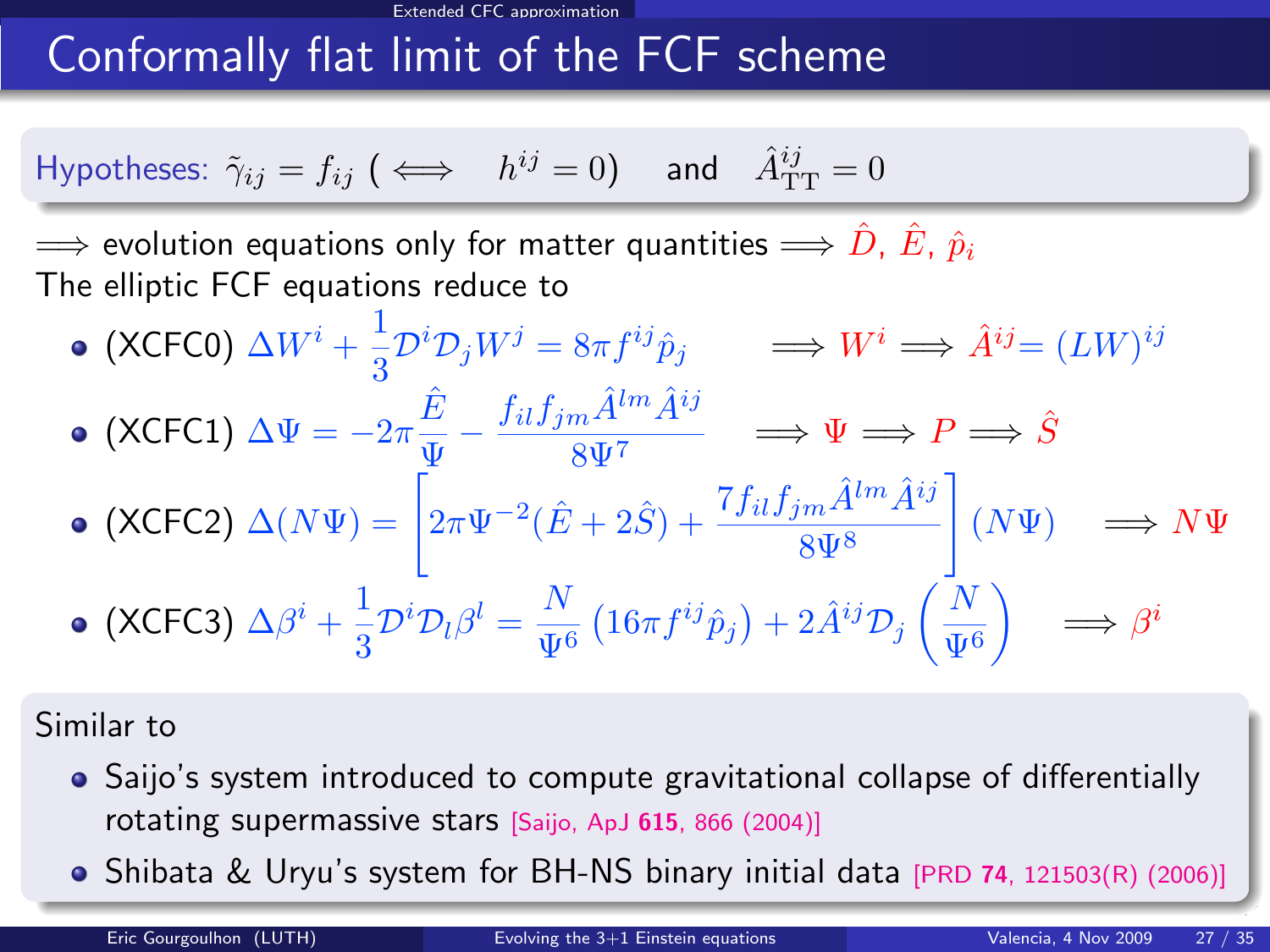# Conformally flat limit of the FCF scheme

Hypotheses: 
$$
\tilde{\gamma}_{ij} = f_{ij}
$$
 ( $\iff$   $h^{ij} = 0$ ) and  $\hat{A}_{TT}^{ij} = 0$ 

 $\implies$  evolution equations only for matter quantities  $\implies \hat{D}, \hat{E}, \hat{p}_i$ The elliptic FCF equations reduce to

(XCFC0)  $\Delta W^i + \frac{1}{2}$  $\frac{1}{3}\mathcal{D}^i\mathcal{D}_jW^j = 8\pi f^{ij}\hat{p}_j \longrightarrow W^i \Longrightarrow \hat{A}^{ij} = (LW)^{ij}$ (XCFC1)  $\Delta \Psi = -2\pi \frac{\hat{E}}{\Phi}$  $\frac{\hat{E}}{\Psi} - \frac{f_{il}f_{jm}\hat{A}^{lm}\hat{A}^{ij}}{8\Psi^7}$  $\frac{m}{8\Psi^7}$   $\implies \Psi \implies P \implies \hat{S}$  $(XCFC2) \Delta(N\Psi) = \left[2\pi \Psi^{-2}(\hat{E} + 2\hat{S}) + \frac{7f_{il}f_{jm}\hat{A}^{lm}\hat{A}^{ij}}{8\Psi^{8}}\right]$ 1  $(N\Psi) \implies N\Psi$ (XCFC3)  $\Delta \beta^i + \frac{1}{2}$  $\frac{1}{3}\mathcal{D}^i\mathcal{D}_l\beta^l=\frac{N}{\Psi^0}$  $\frac{N}{\Psi^6}\left(16\pi f^{ij}\hat{p}_j\right)+2\hat{A}^{ij}{\cal D}_j\left(\frac{N}{\Psi^6}\right)$  $\Psi^6$  $\Big) \Rightarrow \beta^i$ 

#### Similar to

- Saijo's system introduced to compute gravitational collapse of differentially rotating supermassive stars [Saijo, ApJ <sup>615</sup>[, 866 \(2004\)\]](#page-0-1)
- Shibata & Uryu's system for BH-NS binary initi[al d](#page-31-0)[at](#page-33-0)[a](#page-29-0)  $[PROV 74, 121503(R) (2006)]$  $[PROV 74, 121503(R) (2006)]$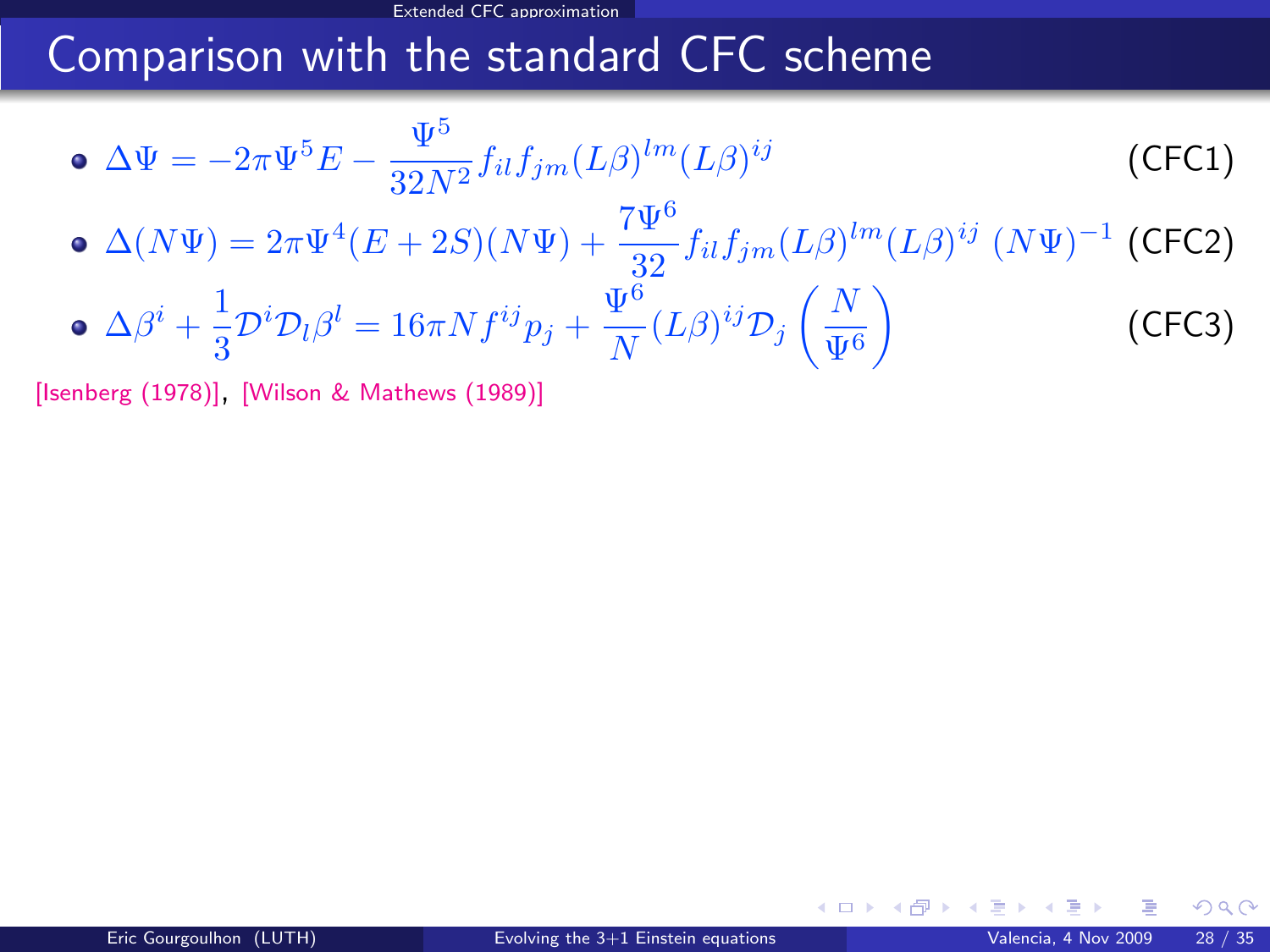### Comparison with the standard CFC scheme

• 
$$
\Delta \Psi = -2\pi \Psi^5 E - \frac{\Psi^5}{32N^2} f_{il} f_{jm} (L\beta)^{lm} (L\beta)^{ij}
$$
 (CFC1)  
\n•  $\Delta (N\Psi) = 2\pi \Psi^4 (E + 2S)(N\Psi) + \frac{7\Psi^6}{32} f_{il} f_{jm} (L\beta)^{lm} (L\beta)^{ij} (N\Psi)^{-1}$  (CFC2)  
\n•  $\Delta \beta^i + \frac{1}{3} \mathcal{D}^i \mathcal{D}_l \beta^l = 16\pi N f^{ij} p_j + \frac{\Psi^6}{N} (L\beta)^{ij} \mathcal{D}_j \left(\frac{N}{\Psi^6}\right)$  (CFC3)

[\[Isenberg \(1978\)\]](#page-0-1), [\[Wilson & Mathews \(1989\)\]](#page-0-1)

<span id="page-33-0"></span> $298$ 

(□ ) ( ) →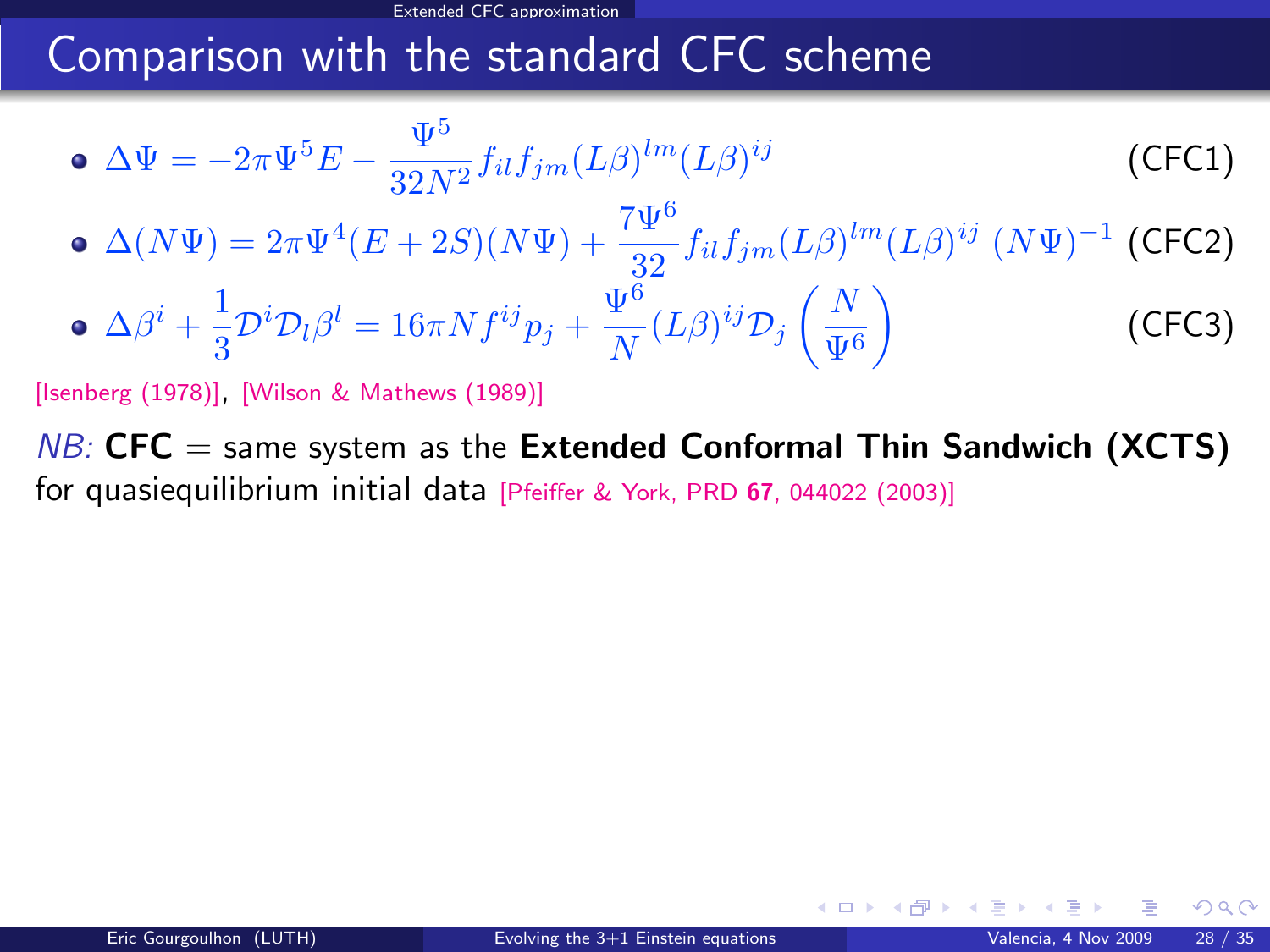## Comparison with the standard CFC scheme

• 
$$
\Delta \Psi = -2\pi \Psi^5 E - \frac{\Psi^5}{32N^2} f_{il} f_{jm} (L\beta)^{lm} (L\beta)^{ij}
$$
 (CFC1)  
\n•  $\Delta (N\Psi) = 2\pi \Psi^4 (E + 2S)(N\Psi) + \frac{7\Psi^6}{32} f_{il} f_{jm} (L\beta)^{lm} (L\beta)^{ij} (N\Psi)^{-1}$  (CFC2)  
\n•  $\Delta \beta^i + \frac{1}{3} \mathcal{D}^i \mathcal{D}_l \beta^l = 16\pi N f^{ij} p_j + \frac{\Psi^6}{N} (L\beta)^{ij} \mathcal{D}_j \left(\frac{N}{\Psi^6}\right)$  (CFC3)

[\[Isenberg \(1978\)\]](#page-0-1), [\[Wilson & Mathews \(1989\)\]](#page-0-1)

 $NB:$  CFC  $=$  same system as the Extended Conformal Thin Sandwich (XCTS) for quasiequilibrium initial data [\[Pfeiffer & York, PRD](#page-0-1) <sup>67</sup>, 044022 (2003)]

 $\Omega$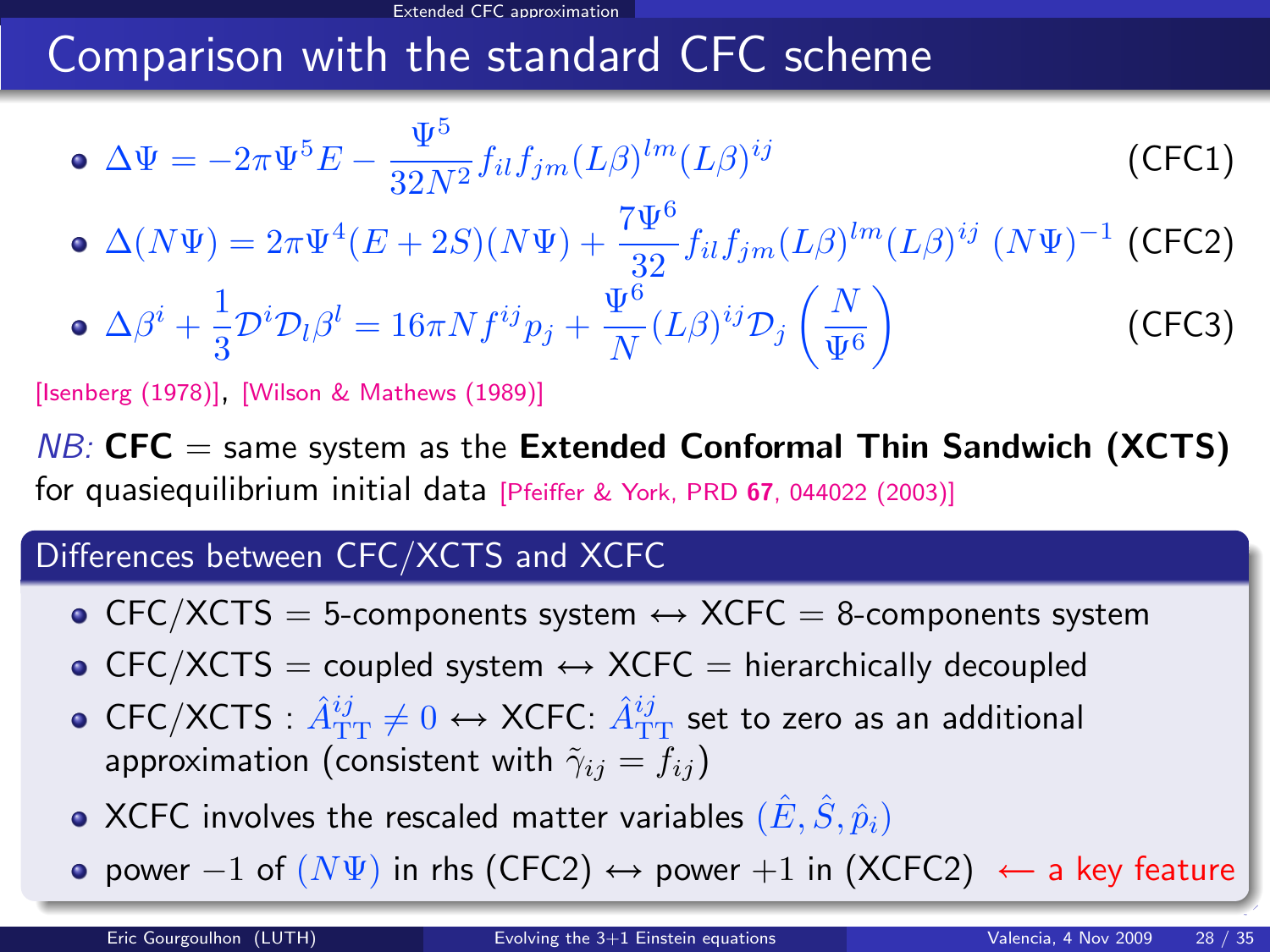# Comparison with the standard CFC scheme

$$
\bullet \ \Delta \Psi = -2\pi \Psi^5 E - \frac{\Psi^5}{32N^2} f_{il} f_{jm} (L\beta)^{lm} (L\beta)^{ij} \tag{CFC1}
$$

 $\Delta(N\Psi) = 2\pi \Psi^4 (E+2S)(N\Psi) + \frac{7\Psi^6}{32} f_{il} f_{jm} (L\beta)^{lm} (L\beta)^{ij} (N\Psi)^{-1}$  (CFC2)

• 
$$
\Delta \beta^i + \frac{1}{3} \mathcal{D}^i \mathcal{D}_l \beta^l = 16 \pi N f^{ij} p_j + \frac{\Psi^6}{N} (L \beta)^{ij} \mathcal{D}_j \left( \frac{N}{\Psi^6} \right)
$$
 (CFC3)

[\[Isenberg \(1978\)\]](#page-0-1), [\[Wilson & Mathews \(1989\)\]](#page-0-1)

 $NB:$  CFC  $=$  same system as the Extended Conformal Thin Sandwich (XCTS) for quasiequilibrium initial data [\[Pfeiffer & York, PRD](#page-0-1) <sup>67</sup>, 044022 (2003)]

#### Differences between CFC/XCTS and XCFC

- CFC/XCTS = 5-components system  $\leftrightarrow$  XCFC = 8-components system
- $\bullet$  CFC/XCTS = coupled system  $\leftrightarrow$  XCFC = hierarchically decoupled
- <code>CFC/XCTS</code> :  $\hat A_{\rm TT}^{ij}\neq 0 \leftrightarrow$  XCFC:  $\hat A_{\rm TT}^{ij}$  set to zero as an additional approximation (consistent with  $\tilde{\gamma}_{ij} = f_{ij}$ )
- $\bullet$  XCFC involves the rescaled matter variables  $(\hat{E}, \hat{S}, \hat{p}_i)$
- power  $-1$  of  $(N\Psi)$  in rhs (CFC2)  $\leftrightarrow$  power  $+1$  in (XCFC2)  $\leftarrow$  a key feature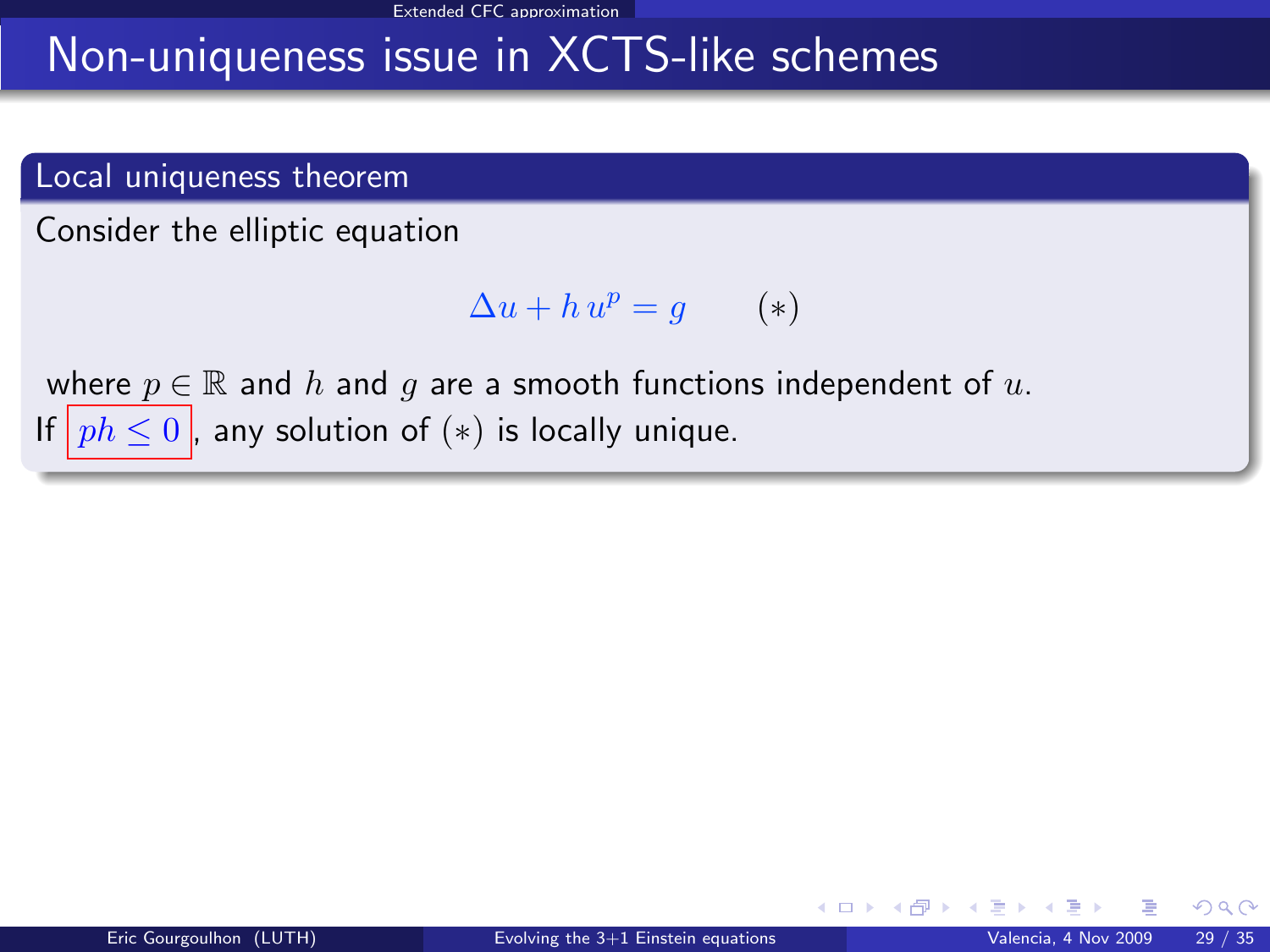#### Extended CFC approximation

### Non-uniqueness issue in XCTS-like schemes

#### Local uniqueness theorem

Consider the elliptic equation

$$
\Delta u + h u^p = g \qquad (*)
$$

where  $p \in \mathbb{R}$  and h and g are a smooth functions independent of u. If  $ph \leq 0$ , any solution of  $(*)$  is locally unique.

 $\Omega$ 

**K ロ ▶ K 何 ▶ K**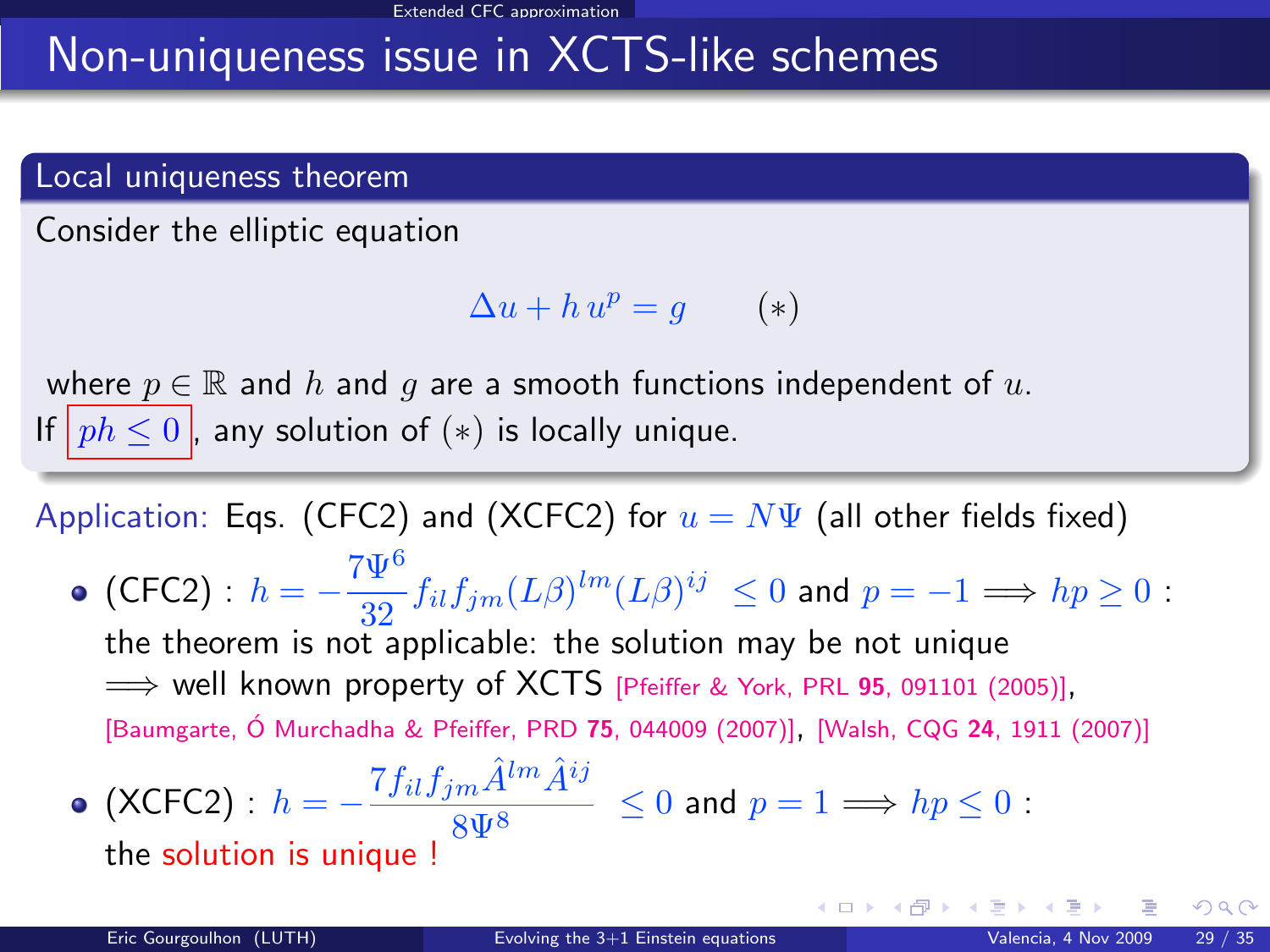# Non-uniqueness issue in XCTS-like schemes

#### Local uniqueness theorem

Consider the elliptic equation

$$
\Delta u + h u^p = g \qquad (*)
$$

where  $p \in \mathbb{R}$  and h and q are a smooth functions independent of u. If  $ph \leq 0$ , any solution of  $(*)$  is locally unique.

Application: Eqs. (CFC2) and (XCFC2) for  $u = N\Psi$  (all other fields fixed)

(CFC2) :  $h = -\frac{7\Psi^6}{30}$  $\frac{4}{32} f_{il} f_{jm} (L\beta)^{lm} (L\beta)^{ij} \leq 0$  and  $p = -1 \Longrightarrow hp \geq 0$ : the theorem is not applicable: the solution may be not unique  $\implies$  well known property of XCTS [\[Pfeiffer & York, PRL](#page-0-1) 95, 091101 (2005)], [Baumgarte, Ó Murchadha & Pfeiffer, PRD 75, 044009 (2007)], [Walsh, CQG 24[, 1911 \(2007\)\]](#page-0-1)

• (XCFC2): 
$$
h = -\frac{7f_{il}f_{jm}\hat{A}^{lm}\hat{A}^{ij}}{8\Psi^8} \le 0 \text{ and } p = 1 \Longrightarrow hp \le 0:
$$
the solution is unique !

メロメ メ御 メメ きょうぼき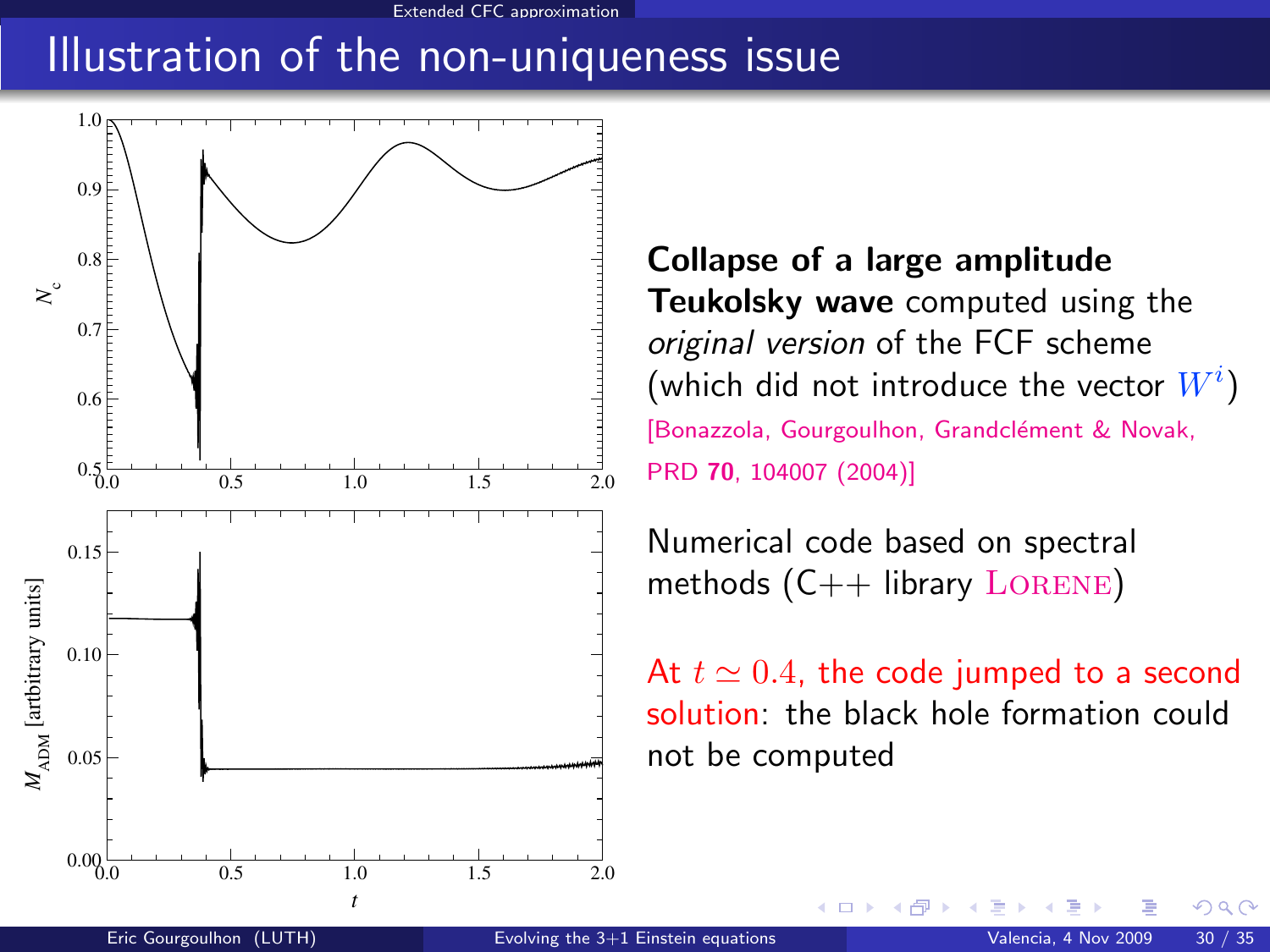#### Extended CFC approximation

### Illustration of the non-uniqueness issue



Collapse of a large amplitude Teukolsky wave computed using the original version of the FCF scheme (which did not introduce the vector  $W^i)$ [Bonazzola, Gourgoulhon, Grandclément & Novak, PRD 70[, 104007 \(2004\)\]](http://link.aps.org/abstract/PRD/v70/e104007)

Numerical code based on spectral methods  $(C++$  library LORENE)

そロト

At  $t \approx 0.4$ , the code jumped to a second solution: the black hole formation could not be computed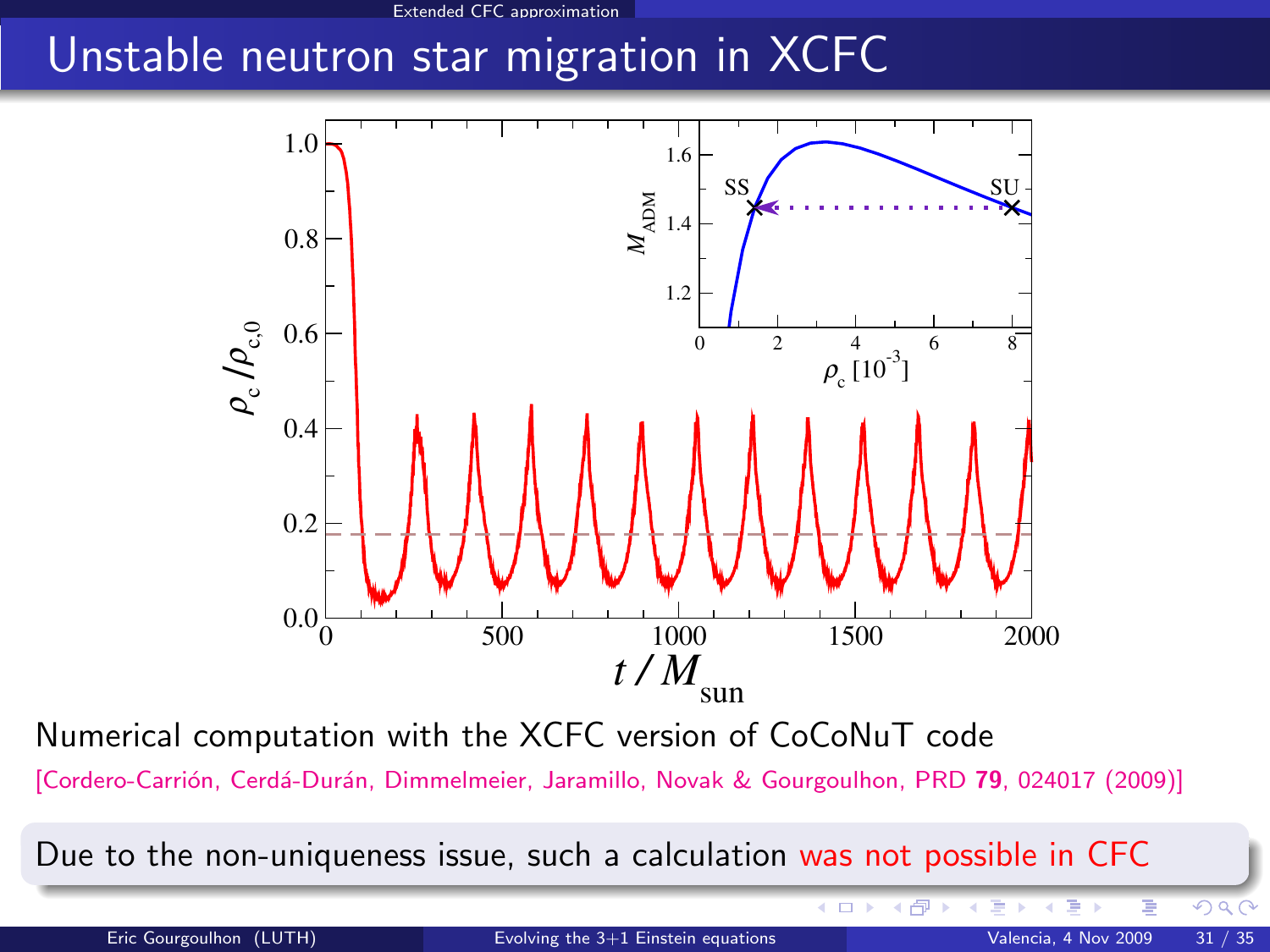### Unstable neutron star migration in XCFC



Numerical computation with the XCFC version of CoCoNuT code

[Cordero-Carrión, Cerdá-Durán, Dimmelmeier, Jaramillo, Novak & Gourgoulhon, PRD 79, 024017 (2009)]

Due to the non-uniqueness issue, such a calculation was not possible in CFC

モロト

◆ 伊 ▶

 $\Omega$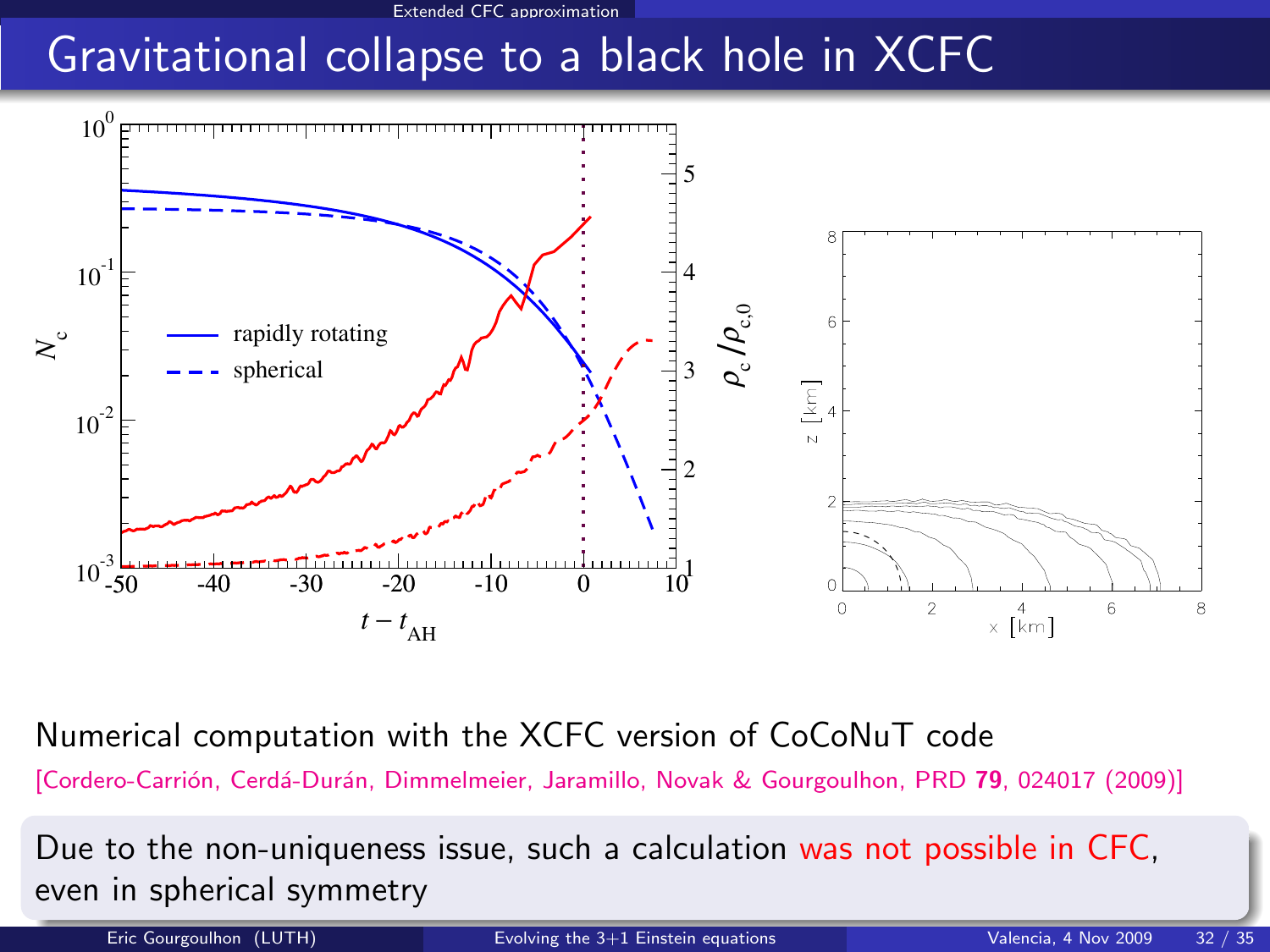# Gravitational collapse to a black hole in XCFC



Numerical computation with the XCFC version of CoCoNuT code

[Cordero-Carrión, Cerdá-Durán, Dimmelmeier, Jaramillo, Novak & Gourgoulhon, PRD 79, 024017 (2009)]

Due to the non-uniqueness issue, such a calculation was not possible in CFC, even in spherical symmetry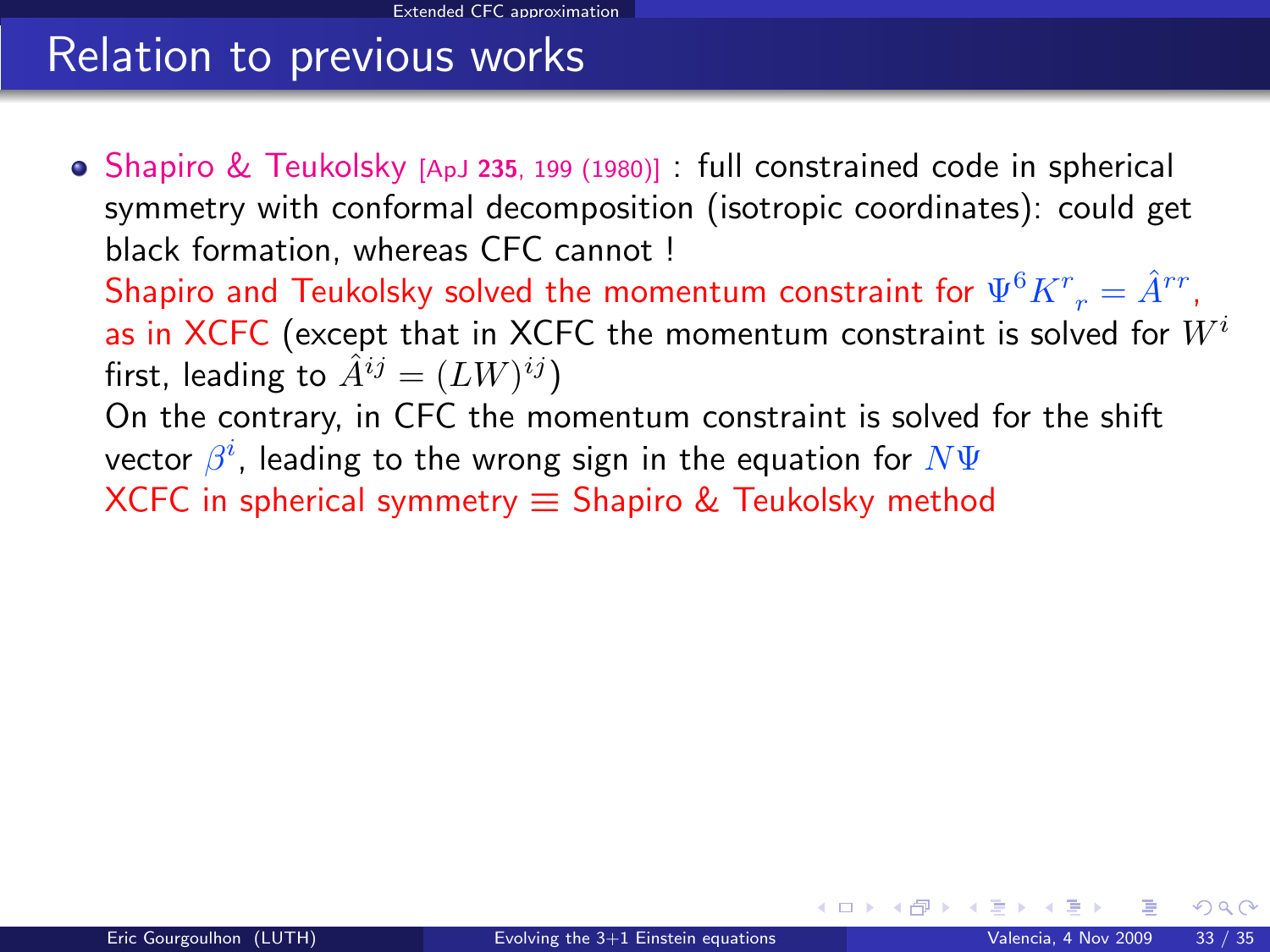# Relation to previous works

• Shapiro & Teukolsky [ApJ 235[, 199 \(1980\)\]](#page-0-1) : full constrained code in spherical symmetry with conformal decomposition (isotropic coordinates): could get black formation, whereas CFC cannot ! Shapiro and Teukolsky solved the momentum constraint for  $\Psi^6 K^r_{\;\;r}=\hat{A}^{rr}$ , as in XCFC (except that in XCFC the momentum constraint is solved for  $W^i$ first, leading to  $\hat A^{ij} = (LW)^{ij})$ On the contrary, in CFC the momentum constraint is solved for the shift vector  $\beta^i$ , leading to the wrong sign in the equation for  $N\Psi$ XCFC in spherical symmetry  $\equiv$  Shapiro & Teukolsky method

 $\Omega$ 

**K ロ ト K 何 ト K 目**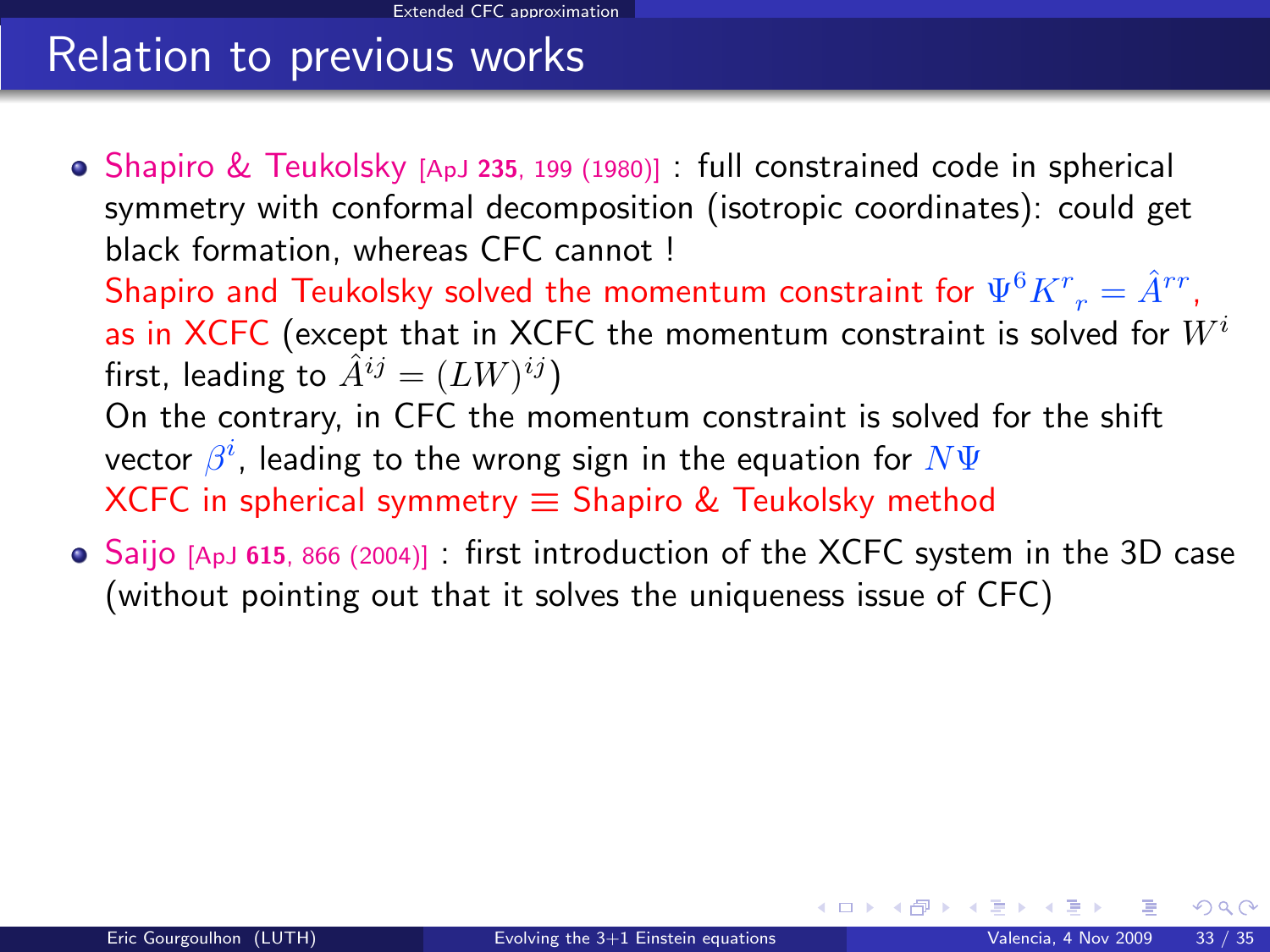# Relation to previous works

- Shapiro & Teukolsky [ApJ 235[, 199 \(1980\)\]](#page-0-1) : full constrained code in spherical symmetry with conformal decomposition (isotropic coordinates): could get black formation, whereas CFC cannot ! Shapiro and Teukolsky solved the momentum constraint for  $\Psi^6 K^r_{\;\;r}=\hat{A}^{rr}$ , as in XCFC (except that in XCFC the momentum constraint is solved for  $W^i$ first, leading to  $\hat A^{ij} = (LW)^{ij})$ On the contrary, in CFC the momentum constraint is solved for the shift vector  $\beta^i$ , leading to the wrong sign in the equation for  $N\Psi$ XCFC in spherical symmetry  $\equiv$  Shapiro & Teukolsky method
- Saijo [ApJ <sup>615</sup>[, 866 \(2004\)\]](#page-0-1) : first introduction of the XCFC system in the 3D case (without pointing out that it solves the uniqueness issue of CFC)

 $\Omega$ 

**K ロ ト K 倒 ト K 差 ト**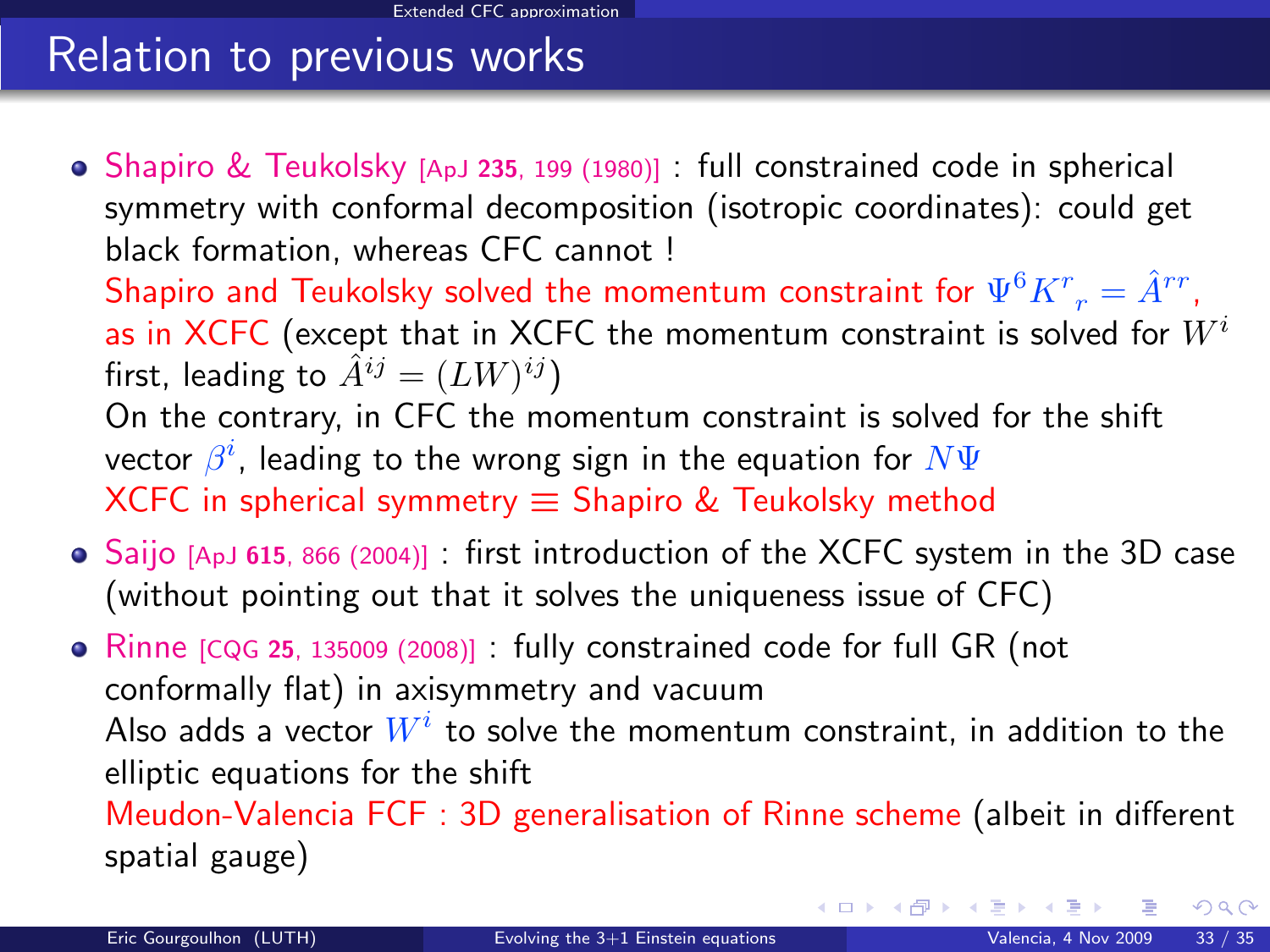# Relation to previous works

- Shapiro & Teukolsky [ApJ 235[, 199 \(1980\)\]](#page-0-1) : full constrained code in spherical symmetry with conformal decomposition (isotropic coordinates): could get black formation, whereas CFC cannot ! Shapiro and Teukolsky solved the momentum constraint for  $\Psi^6 K^r_{\;\;r}=\hat{A}^{rr}$ , as in XCFC (except that in XCFC the momentum constraint is solved for  $W^i$ first, leading to  $\hat A^{ij} = (LW)^{ij})$ On the contrary, in CFC the momentum constraint is solved for the shift vector  $\beta^i$ , leading to the wrong sign in the equation for  $N\Psi$ XCFC in spherical symmetry  $\equiv$  Shapiro & Teukolsky method
- Saijo [ApJ <sup>615</sup>[, 866 \(2004\)\]](#page-0-1) : first introduction of the XCFC system in the 3D case (without pointing out that it solves the uniqueness issue of CFC)

• Rinne [CQG 25[, 135009 \(2008\)\]](#page-0-1) : fully constrained code for full GR (not conformally flat) in axisymmetry and vacuum Also adds a vector  $W^i$  to solve the momentum constraint, in addition to the elliptic equations for the shift Meudon-Valencia FCF : 3D generalisation of Rinne scheme (albeit in different spatial gauge)

 $QQ$ 

メロメ メ御 メメ きょうぼき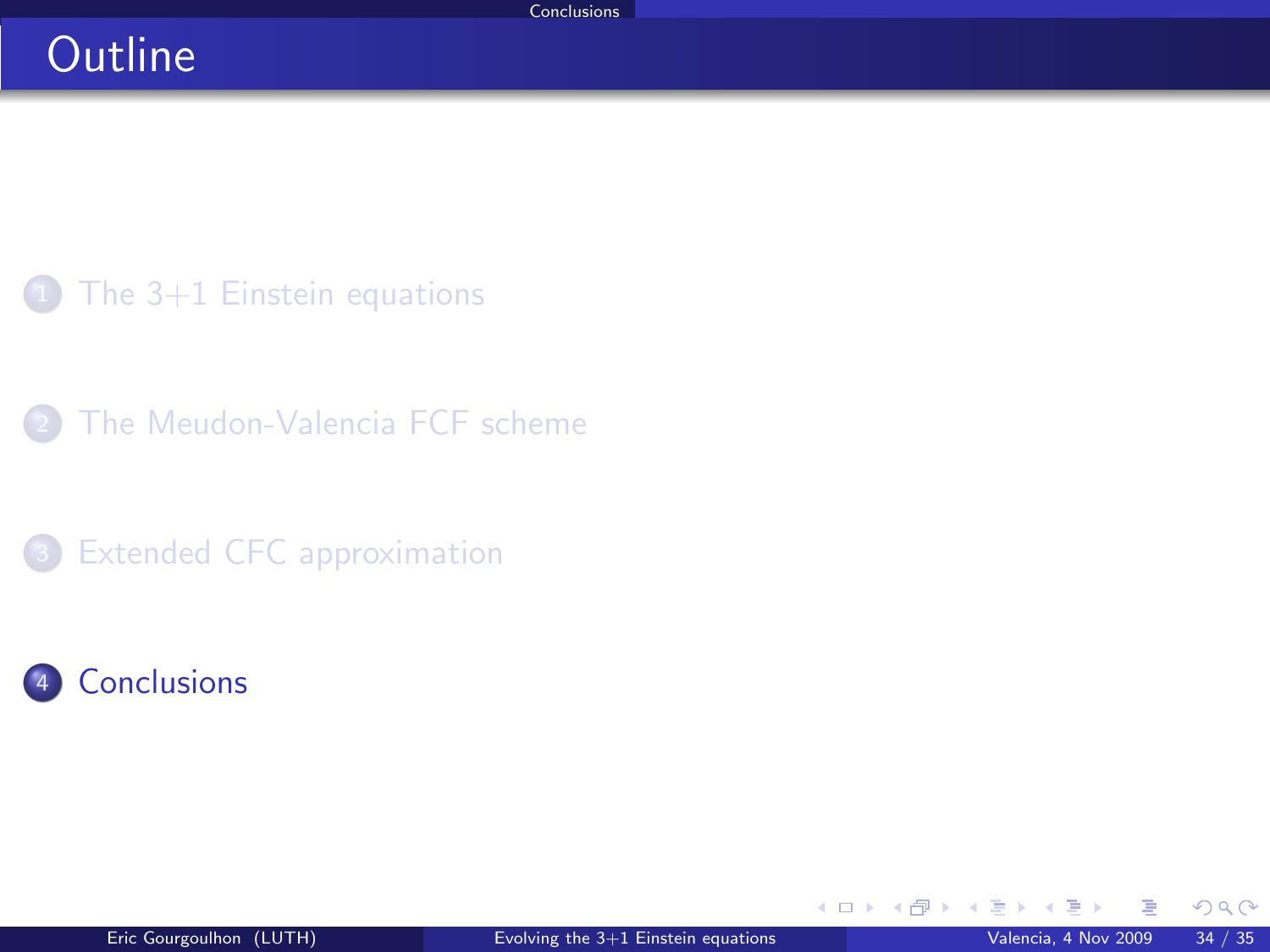## **Outline**

 $1$  [The 3+1 Einstein equations](#page-2-0)

[The Meudon-Valencia FCF scheme](#page-15-0)

<sup>3</sup> [Extended CFC approximation](#page-29-0)

### Gonclusions

<span id="page-44-0"></span> $298$ 

**K ロ ▶ K 御 ▶ K 舌**